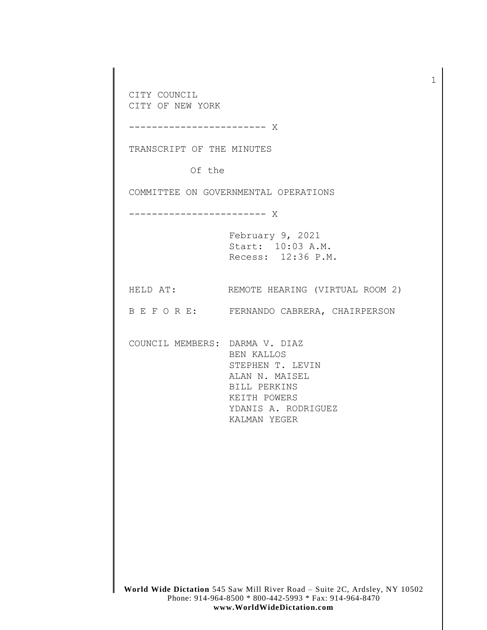**World Wide Dictation** 545 Saw Mill River Road – Suite 2C, Ardsley, NY 10502 CITY COUNCIL CITY OF NEW YORK ------------------------ X TRANSCRIPT OF THE MINUTES Of the COMMITTEE ON GOVERNMENTAL OPERATIONS ------------------------ X February 9, 2021 Start: 10:03 A.M. Recess: 12:36 P.M. HELD AT: REMOTE HEARING (VIRTUAL ROOM 2) B E F O R E: FERNANDO CABRERA, CHAIRPERSON COUNCIL MEMBERS: DARMA V. DIAZ BEN KALLOS STEPHEN T. LEVIN ALAN N. MAISEL BILL PERKINS KEITH POWERS YDANIS A. RODRIGUEZ KALMAN YEGER

> Phone: 914-964-8500 \* 800-442-5993 \* Fax: 914-964-8470 **www.WorldWideDictation.com**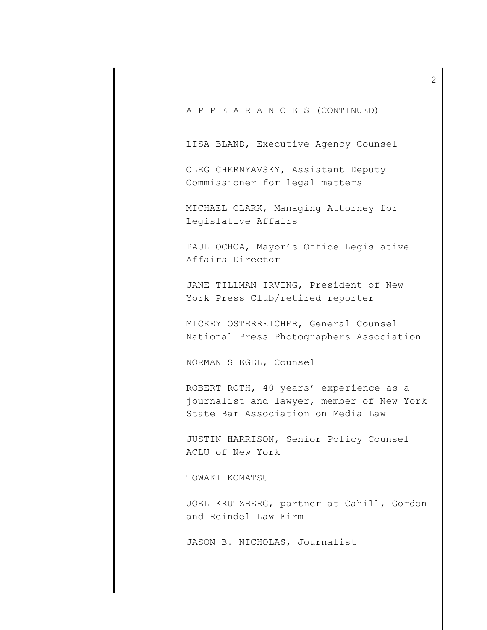A P P E A R A N C E S (CONTINUED)

LISA BLAND, Executive Agency Counsel

OLEG CHERNYAVSKY, Assistant Deputy Commissioner for legal matters

MICHAEL CLARK, Managing Attorney for Legislative Affairs

PAUL OCHOA, Mayor's Office Legislative Affairs Director

JANE TILLMAN IRVING, President of New York Press Club/retired reporter

MICKEY OSTERREICHER, General Counsel National Press Photographers Association

NORMAN SIEGEL, Counsel

ROBERT ROTH, 40 years' experience as a journalist and lawyer, member of New York State Bar Association on Media Law

JUSTIN HARRISON, Senior Policy Counsel ACLU of New York

TOWAKI KOMATSU

JOEL KRUTZBERG, partner at Cahill, Gordon and Reindel Law Firm

JASON B. NICHOLAS, Journalist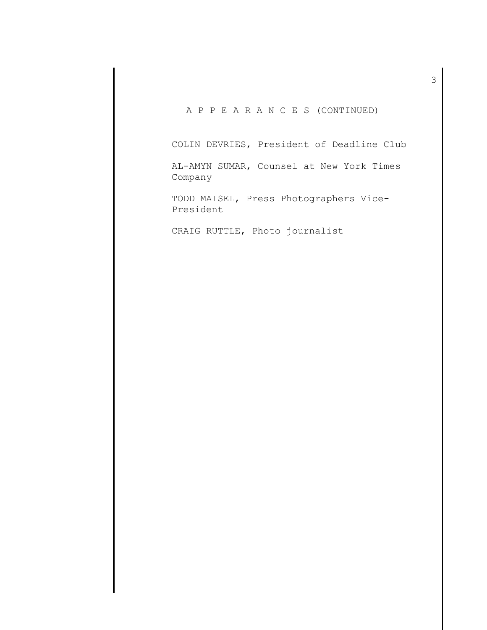A P P E A R A N C E S (CONTINUED)

COLIN DEVRIES, President of Deadline Club

AL-AMYN SUMAR, Counsel at New York Times Company

TODD MAISEL, Press Photographers Vice-President

CRAIG RUTTLE, Photo journalist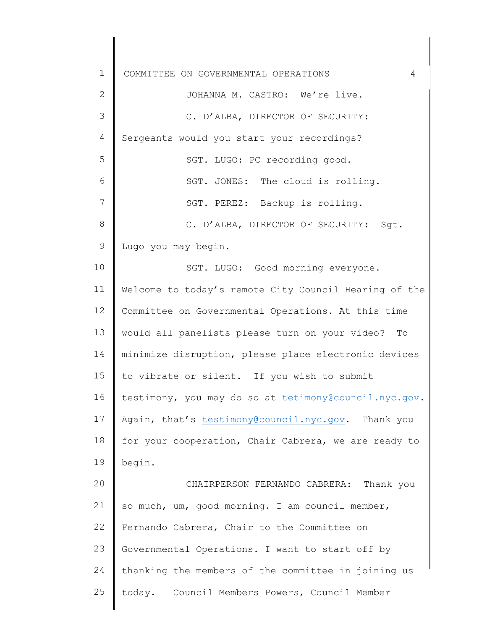1 2 3 4 5 6 7 8 9 10 11 12 13 14 15 16 17 18 19 20 21 22 23 24 25 COMMITTEE ON GOVERNMENTAL OPERATIONS 4 Sergeants would you start your recordings? JOHANNA M. CASTRO: We're live. C. D'ALBA, DIRECTOR OF SECURITY: SGT. LUGO: PC recording good. SGT. JONES: The cloud is rolling. SGT. PEREZ: Backup is rolling. C. D'ALBA, DIRECTOR OF SECURITY: Sgt. Lugo you may begin. SGT. LUGO: Good morning everyone. Welcome to today's remote City Council Hearing of the Committee on Governmental Operations. At this time would all panelists please turn on your video? To minimize disruption, please place electronic devices to vibrate or silent. If you wish to submit testimony, you may do so at [tetimony@council.nyc.gov.](mailto:tetimony@council.nyc.gov) Again, that's [testimony@council.nyc.gov.](mailto:testimony@council.nyc.gov) Thank you for your cooperation, Chair Cabrera, we are ready to begin. CHAIRPERSON FERNANDO CABRERA: Thank you so much, um, good morning. I am council member, Fernando Cabrera, Chair to the Committee on Governmental Operations. I want to start off by thanking the members of the committee in joining us today. Council Members Powers, Council Member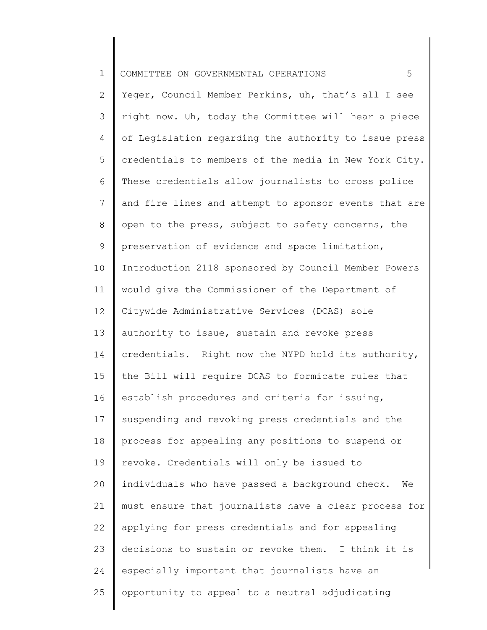| 1 COMMITTEE ON GOVERNMENTAL OPERATIONS |  |
|----------------------------------------|--|
|----------------------------------------|--|

2 3 4 5 6 7 8 9 10 11 12 13 14 15 16 17 18 19 20 21 22 23 24 25 Yeger, Council Member Perkins, uh, that's all I see right now. Uh, today the Committee will hear a piece of Legislation regarding the authority to issue press credentials to members of the media in New York City. These credentials allow journalists to cross police and fire lines and attempt to sponsor events that are open to the press, subject to safety concerns, the preservation of evidence and space limitation, Introduction 2118 sponsored by Council Member Powers would give the Commissioner of the Department of Citywide Administrative Services (DCAS) sole authority to issue, sustain and revoke press credentials. Right now the NYPD hold its authority, the Bill will require DCAS to formicate rules that establish procedures and criteria for issuing, suspending and revoking press credentials and the process for appealing any positions to suspend or revoke. Credentials will only be issued to individuals who have passed a background check. We must ensure that journalists have a clear process for applying for press credentials and for appealing decisions to sustain or revoke them. I think it is especially important that journalists have an opportunity to appeal to a neutral adjudicating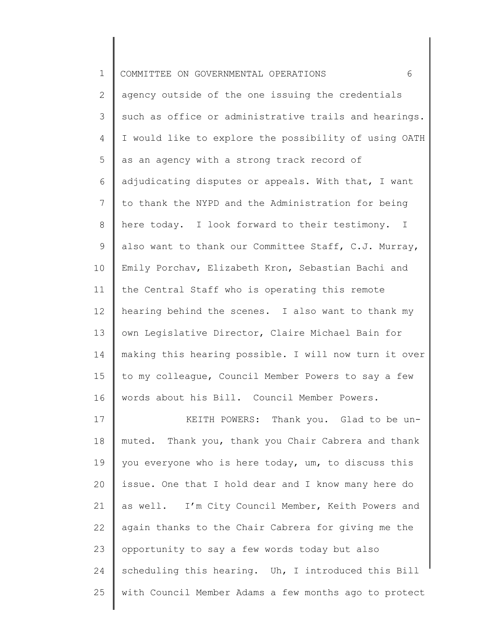| $\mathbf 1$ | COMMITTEE ON GOVERNMENTAL OPERATIONS<br>6             |
|-------------|-------------------------------------------------------|
| 2           | agency outside of the one issuing the credentials     |
| 3           | such as office or administrative trails and hearings. |
| 4           | I would like to explore the possibility of using OATH |
| 5           | as an agency with a strong track record of            |
| 6           | adjudicating disputes or appeals. With that, I want   |
| 7           | to thank the NYPD and the Administration for being    |
| 8           | here today. I look forward to their testimony. I      |
| 9           | also want to thank our Committee Staff, C.J. Murray,  |
| 10          | Emily Porchav, Elizabeth Kron, Sebastian Bachi and    |
| 11          | the Central Staff who is operating this remote        |
| 12          | hearing behind the scenes. I also want to thank my    |
| 13          | own Legislative Director, Claire Michael Bain for     |
| 14          | making this hearing possible. I will now turn it over |
| 15          | to my colleague, Council Member Powers to say a few   |
| 16          | words about his Bill. Council Member Powers.          |
| 17          | KEITH POWERS: Thank you. Glad to be un-               |
| 18          | muted. Thank you, thank you Chair Cabrera and thank   |
| 19          | you everyone who is here today, um, to discuss this   |
| 20          | issue. One that I hold dear and I know many here do   |
| 21          | as well. I'm City Council Member, Keith Powers and    |
| 22          | again thanks to the Chair Cabrera for giving me the   |
| 23          | opportunity to say a few words today but also         |
| 24          | scheduling this hearing. Uh, I introduced this Bill   |
| 25          | with Council Member Adams a few months ago to protect |
|             |                                                       |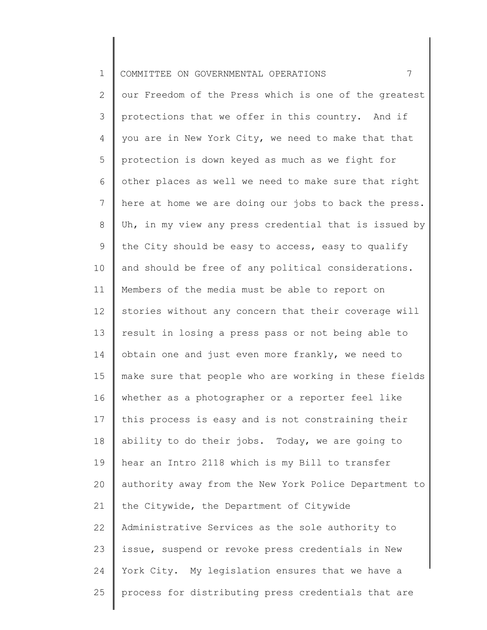| $\mathbf 1$ | 7<br>COMMITTEE ON GOVERNMENTAL OPERATIONS             |
|-------------|-------------------------------------------------------|
| 2           | our Freedom of the Press which is one of the greatest |
| 3           | protections that we offer in this country. And if     |
| 4           | you are in New York City, we need to make that that   |
| 5           | protection is down keyed as much as we fight for      |
| 6           | other places as well we need to make sure that right  |
| 7           | here at home we are doing our jobs to back the press. |
| 8           | Uh, in my view any press credential that is issued by |
| 9           | the City should be easy to access, easy to qualify    |
| 10          | and should be free of any political considerations.   |
| 11          | Members of the media must be able to report on        |
| 12          | stories without any concern that their coverage will  |
| 13          | result in losing a press pass or not being able to    |
| 14          | obtain one and just even more frankly, we need to     |
| 15          | make sure that people who are working in these fields |
| 16          | whether as a photographer or a reporter feel like     |
| 17          | this process is easy and is not constraining their    |
| 18          | ability to do their jobs. Today, we are going to      |
| 19          | hear an Intro 2118 which is my Bill to transfer       |
| 20          | authority away from the New York Police Department to |
| 21          | the Citywide, the Department of Citywide              |
| 22          | Administrative Services as the sole authority to      |
| 23          | issue, suspend or revoke press credentials in New     |
| 24          | York City. My legislation ensures that we have a      |
| 25          | process for distributing press credentials that are   |
|             |                                                       |

║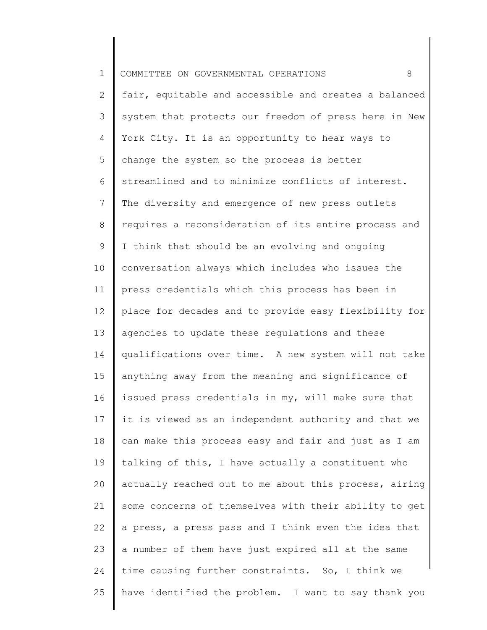| $\mathbf 1$ | COMMITTEE ON GOVERNMENTAL OPERATIONS<br>8             |
|-------------|-------------------------------------------------------|
| 2           | fair, equitable and accessible and creates a balanced |
| 3           | system that protects our freedom of press here in New |
| 4           | York City. It is an opportunity to hear ways to       |
| 5           | change the system so the process is better            |
| 6           | streamlined and to minimize conflicts of interest.    |
| 7           | The diversity and emergence of new press outlets      |
| 8           | requires a reconsideration of its entire process and  |
| 9           | I think that should be an evolving and ongoing        |
| 10          | conversation always which includes who issues the     |
| 11          | press credentials which this process has been in      |
| 12          | place for decades and to provide easy flexibility for |
| 13          | agencies to update these regulations and these        |
| 14          | qualifications over time. A new system will not take  |
| 15          | anything away from the meaning and significance of    |
| 16          | issued press credentials in my, will make sure that   |
| 17          | it is viewed as an independent authority and that we  |
| 18          | can make this process easy and fair and just as I am  |
| 19          | talking of this, I have actually a constituent who    |
| 20          | actually reached out to me about this process, airing |
| 21          | some concerns of themselves with their ability to get |
| 22          | a press, a press pass and I think even the idea that  |
| 23          | a number of them have just expired all at the same    |
| 24          | time causing further constraints. So, I think we      |
| 25          | have identified the problem. I want to say thank you  |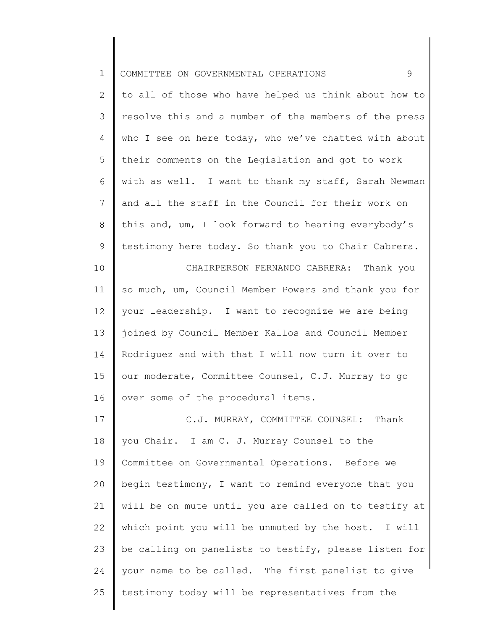| $\mathbf 1$    | 9<br>COMMITTEE ON GOVERNMENTAL OPERATIONS             |
|----------------|-------------------------------------------------------|
| $\overline{2}$ | to all of those who have helped us think about how to |
| 3              | resolve this and a number of the members of the press |
| 4              | who I see on here today, who we've chatted with about |
| 5              | their comments on the Legislation and got to work     |
| 6              | with as well. I want to thank my staff, Sarah Newman  |
| $\overline{7}$ | and all the staff in the Council for their work on    |
| $8\,$          | this and, um, I look forward to hearing everybody's   |
| 9              | testimony here today. So thank you to Chair Cabrera.  |
| 10             | CHAIRPERSON FERNANDO CABRERA: Thank you               |
| 11             | so much, um, Council Member Powers and thank you for  |
| 12             | your leadership. I want to recognize we are being     |
| 13             | joined by Council Member Kallos and Council Member    |
| 14             | Rodriguez and with that I will now turn it over to    |
| 15             | our moderate, Committee Counsel, C.J. Murray to go    |
| 16             | over some of the procedural items.                    |
| 17             | C.J. MURRAY, COMMITTEE COUNSEL: Thank                 |
| 18             | you Chair. I am C. J. Murray Counsel to the           |
| 19             | Committee on Governmental Operations. Before we       |
| 20             | begin testimony, I want to remind everyone that you   |
| 21             | will be on mute until you are called on to testify at |
| 22             | which point you will be unmuted by the host. I will   |
| 23             | be calling on panelists to testify, please listen for |
| 24             | your name to be called. The first panelist to give    |
| 25             | testimony today will be representatives from the      |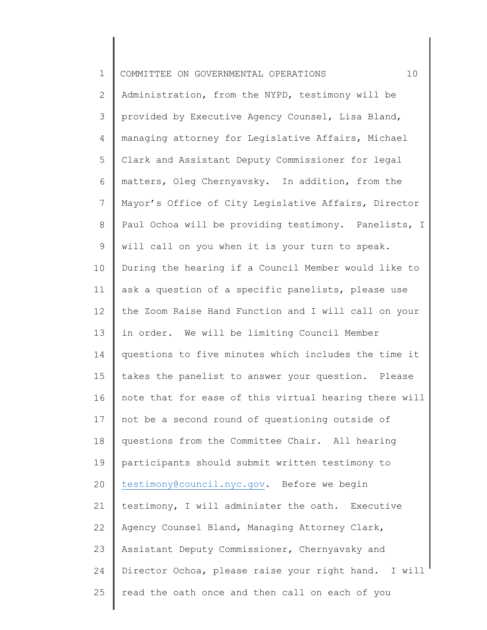| $\mathbf 1$ | 10<br>COMMITTEE ON GOVERNMENTAL OPERATIONS            |
|-------------|-------------------------------------------------------|
| 2           | Administration, from the NYPD, testimony will be      |
| 3           | provided by Executive Agency Counsel, Lisa Bland,     |
| 4           | managing attorney for Legislative Affairs, Michael    |
| 5           | Clark and Assistant Deputy Commissioner for legal     |
| 6           | matters, Oleg Chernyavsky. In addition, from the      |
| 7           | Mayor's Office of City Legislative Affairs, Director  |
| 8           | Paul Ochoa will be providing testimony. Panelists, I  |
| 9           | will call on you when it is your turn to speak.       |
| 10          | During the hearing if a Council Member would like to  |
| 11          | ask a question of a specific panelists, please use    |
| 12          | the Zoom Raise Hand Function and I will call on your  |
| 13          | in order. We will be limiting Council Member          |
| 14          | questions to five minutes which includes the time it  |
| 15          | takes the panelist to answer your question. Please    |
| 16          | note that for ease of this virtual hearing there will |
| 17          | not be a second round of questioning outside of       |
| 18          | questions from the Committee Chair. All hearing       |
| 19          | participants should submit written testimony to       |
| 20          | testimony@council.nyc.gov. Before we begin            |
| 21          | testimony, I will administer the oath. Executive      |
| 22          | Agency Counsel Bland, Managing Attorney Clark,        |
| 23          | Assistant Deputy Commissioner, Chernyavsky and        |
| 24          | Director Ochoa, please raise your right hand. I will  |
| 25          | read the oath once and then call on each of you       |
|             |                                                       |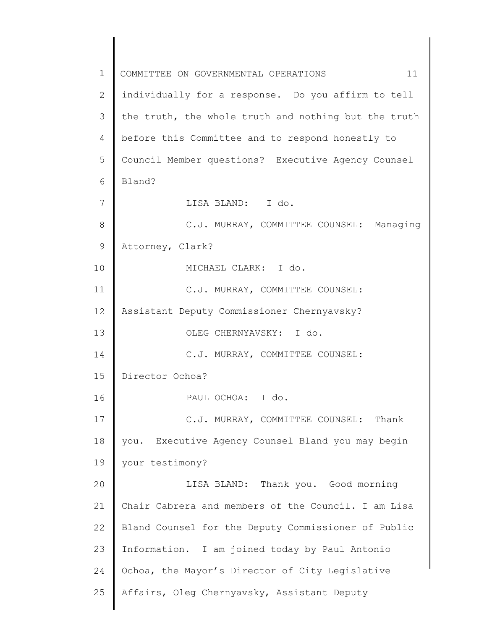1 2 3 4 5 6 7 8 9 10 11 12 13 14 15 16 17 18 19 20 21 22 23 24 25 COMMITTEE ON GOVERNMENTAL OPERATIONS 11 individually for a response. Do you affirm to tell the truth, the whole truth and nothing but the truth before this Committee and to respond honestly to Council Member questions? Executive Agency Counsel Bland? LISA BLAND: I do. C.J. MURRAY, COMMITTEE COUNSEL: Managing Attorney, Clark? MICHAEL CLARK: I do. C.J. MURRAY, COMMITTEE COUNSEL: Assistant Deputy Commissioner Chernyavsky? OLEG CHERNYAVSKY: I do. C.J. MURRAY, COMMITTEE COUNSEL: Director Ochoa? PAUL OCHOA: I do. C.J. MURRAY, COMMITTEE COUNSEL: Thank you. Executive Agency Counsel Bland you may begin your testimony? LISA BLAND: Thank you. Good morning Chair Cabrera and members of the Council. I am Lisa Bland Counsel for the Deputy Commissioner of Public Information. I am joined today by Paul Antonio Ochoa, the Mayor's Director of City Legislative Affairs, Oleg Chernyavsky, Assistant Deputy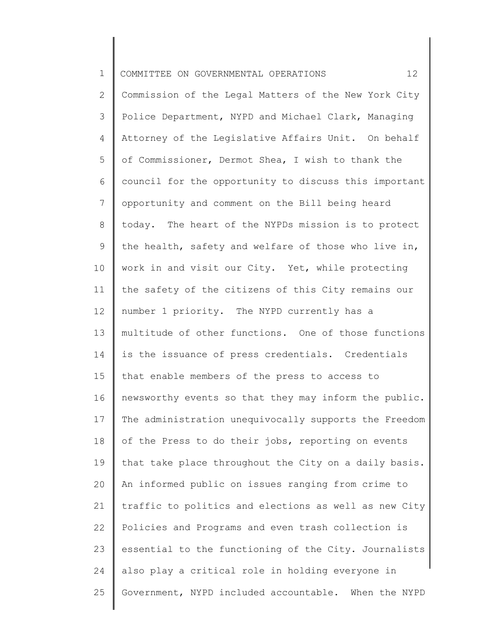| $\mathbf 1$     | 12<br>COMMITTEE ON GOVERNMENTAL OPERATIONS            |
|-----------------|-------------------------------------------------------|
| $\mathbf{2}$    | Commission of the Legal Matters of the New York City  |
| 3               | Police Department, NYPD and Michael Clark, Managing   |
| 4               | Attorney of the Legislative Affairs Unit. On behalf   |
| 5               | of Commissioner, Dermot Shea, I wish to thank the     |
| 6               | council for the opportunity to discuss this important |
| $7\phantom{.}$  | opportunity and comment on the Bill being heard       |
| 8               | today. The heart of the NYPDs mission is to protect   |
| $\mathsf 9$     | the health, safety and welfare of those who live in,  |
| 10 <sub>o</sub> | work in and visit our City. Yet, while protecting     |
| 11              | the safety of the citizens of this City remains our   |
| 12              | number 1 priority. The NYPD currently has a           |
| 13              | multitude of other functions. One of those functions  |
| 14              | is the issuance of press credentials. Credentials     |
| 15              | that enable members of the press to access to         |
| 16              | newsworthy events so that they may inform the public. |
| 17              | The administration unequivocally supports the Freedom |
| 18              | of the Press to do their jobs, reporting on events    |
| 19              | that take place throughout the City on a daily basis. |
| 20              | An informed public on issues ranging from crime to    |
| 21              | traffic to politics and elections as well as new City |
| 22              | Policies and Programs and even trash collection is    |
| 23              | essential to the functioning of the City. Journalists |
| 24              | also play a critical role in holding everyone in      |
| 25              | Government, NYPD included accountable. When the NYPD  |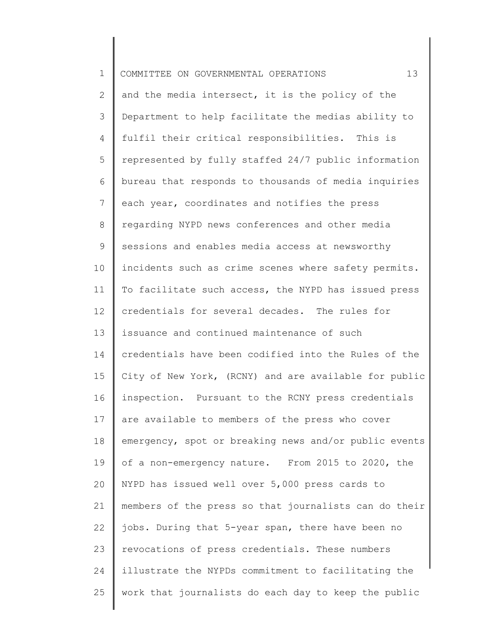| $\mathbf 1$ | 13<br>COMMITTEE ON GOVERNMENTAL OPERATIONS            |
|-------------|-------------------------------------------------------|
| 2           | and the media intersect, it is the policy of the      |
| 3           | Department to help facilitate the medias ability to   |
| 4           | fulfil their critical responsibilities. This is       |
| 5           | represented by fully staffed 24/7 public information  |
| 6           | bureau that responds to thousands of media inquiries  |
| 7           | each year, coordinates and notifies the press         |
| 8           | regarding NYPD news conferences and other media       |
| $\mathsf 9$ | sessions and enables media access at newsworthy       |
| 10          | incidents such as crime scenes where safety permits.  |
| 11          | To facilitate such access, the NYPD has issued press  |
| 12          | credentials for several decades. The rules for        |
| 13          | issuance and continued maintenance of such            |
| 14          | credentials have been codified into the Rules of the  |
| 15          | City of New York, (RCNY) and are available for public |
| 16          | inspection. Pursuant to the RCNY press credentials    |
| 17          | are available to members of the press who cover       |
| 18          | emergency, spot or breaking news and/or public events |
| 19          | of a non-emergency nature. From 2015 to 2020, the     |
| 20          | NYPD has issued well over 5,000 press cards to        |
| 21          | members of the press so that journalists can do their |
| 22          | jobs. During that 5-year span, there have been no     |
| 23          | revocations of press credentials. These numbers       |
| 24          | illustrate the NYPDs commitment to facilitating the   |
| 25          | work that journalists do each day to keep the public  |
|             |                                                       |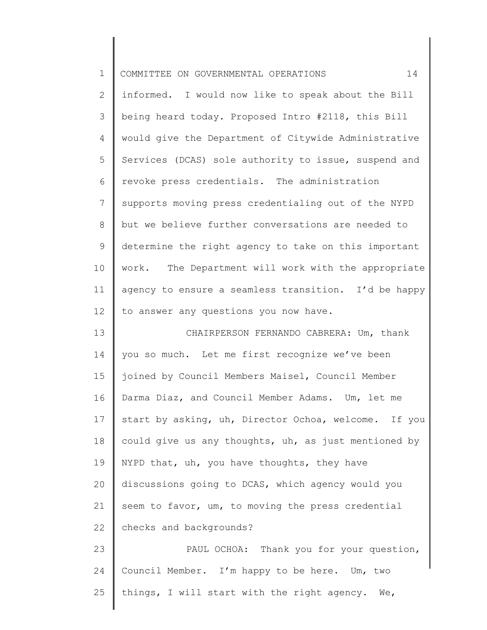| $\mathbf 1$ | 14<br>COMMITTEE ON GOVERNMENTAL OPERATIONS           |
|-------------|------------------------------------------------------|
| 2           | informed. I would now like to speak about the Bill   |
| 3           | being heard today. Proposed Intro #2118, this Bill   |
| 4           | would give the Department of Citywide Administrative |
| 5           | Services (DCAS) sole authority to issue, suspend and |
| 6           | revoke press credentials. The administration         |
| 7           | supports moving press credentialing out of the NYPD  |
| 8           | but we believe further conversations are needed to   |
| 9           | determine the right agency to take on this important |
| 10          | work. The Department will work with the appropriate  |
| 11          | agency to ensure a seamless transition. I'd be happy |
| 12          | to answer any questions you now have.                |
| 13          | CHAIRPERSON FERNANDO CABRERA: Um, thank              |
| 14          | you so much. Let me first recognize we've been       |
| 15          | joined by Council Members Maisel, Council Member     |
| 16          | Darma Diaz, and Council Member Adams. Um, let me     |
| 17          | start by asking, uh, Director Ochoa, welcome. If you |
| 18          | could give us any thoughts, uh, as just mentioned by |
| 19          | NYPD that, uh, you have thoughts, they have          |
| 20          | discussions going to DCAS, which agency would you    |
| 21          | seem to favor, um, to moving the press credential    |
| 22          | checks and backgrounds?                              |
| 23          | PAUL OCHOA: Thank you for your question,             |
| 24          | Council Member. I'm happy to be here. Um, two        |
| 25          | things, I will start with the right agency. We,      |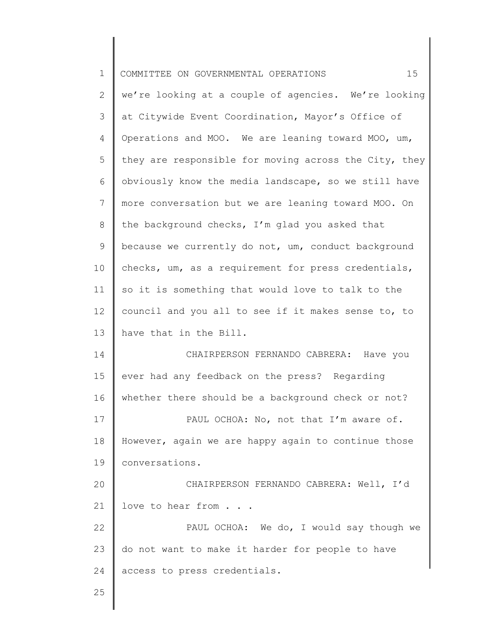| $\mathbf 1$     | 15<br>COMMITTEE ON GOVERNMENTAL OPERATIONS            |
|-----------------|-------------------------------------------------------|
| 2               | we're looking at a couple of agencies. We're looking  |
| 3               | at Citywide Event Coordination, Mayor's Office of     |
| 4               | Operations and MOO. We are leaning toward MOO, um,    |
| 5               | they are responsible for moving across the City, they |
| 6               | obviously know the media landscape, so we still have  |
| $7\phantom{.0}$ | more conversation but we are leaning toward MOO. On   |
| 8               | the background checks, I'm glad you asked that        |
| 9               | because we currently do not, um, conduct background   |
| 10              | checks, um, as a requirement for press credentials,   |
| 11              | so it is something that would love to talk to the     |
| 12              | council and you all to see if it makes sense to, to   |
| 13              | have that in the Bill.                                |
| 14              | CHAIRPERSON FERNANDO CABRERA: Have you                |
| 15              | ever had any feedback on the press? Regarding         |
| 16              | whether there should be a background check or not?    |
| 17              | PAUL OCHOA: No, not that I'm aware of.                |
| 18              | However, again we are happy again to continue those   |
| 19              | conversations.                                        |
| 20              | CHAIRPERSON FERNANDO CABRERA: Well, I'd               |
| 21              | love to hear from                                     |
| 22              | PAUL OCHOA: We do, I would say though we              |
| 23              | do not want to make it harder for people to have      |
| 24              | access to press credentials.                          |
| 25              |                                                       |

 $\parallel$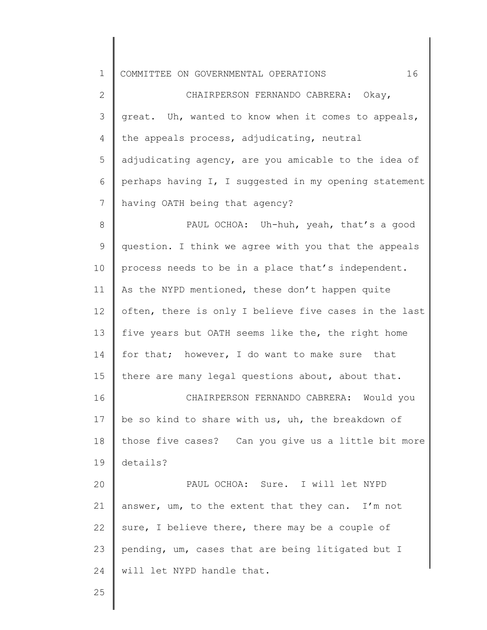| $\mathbf 1$  | 16<br>COMMITTEE ON GOVERNMENTAL OPERATIONS            |
|--------------|-------------------------------------------------------|
| $\mathbf{2}$ | CHAIRPERSON FERNANDO CABRERA: Okay,                   |
| 3            | great. Uh, wanted to know when it comes to appeals,   |
| 4            | the appeals process, adjudicating, neutral            |
| 5            | adjudicating agency, are you amicable to the idea of  |
| 6            | perhaps having I, I suggested in my opening statement |
| 7            | having OATH being that agency?                        |
| 8            | PAUL OCHOA: Uh-huh, yeah, that's a good               |
| 9            | question. I think we agree with you that the appeals  |
| 10           | process needs to be in a place that's independent.    |
| 11           | As the NYPD mentioned, these don't happen quite       |
| 12           | often, there is only I believe five cases in the last |
| 13           | five years but OATH seems like the, the right home    |
| 14           | for that; however, I do want to make sure that        |
| 15           | there are many legal questions about, about that.     |
| 16           | CHAIRPERSON FERNANDO CABRERA: Would you               |
| 17           | be so kind to share with us, uh, the breakdown of     |
| 18           | those five cases? Can you give us a little bit more   |
| 19           | details?                                              |
| 20           | PAUL OCHOA: Sure. I will let NYPD                     |
| 21           | answer, um, to the extent that they can. I'm not      |
| 22           | sure, I believe there, there may be a couple of       |
| 23           | pending, um, cases that are being litigated but I     |
| 24           | will let NYPD handle that.                            |
|              |                                                       |

Π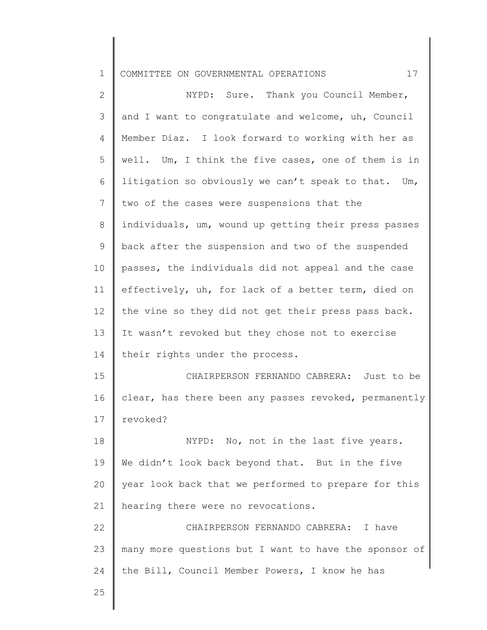1 COMMITTEE ON GOVERNMENTAL OPERATIONS 17

| $\overline{2}$ | NYPD: Sure. Thank you Council Member,                 |
|----------------|-------------------------------------------------------|
| 3              | and I want to congratulate and welcome, uh, Council   |
| 4              | Member Diaz. I look forward to working with her as    |
| 5              | well. Um, I think the five cases, one of them is in   |
| 6              | litigation so obviously we can't speak to that. Um,   |
| 7              | two of the cases were suspensions that the            |
| 8              | individuals, um, wound up getting their press passes  |
| 9              | back after the suspension and two of the suspended    |
| 10             | passes, the individuals did not appeal and the case   |
| 11             | effectively, uh, for lack of a better term, died on   |
| 12             | the vine so they did not get their press pass back.   |
| 13             | It wasn't revoked but they chose not to exercise      |
| 14             | their rights under the process.                       |
| 15             | CHAIRPERSON FERNANDO CABRERA: Just to be              |
| 16             | clear, has there been any passes revoked, permanently |
| 17             | revoked?                                              |
| 18             | NYPD: No, not in the last five years.                 |
| 19             | We didn't look back beyond that. But in the five      |
| 20             | year look back that we performed to prepare for this  |
| 21             | hearing there were no revocations.                    |
| 22             | CHAIRPERSON FERNANDO CABRERA:<br>I have               |
| 23             | many more questions but I want to have the sponsor of |
| 24             | the Bill, Council Member Powers, I know he has        |
| $\cap$ $\Box$  |                                                       |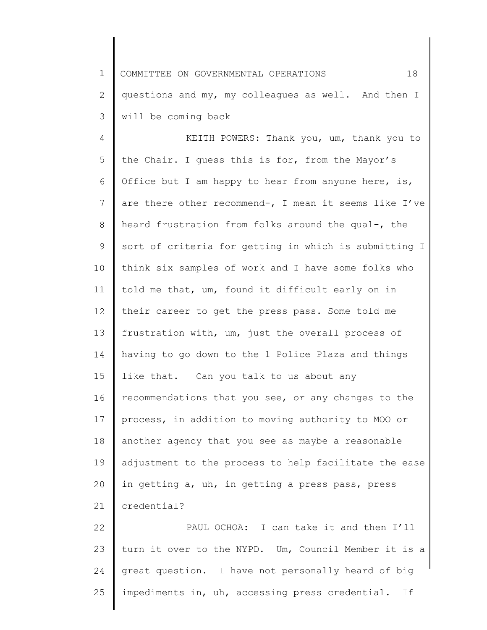1 2 3 COMMITTEE ON GOVERNMENTAL OPERATIONS 18 questions and my, my colleagues as well. And then I will be coming back

4 5 6 7 8 9 10 11 12 13 14 15 16 17 18 19 20 21 22 KEITH POWERS: Thank you, um, thank you to the Chair. I guess this is for, from the Mayor's Office but I am happy to hear from anyone here, is, are there other recommend-, I mean it seems like I've heard frustration from folks around the qual-, the sort of criteria for getting in which is submitting I think six samples of work and I have some folks who told me that, um, found it difficult early on in their career to get the press pass. Some told me frustration with, um, just the overall process of having to go down to the 1 Police Plaza and things like that. Can you talk to us about any recommendations that you see, or any changes to the process, in addition to moving authority to MOO or another agency that you see as maybe a reasonable adjustment to the process to help facilitate the ease in getting a, uh, in getting a press pass, press credential? PAUL OCHOA: I can take it and then I'll

23 24 25 turn it over to the NYPD. Um, Council Member it is a great question. I have not personally heard of big impediments in, uh, accessing press credential. If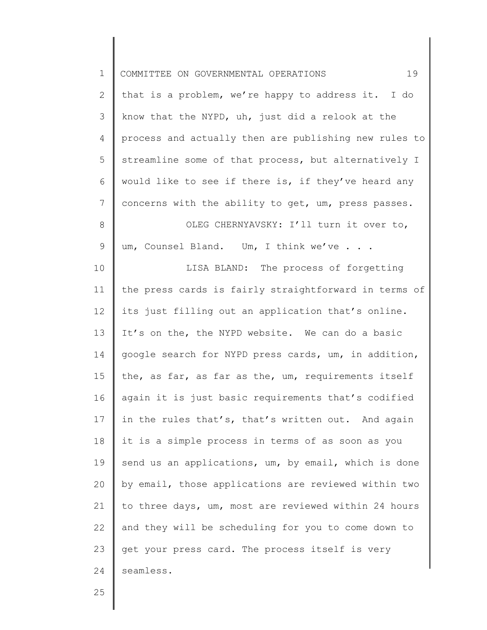| $\mathbf 1$  | 19<br>COMMITTEE ON GOVERNMENTAL OPERATIONS            |
|--------------|-------------------------------------------------------|
| $\mathbf{2}$ | that is a problem, we're happy to address it. I do    |
| 3            | know that the NYPD, uh, just did a relook at the      |
| 4            | process and actually then are publishing new rules to |
| 5            | streamline some of that process, but alternatively I  |
| 6            | would like to see if there is, if they've heard any   |
| 7            | concerns with the ability to get, um, press passes.   |
| $8\,$        | OLEG CHERNYAVSKY: I'll turn it over to,               |
| $\mathsf 9$  | um, Counsel Bland. Um, I think we've                  |
| 10           | LISA BLAND: The process of forgetting                 |
| 11           | the press cards is fairly straightforward in terms of |
| 12           | its just filling out an application that's online.    |
| 13           | It's on the, the NYPD website. We can do a basic      |
| 14           | google search for NYPD press cards, um, in addition,  |
| 15           | the, as far, as far as the, um, requirements itself   |
| 16           | again it is just basic requirements that's codified   |
| 17           | in the rules that's, that's written out. And again    |
| 18           | it is a simple process in terms of as soon as you     |
| 19           | send us an applications, um, by email, which is done  |
| 20           | by email, those applications are reviewed within two  |
| 21           | to three days, um, most are reviewed within 24 hours  |
| 22           | and they will be scheduling for you to come down to   |
| 23           | get your press card. The process itself is very       |
| 24           | seamless.                                             |
| $\cap E$     |                                                       |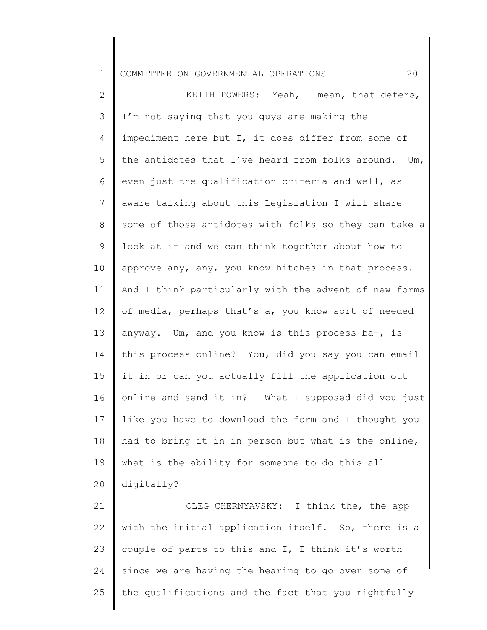## 1 COMMITTEE ON GOVERNMENTAL OPERATIONS 20

2 3 4 5 6 7 8 9 10 11 12 13 14 15 16 17 18 19 20 KEITH POWERS: Yeah, I mean, that defers, I'm not saying that you guys are making the impediment here but I, it does differ from some of the antidotes that I've heard from folks around. Um, even just the qualification criteria and well, as aware talking about this Legislation I will share some of those antidotes with folks so they can take a look at it and we can think together about how to approve any, any, you know hitches in that process. And I think particularly with the advent of new forms of media, perhaps that's a, you know sort of needed anyway. Um, and you know is this process ba-, is this process online? You, did you say you can email it in or can you actually fill the application out online and send it in? What I supposed did you just like you have to download the form and I thought you had to bring it in in person but what is the online, what is the ability for someone to do this all digitally?

21 22 23 24 25 OLEG CHERNYAVSKY: I think the, the app with the initial application itself. So, there is a couple of parts to this and I, I think it's worth since we are having the hearing to go over some of the qualifications and the fact that you rightfully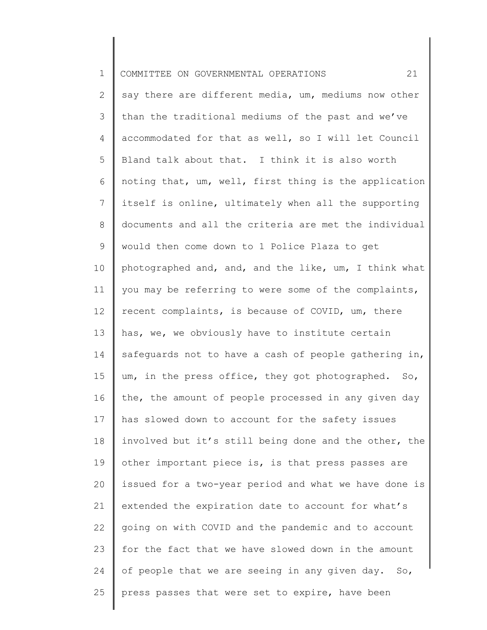| $\mathbf 1$  | 21<br>COMMITTEE ON GOVERNMENTAL OPERATIONS            |
|--------------|-------------------------------------------------------|
| $\mathbf{2}$ | say there are different media, um, mediums now other  |
| 3            | than the traditional mediums of the past and we've    |
| 4            | accommodated for that as well, so I will let Council  |
| 5            | Bland talk about that. I think it is also worth       |
| 6            | noting that, um, well, first thing is the application |
| 7            | itself is online, ultimately when all the supporting  |
| 8            | documents and all the criteria are met the individual |
| 9            | would then come down to 1 Police Plaza to get         |
| 10           | photographed and, and, and the like, um, I think what |
| 11           | you may be referring to were some of the complaints,  |
| 12           | recent complaints, is because of COVID, um, there     |
| 13           | has, we, we obviously have to institute certain       |
| 14           | safeguards not to have a cash of people gathering in, |
| 15           | um, in the press office, they got photographed. So,   |
| 16           | the, the amount of people processed in any given day  |
| 17           | has slowed down to account for the safety issues      |
| 18           | involved but it's still being done and the other, the |
| 19           | other important piece is, is that press passes are    |
| 20           | issued for a two-year period and what we have done is |
| 21           | extended the expiration date to account for what's    |
| 22           | going on with COVID and the pandemic and to account   |
| 23           | for the fact that we have slowed down in the amount   |
| 24           | of people that we are seeing in any given day. So,    |
| 25           | press passes that were set to expire, have been       |
|              |                                                       |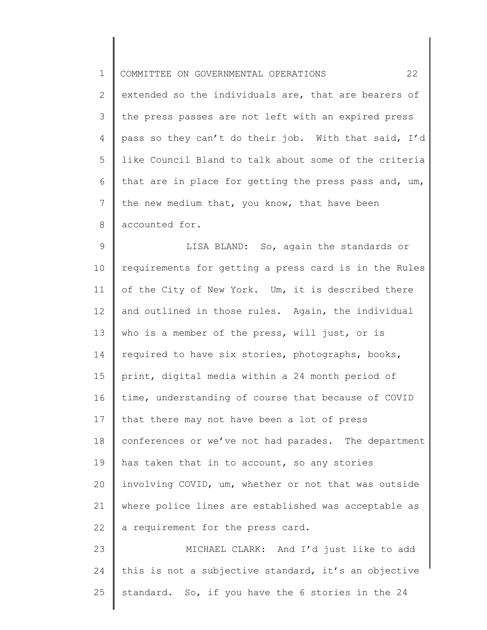| $\mathbf 1$ | 22<br>COMMITTEE ON GOVERNMENTAL OPERATIONS            |
|-------------|-------------------------------------------------------|
| 2           | extended so the individuals are, that are bearers of  |
| 3           | the press passes are not left with an expired press   |
| 4           | pass so they can't do their job. With that said, I'd  |
| 5           | like Council Bland to talk about some of the criteria |
| 6           | that are in place for getting the press pass and, um, |
| 7           | the new medium that, you know, that have been         |
| 8           | accounted for.                                        |
| 9           | LISA BLAND: So, again the standards or                |
| 10          | requirements for getting a press card is in the Rules |
| 11          | of the City of New York. Um, it is described there    |
| 12          | and outlined in those rules. Again, the individual    |
| 13          | who is a member of the press, will just, or is        |
| 14          | required to have six stories, photographs, books,     |
| 15          | print, digital media within a 24 month period of      |
| 16          | time, understanding of course that because of COVID   |
| 17          | that there may not have been a lot of press           |
| 18          | conferences or we've not had parades. The department  |
| 19          | has taken that in to account, so any stories          |
| 20          | involving COVID, um, whether or not that was outside  |
| 21          | where police lines are established was acceptable as  |
| 22          | a requirement for the press card.                     |
| 23          | MICHAEL CLARK: And I'd just like to add               |
| 24          | this is not a subjective standard, it's an objective  |
| 25          | standard. So, if you have the 6 stories in the 24     |
|             |                                                       |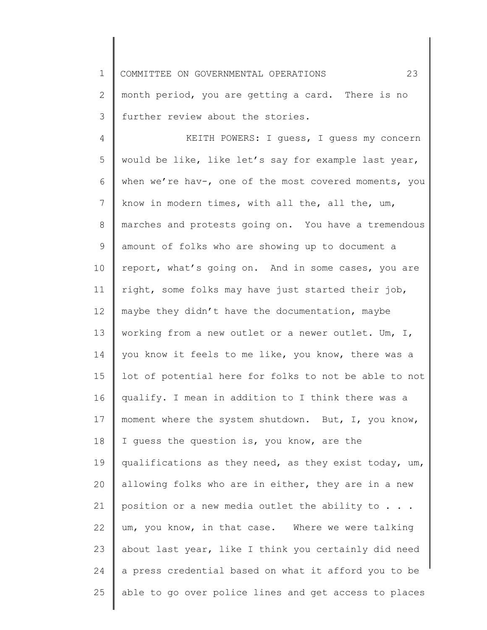1 COMMITTEE ON GOVERNMENTAL OPERATIONS 23

2 3 month period, you are getting a card. There is no further review about the stories.

4 5 6 7 8 9 10 11 12 13 14 15 16 17 18 19 20 21 22 23 24 25 KEITH POWERS: I guess, I guess my concern would be like, like let's say for example last year, when we're hav-, one of the most covered moments, you know in modern times, with all the, all the, um, marches and protests going on. You have a tremendous amount of folks who are showing up to document a report, what's going on. And in some cases, you are right, some folks may have just started their job, maybe they didn't have the documentation, maybe working from a new outlet or a newer outlet. Um, I, you know it feels to me like, you know, there was a lot of potential here for folks to not be able to not qualify. I mean in addition to I think there was a moment where the system shutdown. But, I, you know, I guess the question is, you know, are the qualifications as they need, as they exist today, um, allowing folks who are in either, they are in a new position or a new media outlet the ability to . . . um, you know, in that case. Where we were talking about last year, like I think you certainly did need a press credential based on what it afford you to be able to go over police lines and get access to places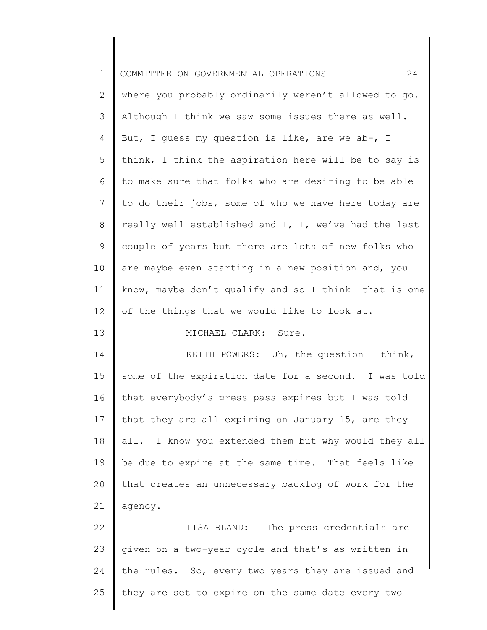| $\mathbf 1$ | 24<br>COMMITTEE ON GOVERNMENTAL OPERATIONS           |
|-------------|------------------------------------------------------|
| 2           | where you probably ordinarily weren't allowed to go. |
| 3           | Although I think we saw some issues there as well.   |
| 4           | But, I guess my question is like, are we ab-, I      |
| 5           | think, I think the aspiration here will be to say is |
| 6           | to make sure that folks who are desiring to be able  |
| 7           | to do their jobs, some of who we have here today are |
| 8           | really well established and I, I, we've had the last |
| $\mathsf 9$ | couple of years but there are lots of new folks who  |
| 10          | are maybe even starting in a new position and, you   |
| 11          | know, maybe don't qualify and so I think that is one |
| 12          | of the things that we would like to look at.         |
| 13          | MICHAEL CLARK: Sure.                                 |
| 14          | KEITH POWERS: Uh, the question I think,              |
| 15          | some of the expiration date for a second. I was told |
| 16          | that everybody's press pass expires but I was told   |
| 17          | that they are all expiring on January 15, are they   |
| 18          | all. I know you extended them but why would they all |
| 19          | be due to expire at the same time. That feels like   |
| 20          | that creates an unnecessary backlog of work for the  |
| 21          | agency.                                              |
| 22          | The press credentials are<br>LISA BLAND:             |
| 23          | given on a two-year cycle and that's as written in   |
| 24          | the rules. So, every two years they are issued and   |
| 25          | they are set to expire on the same date every two    |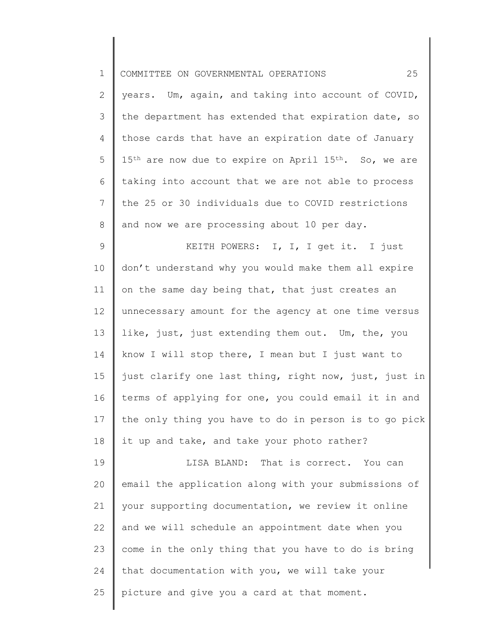| $\mathbf 1$  | 25<br>COMMITTEE ON GOVERNMENTAL OPERATIONS                                    |
|--------------|-------------------------------------------------------------------------------|
| $\mathbf{2}$ | years. Um, again, and taking into account of COVID,                           |
| 3            | the department has extended that expiration date, so                          |
| 4            | those cards that have an expiration date of January                           |
| 5            | 15 <sup>th</sup> are now due to expire on April 15 <sup>th</sup> . So, we are |
| 6            | taking into account that we are not able to process                           |
| 7            | the 25 or 30 individuals due to COVID restrictions                            |
| $8\,$        | and now we are processing about 10 per day.                                   |
| $\mathsf 9$  | KEITH POWERS: I, I, I get it. I just                                          |
| 10           | don't understand why you would make them all expire                           |
| 11           | on the same day being that, that just creates an                              |
| 12           | unnecessary amount for the agency at one time versus                          |
| 13           | like, just, just extending them out. Um, the, you                             |
| 14           | know I will stop there, I mean but I just want to                             |
| 15           | just clarify one last thing, right now, just, just in                         |
| 16           | terms of applying for one, you could email it in and                          |
| 17           | the only thing you have to do in person is to go pick                         |
| 18           | it up and take, and take your photo rather?                                   |
| 19           | LISA BLAND: That is correct. You can                                          |
| 20           | email the application along with your submissions of                          |
| 21           | your supporting documentation, we review it online                            |
| 22           | and we will schedule an appointment date when you                             |
| 23           | come in the only thing that you have to do is bring                           |
| 24           | that documentation with you, we will take your                                |
| 25           | picture and give you a card at that moment.                                   |
|              |                                                                               |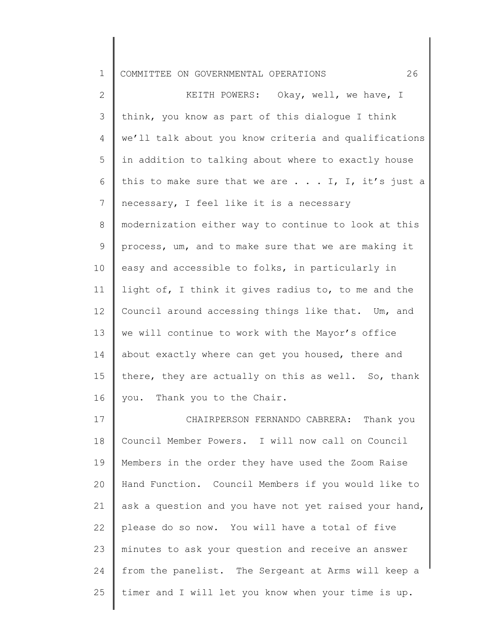| $\mathbf 1$     | 26<br>COMMITTEE ON GOVERNMENTAL OPERATIONS                 |
|-----------------|------------------------------------------------------------|
| $\mathbf{2}$    | KEITH POWERS: Okay, well, we have, I                       |
| 3               | think, you know as part of this dialogue I think           |
| 4               | we'll talk about you know criteria and qualifications      |
| 5               | in addition to talking about where to exactly house        |
| 6               | this to make sure that we are $\ldots$ . I, I, it's just a |
| $7\phantom{.0}$ | necessary, I feel like it is a necessary                   |
| 8               | modernization either way to continue to look at this       |
| 9               | process, um, and to make sure that we are making it        |
| 10              | easy and accessible to folks, in particularly in           |
| 11              | light of, I think it gives radius to, to me and the        |
| 12              | Council around accessing things like that. Um, and         |
| 13              | we will continue to work with the Mayor's office           |
| 14              | about exactly where can get you housed, there and          |
| 15              | there, they are actually on this as well. So, thank        |
| 16              | you. Thank you to the Chair.                               |
| 17              | CHAIRPERSON FERNANDO CABRERA: Thank you                    |
| 18              | Council Member Powers. I will now call on Council          |
| 19              | Members in the order they have used the Zoom Raise         |
| 20              | Hand Function. Council Members if you would like to        |
| 21              | ask a question and you have not yet raised your hand,      |
| 22              | please do so now. You will have a total of five            |
| 23              | minutes to ask your question and receive an answer         |

25 timer and I will let you know when your time is up.

from the panelist. The Sergeant at Arms will keep a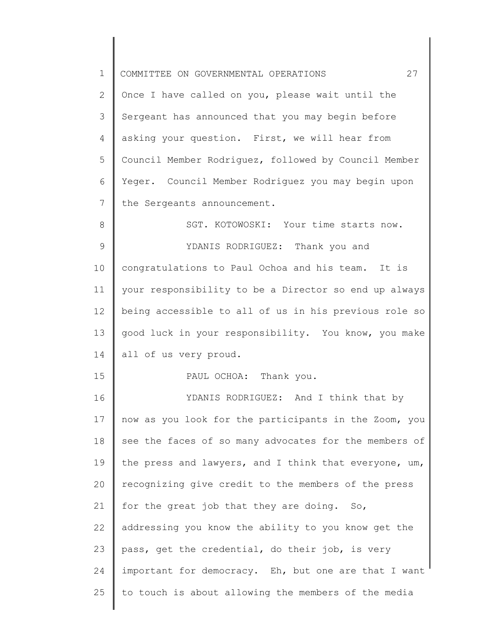| $\mathbf 1$     | 27<br>COMMITTEE ON GOVERNMENTAL OPERATIONS            |
|-----------------|-------------------------------------------------------|
| 2               | Once I have called on you, please wait until the      |
| 3               | Sergeant has announced that you may begin before      |
| 4               | asking your question. First, we will hear from        |
| 5               | Council Member Rodriguez, followed by Council Member  |
| 6               | Yeger. Council Member Rodriguez you may begin upon    |
| $7\phantom{.0}$ | the Sergeants announcement.                           |
| 8               | SGT. KOTOWOSKI: Your time starts now.                 |
| 9               | YDANIS RODRIGUEZ: Thank you and                       |
| 10              | congratulations to Paul Ochoa and his team. It is     |
| 11              | your responsibility to be a Director so end up always |
| 12              | being accessible to all of us in his previous role so |
| 13              | good luck in your responsibility. You know, you make  |
| 14              | all of us very proud.                                 |
| 15              | PAUL OCHOA: Thank you.                                |
| 16              | YDANIS RODRIGUEZ: And I think that by                 |
| 17              | now as you look for the participants in the Zoom, you |
| 18              | see the faces of so many advocates for the members of |
| 19              | the press and lawyers, and I think that everyone, um, |
| 20              | recognizing give credit to the members of the press   |
| 21              | for the great job that they are doing. So,            |
| 22              | addressing you know the ability to you know get the   |
| 23              | pass, get the credential, do their job, is very       |
| 24              | important for democracy. Eh, but one are that I want  |
| 25              | to touch is about allowing the members of the media   |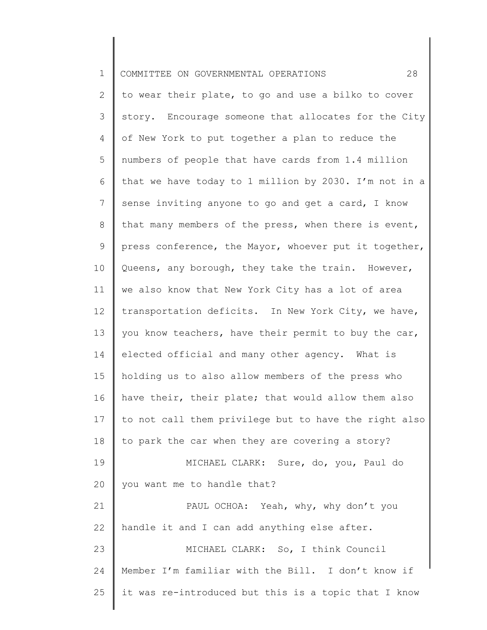| $\mathbf 1$ | 28<br>COMMITTEE ON GOVERNMENTAL OPERATIONS            |
|-------------|-------------------------------------------------------|
| 2           | to wear their plate, to go and use a bilko to cover   |
| 3           | story. Encourage someone that allocates for the City  |
| 4           | of New York to put together a plan to reduce the      |
| 5           | numbers of people that have cards from 1.4 million    |
| 6           | that we have today to 1 million by 2030. I'm not in a |
| 7           | sense inviting anyone to go and get a card, I know    |
| $8\,$       | that many members of the press, when there is event,  |
| $\mathsf 9$ | press conference, the Mayor, whoever put it together, |
| 10          | Queens, any borough, they take the train. However,    |
| 11          | we also know that New York City has a lot of area     |
| 12          | transportation deficits. In New York City, we have,   |
| 13          | you know teachers, have their permit to buy the car,  |
| 14          | elected official and many other agency. What is       |
| 15          | holding us to also allow members of the press who     |
| 16          | have their, their plate; that would allow them also   |
| 17          | to not call them privilege but to have the right also |
| 18          | to park the car when they are covering a story?       |
| 19          | MICHAEL CLARK: Sure, do, you, Paul do                 |
| 20          | you want me to handle that?                           |
| 21          | PAUL OCHOA: Yeah, why, why don't you                  |
| 22          | handle it and I can add anything else after.          |
| 23          | MICHAEL CLARK: So, I think Council                    |
| 24          | Member I'm familiar with the Bill. I don't know if    |
| 25          | it was re-introduced but this is a topic that I know  |
|             |                                                       |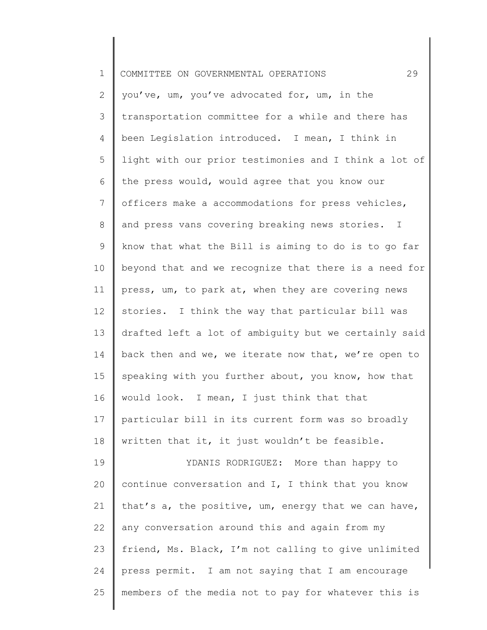| $\mathbf 1$ | 29<br>COMMITTEE ON GOVERNMENTAL OPERATIONS            |
|-------------|-------------------------------------------------------|
| 2           | you've, um, you've advocated for, um, in the          |
| 3           | transportation committee for a while and there has    |
| 4           | been Legislation introduced. I mean, I think in       |
| 5           | light with our prior testimonies and I think a lot of |
| 6           | the press would, would agree that you know our        |
| 7           | officers make a accommodations for press vehicles,    |
| 8           | and press vans covering breaking news stories. I      |
| 9           | know that what the Bill is aiming to do is to go far  |
| 10          | beyond that and we recognize that there is a need for |
| 11          | press, um, to park at, when they are covering news    |
| 12          | stories. I think the way that particular bill was     |
| 13          | drafted left a lot of ambiguity but we certainly said |
| 14          | back then and we, we iterate now that, we're open to  |
| 15          | speaking with you further about, you know, how that   |
| 16          | would look. I mean, I just think that that            |
| 17          | particular bill in its current form was so broadly    |
| 18          | written that it, it just wouldn't be feasible.        |
| 19          | YDANIS RODRIGUEZ: More than happy to                  |
| 20          | continue conversation and I, I think that you know    |
| 21          | that's a, the positive, um, energy that we can have,  |
| 22          | any conversation around this and again from my        |
| 23          | friend, Ms. Black, I'm not calling to give unlimited  |
| 24          | press permit. I am not saying that I am encourage     |
| 25          | members of the media not to pay for whatever this is  |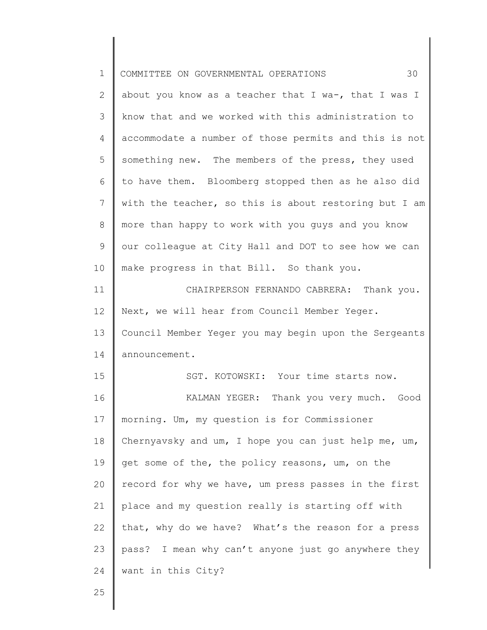| $\mathbf 1$    | 30<br>COMMITTEE ON GOVERNMENTAL OPERATIONS            |
|----------------|-------------------------------------------------------|
| $\overline{2}$ | about you know as a teacher that I wa-, that I was I  |
| 3              | know that and we worked with this administration to   |
| $\overline{4}$ | accommodate a number of those permits and this is not |
| 5              | something new. The members of the press, they used    |
| 6              | to have them. Bloomberg stopped then as he also did   |
| 7              | with the teacher, so this is about restoring but I am |
| 8              | more than happy to work with you guys and you know    |
| $\mathsf 9$    | our colleague at City Hall and DOT to see how we can  |
| 10             | make progress in that Bill. So thank you.             |
| 11             | CHAIRPERSON FERNANDO CABRERA: Thank you.              |
| 12             | Next, we will hear from Council Member Yeger.         |
| 13             | Council Member Yeger you may begin upon the Sergeants |
| 14             | announcement.                                         |
| 15             | SGT. KOTOWSKI: Your time starts now.                  |
| 16             | Thank you very much. Good<br>KALMAN YEGER:            |
| 17             | morning. Um, my question is for Commissioner          |
| 18             | Chernyavsky and um, I hope you can just help me, um,  |
| 19             | get some of the, the policy reasons, um, on the       |
| 20             | record for why we have, um press passes in the first  |
| 21             | place and my question really is starting off with     |
| 22             | that, why do we have? What's the reason for a press   |
| 23             | pass? I mean why can't anyone just go anywhere they   |
| 24             | want in this City?                                    |
| 25             |                                                       |
|                |                                                       |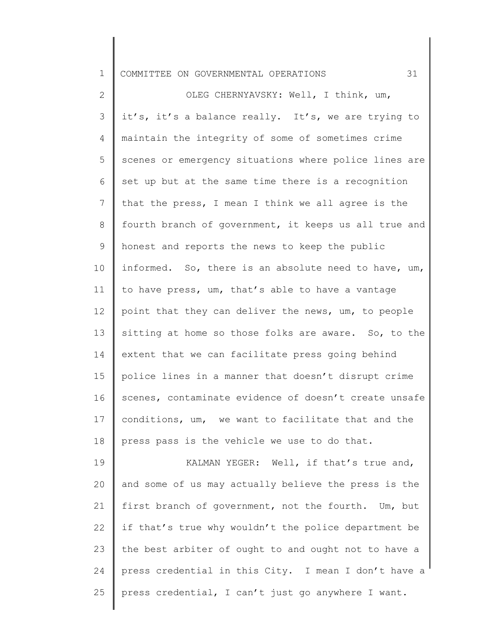| ᅩ |  |  | COMMITTEE ON GOVERNMENTAL OPERATIONS |  |  |
|---|--|--|--------------------------------------|--|--|
|---|--|--|--------------------------------------|--|--|

2 3 4 5 6 7 8 9 10 11 12 13 14 15 16 17 18 OLEG CHERNYAVSKY: Well, I think, um, it's, it's a balance really. It's, we are trying to maintain the integrity of some of sometimes crime scenes or emergency situations where police lines are set up but at the same time there is a recognition that the press, I mean I think we all agree is the fourth branch of government, it keeps us all true and honest and reports the news to keep the public informed. So, there is an absolute need to have, um, to have press, um, that's able to have a vantage point that they can deliver the news, um, to people sitting at home so those folks are aware. So, to the extent that we can facilitate press going behind police lines in a manner that doesn't disrupt crime scenes, contaminate evidence of doesn't create unsafe conditions, um, we want to facilitate that and the press pass is the vehicle we use to do that.

19 20 21 22 23 24 25 KALMAN YEGER: Well, if that's true and, and some of us may actually believe the press is the first branch of government, not the fourth. Um, but if that's true why wouldn't the police department be the best arbiter of ought to and ought not to have a press credential in this City. I mean I don't have a press credential, I can't just go anywhere I want.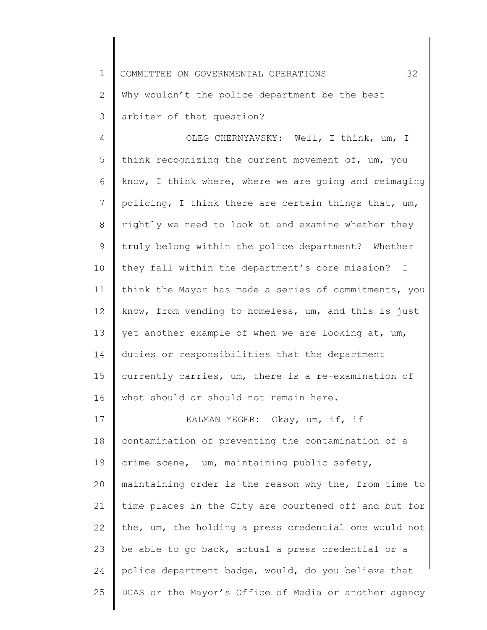1 2 3 COMMITTEE ON GOVERNMENTAL OPERATIONS 32 Why wouldn't the police department be the best arbiter of that question?

4 5 6 7 8 9 10 11 12 13 14 15 16 OLEG CHERNYAVSKY: Well, I think, um, I think recognizing the current movement of, um, you know, I think where, where we are going and reimaging policing, I think there are certain things that, um, rightly we need to look at and examine whether they truly belong within the police department? Whether they fall within the department's core mission? I think the Mayor has made a series of commitments, you know, from vending to homeless, um, and this is just yet another example of when we are looking at, um, duties or responsibilities that the department currently carries, um, there is a re-examination of what should or should not remain here.

17 18 19 20 21 22 23 24 25 KALMAN YEGER: Okay, um, if, if contamination of preventing the contamination of a crime scene, um, maintaining public safety, maintaining order is the reason why the, from time to time places in the City are courtened off and but for the, um, the holding a press credential one would not be able to go back, actual a press credential or a police department badge, would, do you believe that DCAS or the Mayor's Office of Media or another agency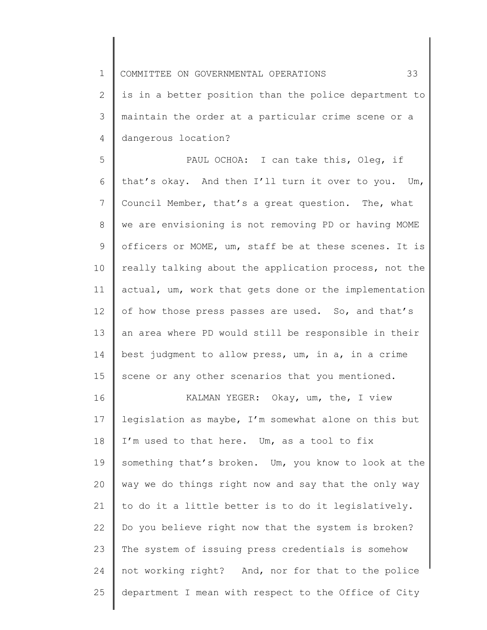1 2 3 4 COMMITTEE ON GOVERNMENTAL OPERATIONS 33 is in a better position than the police department to maintain the order at a particular crime scene or a dangerous location?

5 6 7 8 9 10 11 12 13 14 15 PAUL OCHOA: I can take this, Oleg, if that's okay. And then I'll turn it over to you. Um, Council Member, that's a great question. The, what we are envisioning is not removing PD or having MOME officers or MOME, um, staff be at these scenes. It is really talking about the application process, not the actual, um, work that gets done or the implementation of how those press passes are used. So, and that's an area where PD would still be responsible in their best judgment to allow press, um, in a, in a crime scene or any other scenarios that you mentioned.

16 17 18 19 20 21 22 23 24 25 KALMAN YEGER: Okay, um, the, I view legislation as maybe, I'm somewhat alone on this but I'm used to that here. Um, as a tool to fix something that's broken. Um, you know to look at the way we do things right now and say that the only way to do it a little better is to do it legislatively. Do you believe right now that the system is broken? The system of issuing press credentials is somehow not working right? And, nor for that to the police department I mean with respect to the Office of City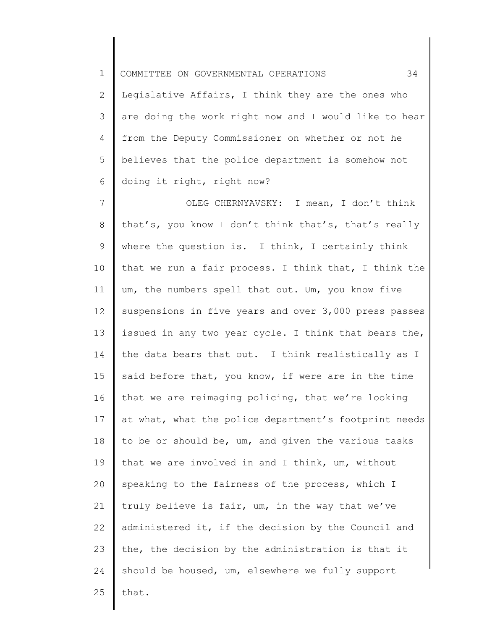1 2 3 4 5 6 COMMITTEE ON GOVERNMENTAL OPERATIONS 34 Legislative Affairs, I think they are the ones who are doing the work right now and I would like to hear from the Deputy Commissioner on whether or not he believes that the police department is somehow not doing it right, right now?

7 8 9 10 11 12 13 14 15 16 17 18 19 20 21 22 23 24 25 OLEG CHERNYAVSKY: I mean, I don't think that's, you know I don't think that's, that's really where the question is. I think, I certainly think that we run a fair process. I think that, I think the um, the numbers spell that out. Um, you know five suspensions in five years and over 3,000 press passes issued in any two year cycle. I think that bears the, the data bears that out. I think realistically as I said before that, you know, if were are in the time that we are reimaging policing, that we're looking at what, what the police department's footprint needs to be or should be, um, and given the various tasks that we are involved in and I think, um, without speaking to the fairness of the process, which I truly believe is fair, um, in the way that we've administered it, if the decision by the Council and the, the decision by the administration is that it should be housed, um, elsewhere we fully support that.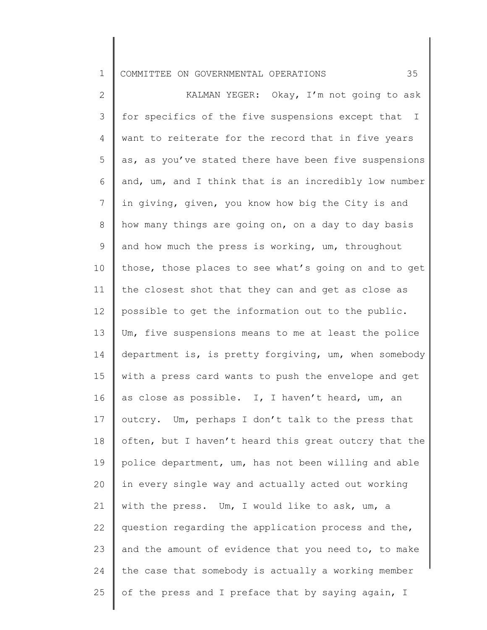## 1 COMMITTEE ON GOVERNMENTAL OPERATIONS 35

2 3 4 5 6 7 8 9 10 11 12 13 14 15 16 17 18 19 20 21 22 23 24 25 KALMAN YEGER: Okay, I'm not going to ask for specifics of the five suspensions except that I want to reiterate for the record that in five years as, as you've stated there have been five suspensions and, um, and I think that is an incredibly low number in giving, given, you know how big the City is and how many things are going on, on a day to day basis and how much the press is working, um, throughout those, those places to see what's going on and to get the closest shot that they can and get as close as possible to get the information out to the public. Um, five suspensions means to me at least the police department is, is pretty forgiving, um, when somebody with a press card wants to push the envelope and get as close as possible. I, I haven't heard, um, an outcry. Um, perhaps I don't talk to the press that often, but I haven't heard this great outcry that the police department, um, has not been willing and able in every single way and actually acted out working with the press. Um, I would like to ask, um, a question regarding the application process and the, and the amount of evidence that you need to, to make the case that somebody is actually a working member of the press and I preface that by saying again, I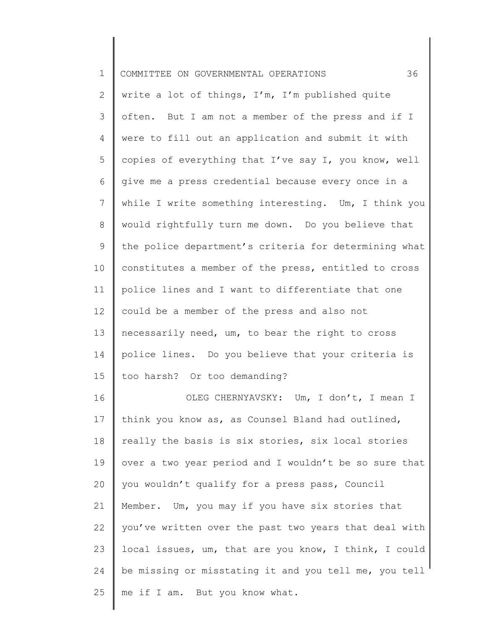| $\mathbf 1$    | 36<br>COMMITTEE ON GOVERNMENTAL OPERATIONS            |
|----------------|-------------------------------------------------------|
| 2              | write a lot of things, I'm, I'm published quite       |
| 3              | often. But I am not a member of the press and if I    |
| $\overline{4}$ | were to fill out an application and submit it with    |
| 5              | copies of everything that I've say I, you know, well  |
| 6              | give me a press credential because every once in a    |
| 7              | while I write something interesting. Um, I think you  |
| $\,8\,$        | would rightfully turn me down. Do you believe that    |
| 9              | the police department's criteria for determining what |
| 10             | constitutes a member of the press, entitled to cross  |
| 11             | police lines and I want to differentiate that one     |
| 12             | could be a member of the press and also not           |
| 13             | necessarily need, um, to bear the right to cross      |
| 14             | police lines. Do you believe that your criteria is    |
| 15             | too harsh? Or too demanding?                          |
| 16             | OLEG CHERNYAVSKY: Um, I don't, I mean I               |
| 17             | think you know as, as Counsel Bland had outlined,     |
| 18             | really the basis is six stories, six local stories    |
| 19             | over a two year period and I wouldn't be so sure that |
| 20             | you wouldn't qualify for a press pass, Council        |
| 21             | Member. Um, you may if you have six stories that      |
| 22             | you've written over the past two years that deal with |
| 23             | local issues, um, that are you know, I think, I could |
| 24             | be missing or misstating it and you tell me, you tell |
| 25             | me if I am. But you know what.                        |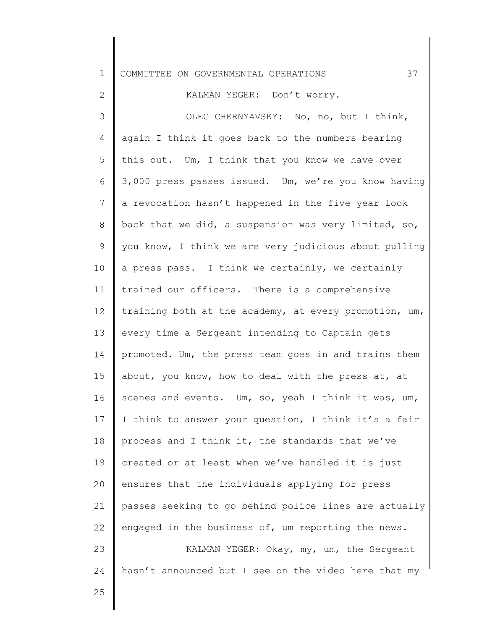| $\mathbf 1$    | 37<br>COMMITTEE ON GOVERNMENTAL OPERATIONS            |
|----------------|-------------------------------------------------------|
| 2              | KALMAN YEGER: Don't worry.                            |
| 3              | OLEG CHERNYAVSKY: No, no, but I think,                |
| 4              | again I think it goes back to the numbers bearing     |
| 5              | this out. Um, I think that you know we have over      |
| 6              | 3,000 press passes issued. Um, we're you know having  |
| $7\phantom{.}$ | a revocation hasn't happened in the five year look    |
| 8              | back that we did, a suspension was very limited, so,  |
| 9              | you know, I think we are very judicious about pulling |
| 10             | a press pass. I think we certainly, we certainly      |
| 11             | trained our officers. There is a comprehensive        |
| 12             | training both at the academy, at every promotion, um, |
| 13             | every time a Sergeant intending to Captain gets       |
| 14             | promoted. Um, the press team goes in and trains them  |
| 15             | about, you know, how to deal with the press at, at    |
| 16             | scenes and events. Um, so, yeah I think it was, um,   |
| 17             | I think to answer your question, I think it's a fair  |
| 18             | process and I think it, the standards that we've      |
| 19             | created or at least when we've handled it is just     |
| 20             | ensures that the individuals applying for press       |
| 21             | passes seeking to go behind police lines are actually |
| 22             | engaged in the business of, um reporting the news.    |
| 23             | KALMAN YEGER: Okay, my, um, the Sergeant              |
| 24             | hasn't announced but I see on the video here that my  |
| 25             |                                                       |

 $\mathsf I$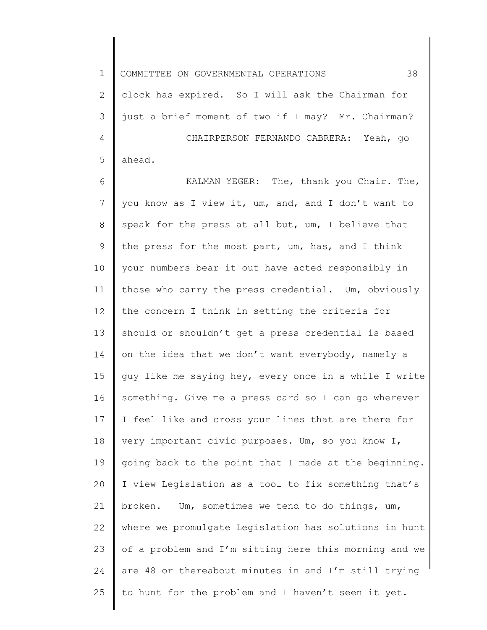1 2 3 4 5 COMMITTEE ON GOVERNMENTAL OPERATIONS 38 clock has expired. So I will ask the Chairman for just a brief moment of two if I may? Mr. Chairman? CHAIRPERSON FERNANDO CABRERA: Yeah, go ahead.

6 7 8 9 10 11 12 13 14 15 16 17 18 19 20 21 22 23 24 25 KALMAN YEGER: The, thank you Chair. The, you know as I view it, um, and, and I don't want to speak for the press at all but, um, I believe that the press for the most part, um, has, and I think your numbers bear it out have acted responsibly in those who carry the press credential. Um, obviously the concern I think in setting the criteria for should or shouldn't get a press credential is based on the idea that we don't want everybody, namely a guy like me saying hey, every once in a while I write something. Give me a press card so I can go wherever I feel like and cross your lines that are there for very important civic purposes. Um, so you know I, going back to the point that I made at the beginning. I view Legislation as a tool to fix something that's broken. Um, sometimes we tend to do things, um, where we promulgate Legislation has solutions in hunt of a problem and I'm sitting here this morning and we are 48 or thereabout minutes in and I'm still trying to hunt for the problem and I haven't seen it yet.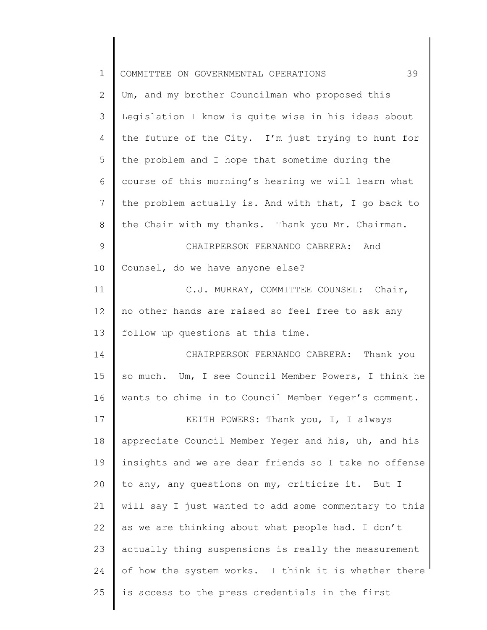| $\mathbf 1$    | 39<br>COMMITTEE ON GOVERNMENTAL OPERATIONS            |
|----------------|-------------------------------------------------------|
| $\mathbf{2}$   | Um, and my brother Councilman who proposed this       |
| 3              | Legislation I know is quite wise in his ideas about   |
| $\overline{4}$ | the future of the City. I'm just trying to hunt for   |
| 5              | the problem and I hope that sometime during the       |
| 6              | course of this morning's hearing we will learn what   |
| $7\phantom{.}$ | the problem actually is. And with that, I go back to  |
| $\,8\,$        | the Chair with my thanks. Thank you Mr. Chairman.     |
| $\mathsf 9$    | CHAIRPERSON FERNANDO CABRERA: And                     |
| 10             | Counsel, do we have anyone else?                      |
| 11             | C.J. MURRAY, COMMITTEE COUNSEL: Chair,                |
| 12             | no other hands are raised so feel free to ask any     |
| 13             | follow up questions at this time.                     |
| 14             | CHAIRPERSON FERNANDO CABRERA: Thank you               |
| 15             | so much. Um, I see Council Member Powers, I think he  |
| 16             | wants to chime in to Council Member Yeger's comment.  |
| 17             | KEITH POWERS: Thank you, I, I always                  |
| 18             | appreciate Council Member Yeger and his, uh, and his  |
| 19             | insights and we are dear friends so I take no offense |
| 20             | to any, any questions on my, criticize it. But I      |
| 21             | will say I just wanted to add some commentary to this |
| 22             | as we are thinking about what people had. I don't     |
| 23             | actually thing suspensions is really the measurement  |
| 24             | of how the system works. I think it is whether there  |
| 25             | is access to the press credentials in the first       |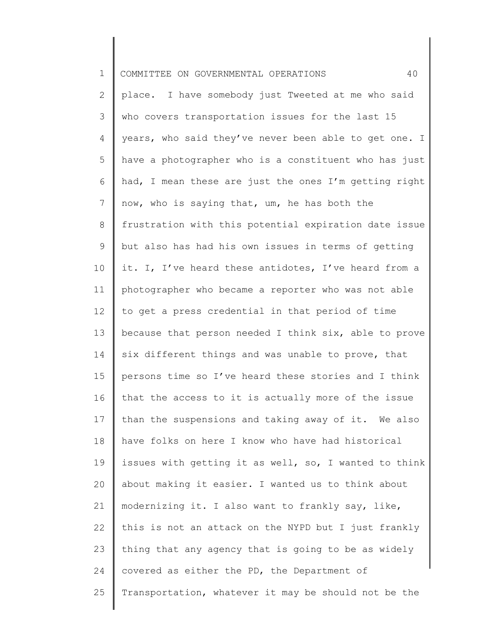| $1\,$           | 40<br>COMMITTEE ON GOVERNMENTAL OPERATIONS            |
|-----------------|-------------------------------------------------------|
| $\overline{2}$  | place. I have somebody just Tweeted at me who said    |
| 3               | who covers transportation issues for the last 15      |
| 4               | years, who said they've never been able to get one. I |
| 5               | have a photographer who is a constituent who has just |
| 6               | had, I mean these are just the ones I'm getting right |
| $7\phantom{.0}$ | now, who is saying that, um, he has both the          |
| 8               | frustration with this potential expiration date issue |
| 9               | but also has had his own issues in terms of getting   |
| 10              | it. I, I've heard these antidotes, I've heard from a  |
| 11              | photographer who became a reporter who was not able   |
| 12              | to get a press credential in that period of time      |
| 13              | because that person needed I think six, able to prove |
| 14              | six different things and was unable to prove, that    |
| 15              | persons time so I've heard these stories and I think  |
| 16              | that the access to it is actually more of the issue   |
| 17              | than the suspensions and taking away of it. We also   |
| 18              | have folks on here I know who have had historical     |
| 19              | issues with getting it as well, so, I wanted to think |
| 20              | about making it easier. I wanted us to think about    |
| 21              | modernizing it. I also want to frankly say, like,     |
| 22              | this is not an attack on the NYPD but I just frankly  |
| 23              | thing that any agency that is going to be as widely   |
| 24              | covered as either the PD, the Department of           |
| 25              | Transportation, whatever it may be should not be the  |
|                 |                                                       |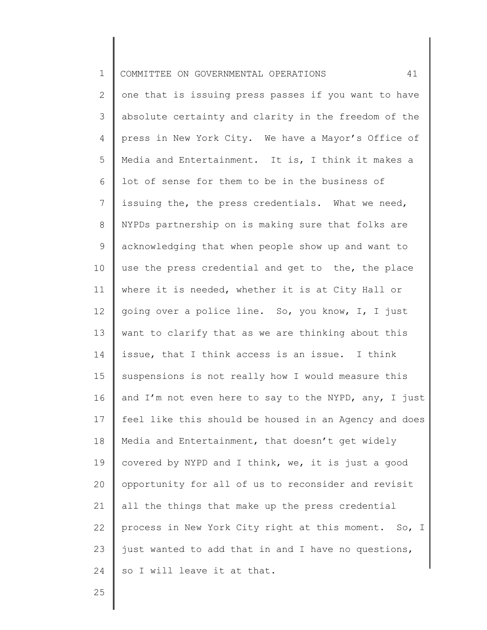| $\mathbf 1$    | 41<br>COMMITTEE ON GOVERNMENTAL OPERATIONS            |
|----------------|-------------------------------------------------------|
| 2              | one that is issuing press passes if you want to have  |
| 3              | absolute certainty and clarity in the freedom of the  |
| 4              | press in New York City. We have a Mayor's Office of   |
| 5              | Media and Entertainment. It is, I think it makes a    |
| 6              | lot of sense for them to be in the business of        |
| $\overline{7}$ | issuing the, the press credentials. What we need,     |
| 8              | NYPDs partnership on is making sure that folks are    |
| $\mathsf 9$    | acknowledging that when people show up and want to    |
| 10             | use the press credential and get to the, the place    |
| 11             | where it is needed, whether it is at City Hall or     |
| 12             | going over a police line. So, you know, I, I just     |
| 13             | want to clarify that as we are thinking about this    |
| 14             | issue, that I think access is an issue. I think       |
| 15             | suspensions is not really how I would measure this    |
| 16             | and I'm not even here to say to the NYPD, any, I just |
| 17             | feel like this should be housed in an Agency and does |
| 18             | Media and Entertainment, that doesn't get widely      |
| 19             | covered by NYPD and I think, we, it is just a good    |
| 20             | opportunity for all of us to reconsider and revisit   |
| 21             | all the things that make up the press credential      |
| 22             | process in New York City right at this moment. So, I  |
| 23             | just wanted to add that in and I have no questions,   |
| 24             | so I will leave it at that.                           |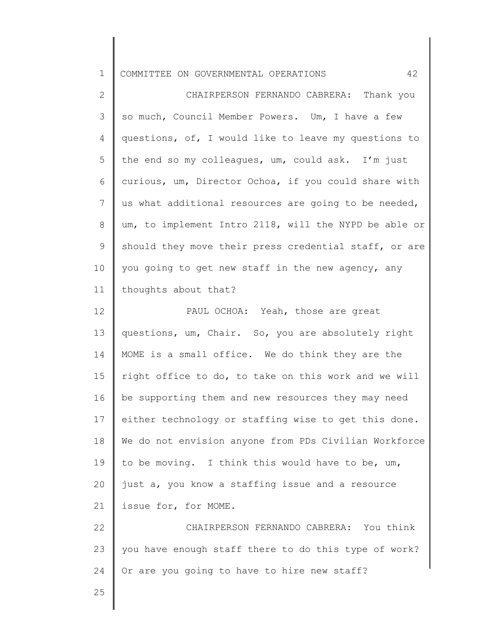| ᅩ |  |  | COMMITTEE ON GOVERNMENTAL OPERATIONS |  |  |
|---|--|--|--------------------------------------|--|--|
|---|--|--|--------------------------------------|--|--|

2 3 4 5 6 7 8 9 10 11 CHAIRPERSON FERNANDO CABRERA: Thank you so much, Council Member Powers. Um, I have a few questions, of, I would like to leave my questions to the end so my colleagues, um, could ask. I'm just curious, um, Director Ochoa, if you could share with us what additional resources are going to be needed, um, to implement Intro 2118, will the NYPD be able or should they move their press credential staff, or are you going to get new staff in the new agency, any thoughts about that?

12 13 14 15 16 17 18 19 20 21 PAUL OCHOA: Yeah, those are great questions, um, Chair. So, you are absolutely right MOME is a small office. We do think they are the right office to do, to take on this work and we will be supporting them and new resources they may need either technology or staffing wise to get this done. We do not envision anyone from PDs Civilian Workforce to be moving. I think this would have to be, um, just a, you know a staffing issue and a resource issue for, for MOME.

22 23 24 CHAIRPERSON FERNANDO CABRERA: You think you have enough staff there to do this type of work? Or are you going to have to hire new staff?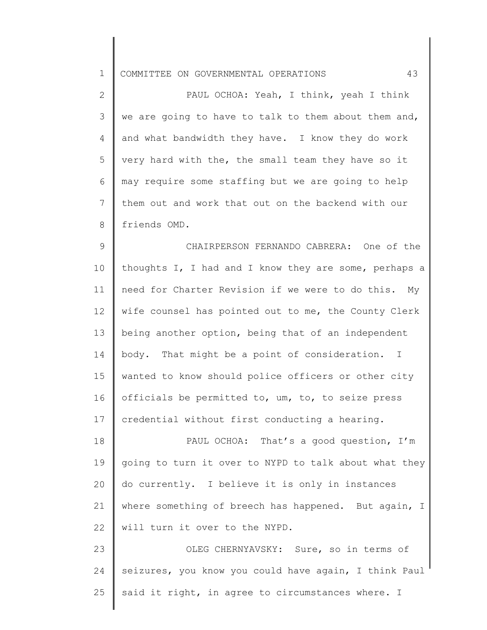1 COMMITTEE ON GOVERNMENTAL OPERATIONS 43

2 3 4 5 6 7 8 9 10 11 12 13 14 15 PAUL OCHOA: Yeah, I think, yeah I think we are going to have to talk to them about them and, and what bandwidth they have. I know they do work very hard with the, the small team they have so it may require some staffing but we are going to help them out and work that out on the backend with our friends OMD. CHAIRPERSON FERNANDO CABRERA: One of the thoughts I, I had and I know they are some, perhaps a need for Charter Revision if we were to do this. My wife counsel has pointed out to me, the County Clerk being another option, being that of an independent body. That might be a point of consideration. I wanted to know should police officers or other city

16 17 officials be permitted to, um, to, to seize press credential without first conducting a hearing.

18 19 20 21 22 PAUL OCHOA: That's a good question, I'm going to turn it over to NYPD to talk about what they do currently. I believe it is only in instances where something of breech has happened. But again, I will turn it over to the NYPD.

23 24 25 OLEG CHERNYAVSKY: Sure, so in terms of seizures, you know you could have again, I think Paul said it right, in agree to circumstances where. I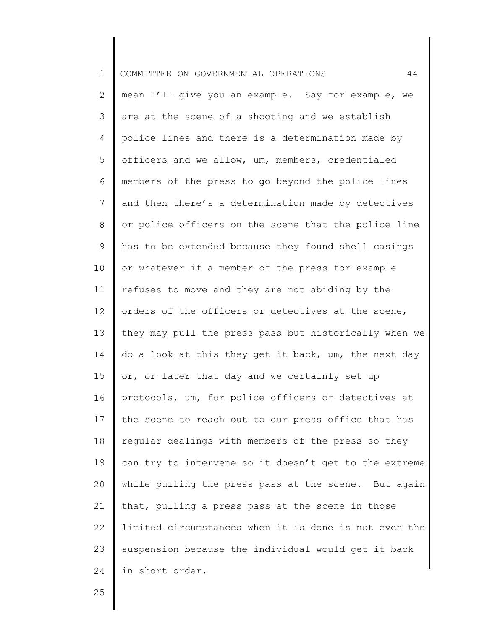| $\mathbf 1$     | 44<br>COMMITTEE ON GOVERNMENTAL OPERATIONS            |
|-----------------|-------------------------------------------------------|
| 2               | mean I'll give you an example. Say for example, we    |
| 3               | are at the scene of a shooting and we establish       |
| 4               | police lines and there is a determination made by     |
| 5               | officers and we allow, um, members, credentialed      |
| 6               | members of the press to go beyond the police lines    |
| $7\phantom{.0}$ | and then there's a determination made by detectives   |
| 8               | or police officers on the scene that the police line  |
| 9               | has to be extended because they found shell casings   |
| 10              | or whatever if a member of the press for example      |
| 11              | refuses to move and they are not abiding by the       |
| 12              | orders of the officers or detectives at the scene,    |
| 13              | they may pull the press pass but historically when we |
| 14              | do a look at this they get it back, um, the next day  |
| 15              | or, or later that day and we certainly set up         |
| 16              | protocols, um, for police officers or detectives at   |
| 17              | the scene to reach out to our press office that has   |
| 18              | regular dealings with members of the press so they    |
| 19              | can try to intervene so it doesn't get to the extreme |
| 20              | while pulling the press pass at the scene. But again  |
| 21              | that, pulling a press pass at the scene in those      |
| 22              | limited circumstances when it is done is not even the |
| 23              | suspension because the individual would get it back   |
| 24              | in short order.                                       |
|                 |                                                       |

Ι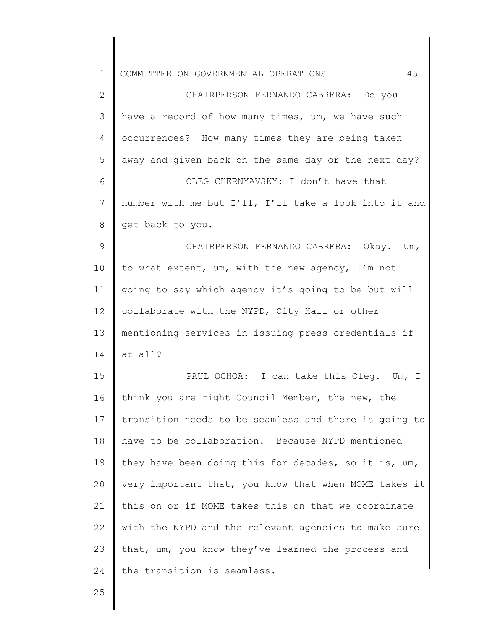| $\mathbf 1$   | 45<br>COMMITTEE ON GOVERNMENTAL OPERATIONS            |
|---------------|-------------------------------------------------------|
| $\mathbf{2}$  | CHAIRPERSON FERNANDO CABRERA: Do you                  |
| 3             | have a record of how many times, um, we have such     |
| 4             | occurrences? How many times they are being taken      |
| 5             | away and given back on the same day or the next day?  |
| 6             | OLEG CHERNYAVSKY: I don't have that                   |
| 7             | number with me but I'll, I'll take a look into it and |
| 8             | get back to you.                                      |
| $\mathcal{G}$ | CHAIRPERSON FERNANDO CABRERA: Okay. Um,               |
| 10            | to what extent, um, with the new agency, I'm not      |
| 11            | going to say which agency it's going to be but will   |
| 12            | collaborate with the NYPD, City Hall or other         |
| 13            | mentioning services in issuing press credentials if   |
| 14            | at all?                                               |
| 15            | PAUL OCHOA: I can take this Oleg. Um,<br>$\perp$      |
| 16            | think you are right Council Member, the new, the      |
| 17            | transition needs to be seamless and there is going to |
| 18            | have to be collaboration. Because NYPD mentioned      |
| 19            | they have been doing this for decades, so it is, um,  |
| 20            | very important that, you know that when MOME takes it |
| 21            | this on or if MOME takes this on that we coordinate   |
| 22            | with the NYPD and the relevant agencies to make sure  |
| 23            | that, um, you know they've learned the process and    |
| 24            | the transition is seamless.                           |
| 25            |                                                       |
|               |                                                       |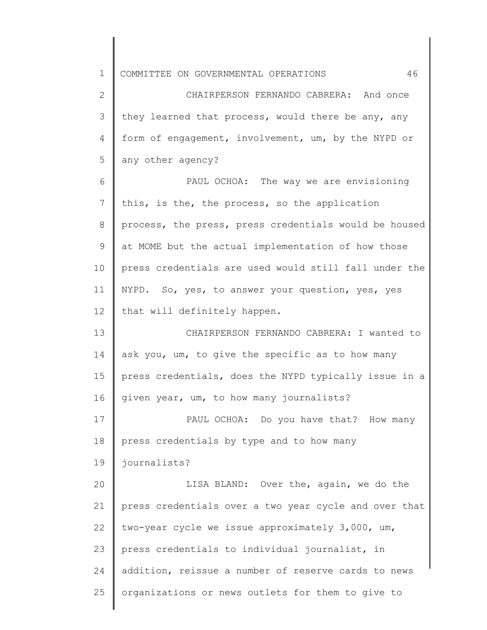1 2 3 4 5 6 7 8 9 10 11 12 13 14 15 16 17 18 19 20 21 22 23 24 25 COMMITTEE ON GOVERNMENTAL OPERATIONS 46 CHAIRPERSON FERNANDO CABRERA: And once they learned that process, would there be any, any form of engagement, involvement, um, by the NYPD or any other agency? PAUL OCHOA: The way we are envisioning this, is the, the process, so the application process, the press, press credentials would be housed at MOME but the actual implementation of how those press credentials are used would still fall under the NYPD. So, yes, to answer your question, yes, yes that will definitely happen. CHAIRPERSON FERNANDO CABRERA: I wanted to ask you, um, to give the specific as to how many press credentials, does the NYPD typically issue in a given year, um, to how many journalists? PAUL OCHOA: Do you have that? How many press credentials by type and to how many journalists? LISA BLAND: Over the, again, we do the press credentials over a two year cycle and over that two-year cycle we issue approximately 3,000, um, press credentials to individual journalist, in addition, reissue a number of reserve cards to news organizations or news outlets for them to give to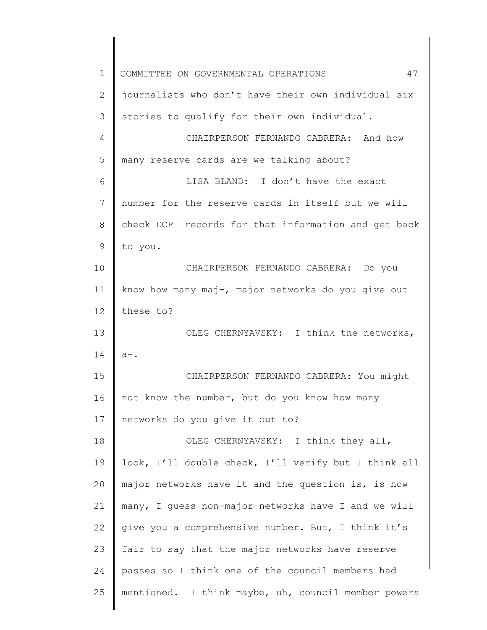1 2 3 4 5 6 7 8 9 10 11 12 13 14 15 16 17 18 19 20 21 22 23 24 25 COMMITTEE ON GOVERNMENTAL OPERATIONS 47 journalists who don't have their own individual six stories to qualify for their own individual. CHAIRPERSON FERNANDO CABRERA: And how many reserve cards are we talking about? LISA BLAND: I don't have the exact number for the reserve cards in itself but we will check DCPI records for that information and get back to you. CHAIRPERSON FERNANDO CABRERA: Do you know how many maj-, major networks do you give out these to? OLEG CHERNYAVSKY: I think the networks, a-. CHAIRPERSON FERNANDO CABRERA: You might not know the number, but do you know how many networks do you give it out to? OLEG CHERNYAVSKY: I think they all, look, I'll double check, I'll verify but I think all major networks have it and the question is, is how many, I guess non-major networks have I and we will give you a comprehensive number. But, I think it's fair to say that the major networks have reserve passes so I think one of the council members had mentioned. I think maybe, uh, council member powers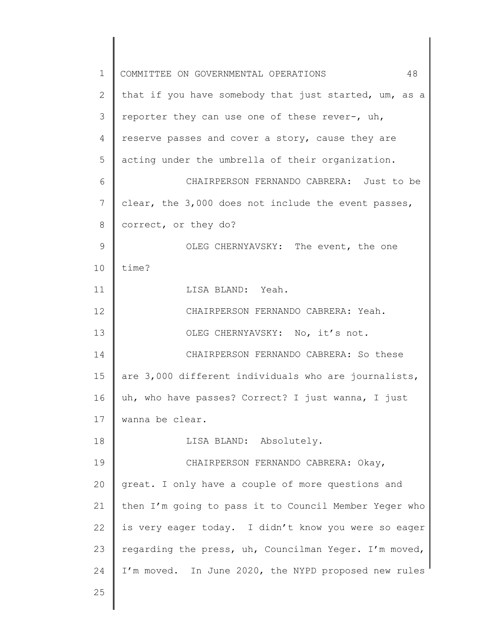| $\mathbf 1$     | 48<br>COMMITTEE ON GOVERNMENTAL OPERATIONS            |
|-----------------|-------------------------------------------------------|
| 2               | that if you have somebody that just started, um, as a |
| 3               | reporter they can use one of these rever-, uh,        |
| 4               | reserve passes and cover a story, cause they are      |
| 5               | acting under the umbrella of their organization.      |
| 6               | CHAIRPERSON FERNANDO CABRERA: Just to be              |
| $7\phantom{.}$  | clear, the 3,000 does not include the event passes,   |
| 8               | correct, or they do?                                  |
| $\mathsf 9$     | OLEG CHERNYAVSKY: The event, the one                  |
| 10              | time?                                                 |
| 11              | LISA BLAND: Yeah.                                     |
| 12 <sup>2</sup> | CHAIRPERSON FERNANDO CABRERA: Yeah.                   |
| 13              | OLEG CHERNYAVSKY: No, it's not.                       |
| 14              | CHAIRPERSON FERNANDO CABRERA: So these                |
| 15              | are 3,000 different individuals who are journalists,  |
| 16              | uh, who have passes? Correct? I just wanna, I just    |
| 17              | wanna be clear.                                       |
| 18              | LISA BLAND: Absolutely.                               |
| 19              | CHAIRPERSON FERNANDO CABRERA: Okay,                   |
| 20              | great. I only have a couple of more questions and     |
| 21              | then I'm going to pass it to Council Member Yeger who |
| 22              | is very eager today. I didn't know you were so eager  |
| 23              | regarding the press, uh, Councilman Yeger. I'm moved, |
| 24              | I'm moved. In June 2020, the NYPD proposed new rules  |
| 25              |                                                       |
|                 |                                                       |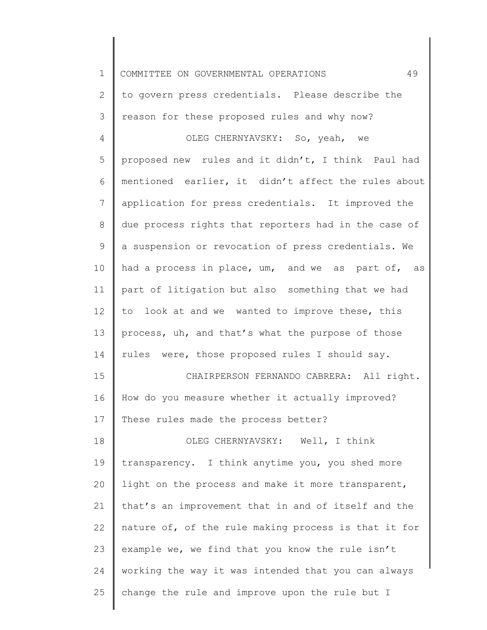| $\mathbf 1$     | 49<br>COMMITTEE ON GOVERNMENTAL OPERATIONS           |
|-----------------|------------------------------------------------------|
| $\mathbf{2}$    | to govern press credentials. Please describe the     |
| 3               | reason for these proposed rules and why now?         |
| 4               | OLEG CHERNYAVSKY: So, yeah, we                       |
| 5               | proposed new rules and it didn't, I think Paul had   |
| 6               | mentioned earlier, it didn't affect the rules about  |
| $7\phantom{.0}$ | application for press credentials. It improved the   |
| $8\,$           | due process rights that reporters had in the case of |
| $\mathsf 9$     | a suspension or revocation of press credentials. We  |
| 10              | had a process in place, um, and we as part of, as    |
| 11              | part of litigation but also something that we had    |
| 12              | to look at and we wanted to improve these, this      |
| 13              | process, uh, and that's what the purpose of those    |
| 14              | rules were, those proposed rules I should say.       |
| 15              | CHAIRPERSON FERNANDO CABRERA: All right.             |
| 16              | How do you measure whether it actually improved?     |
| 17              | These rules made the process better?                 |
| 18              | OLEG CHERNYAVSKY: Well, I think                      |
| 19              | transparency. I think anytime you, you shed more     |
| 20              | light on the process and make it more transparent,   |
| 21              | that's an improvement that in and of itself and the  |
| 22              | nature of, of the rule making process is that it for |
| 23              | example we, we find that you know the rule isn't     |
| 24              | working the way it was intended that you can always  |
| 25              | change the rule and improve upon the rule but I      |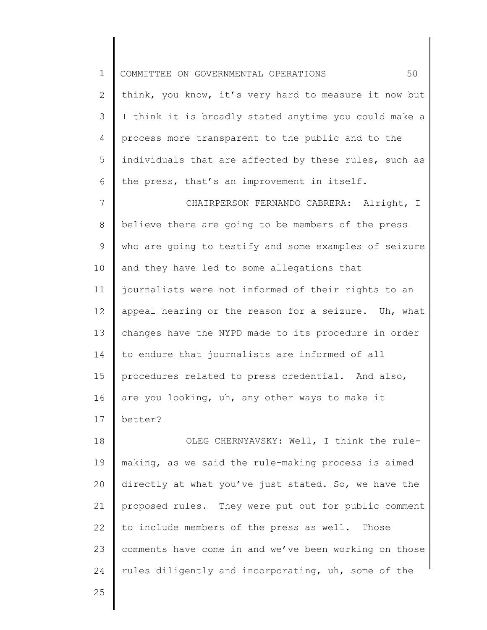1 2 3 4 5 6 7 8 9 10 11 12 13 14 15 16 17 18 19 20 21 22 COMMITTEE ON GOVERNMENTAL OPERATIONS 50 think, you know, it's very hard to measure it now but I think it is broadly stated anytime you could make a process more transparent to the public and to the individuals that are affected by these rules, such as the press, that's an improvement in itself. CHAIRPERSON FERNANDO CABRERA: Alright, I believe there are going to be members of the press who are going to testify and some examples of seizure and they have led to some allegations that journalists were not informed of their rights to an appeal hearing or the reason for a seizure. Uh, what changes have the NYPD made to its procedure in order to endure that journalists are informed of all procedures related to press credential. And also, are you looking, uh, any other ways to make it better? OLEG CHERNYAVSKY: Well, I think the rulemaking, as we said the rule-making process is aimed directly at what you've just stated. So, we have the proposed rules. They were put out for public comment to include members of the press as well. Those comments have come in and we've been working on those

rules diligently and incorporating, uh, some of the

25

23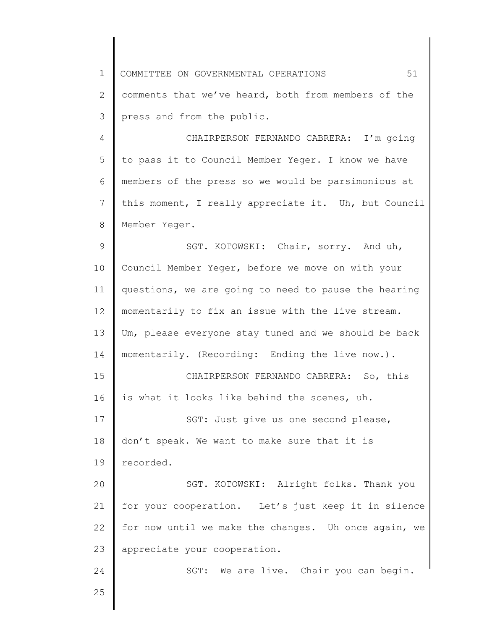| $\mathbf 1$ | 51<br>COMMITTEE ON GOVERNMENTAL OPERATIONS           |
|-------------|------------------------------------------------------|
| 2           | comments that we've heard, both from members of the  |
| 3           | press and from the public.                           |
| 4           | CHAIRPERSON FERNANDO CABRERA: I'm going              |
| 5           | to pass it to Council Member Yeger. I know we have   |
| 6           | members of the press so we would be parsimonious at  |
| 7           | this moment, I really appreciate it. Uh, but Council |
| 8           | Member Yeger.                                        |
| 9           | SGT. KOTOWSKI: Chair, sorry. And uh,                 |
| 10          | Council Member Yeger, before we move on with your    |
| 11          | questions, we are going to need to pause the hearing |
| 12          | momentarily to fix an issue with the live stream.    |
| 13          | Um, please everyone stay tuned and we should be back |
| 14          | momentarily. (Recording: Ending the live now.).      |
| 15          | CHAIRPERSON FERNANDO CABRERA: So, this               |
| 16          | is what it looks like behind the scenes, uh.         |
| 17          | SGT: Just give us one second please,                 |
| 18          | don't speak. We want to make sure that it is         |
| 19          | recorded.                                            |
| 20          | SGT. KOTOWSKI: Alright folks. Thank you              |
| 21          | for your cooperation. Let's just keep it in silence  |
| 22          | for now until we make the changes. Uh once again, we |
| 23          | appreciate your cooperation.                         |
| 24          | SGT: We are live. Chair you can begin.               |
| 25          |                                                      |
|             |                                                      |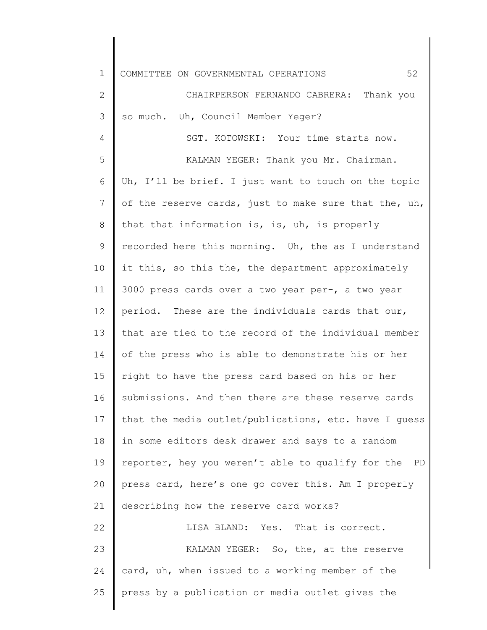| $\mathbf 1$  | 52<br>COMMITTEE ON GOVERNMENTAL OPERATIONS              |
|--------------|---------------------------------------------------------|
| $\mathbf{2}$ | CHAIRPERSON FERNANDO CABRERA: Thank you                 |
| 3            | so much. Uh, Council Member Yeger?                      |
| 4            | SGT. KOTOWSKI: Your time starts now.                    |
| 5            | KALMAN YEGER: Thank you Mr. Chairman.                   |
| 6            | Uh, I'll be brief. I just want to touch on the topic    |
| 7            | of the reserve cards, just to make sure that the, uh,   |
| 8            | that that information is, is, uh, is properly           |
| 9            | recorded here this morning. Uh, the as I understand     |
| 10           | it this, so this the, the department approximately      |
| 11           | 3000 press cards over a two year per-, a two year       |
| 12           | period. These are the individuals cards that our,       |
| 13           | that are tied to the record of the individual member    |
| 14           | of the press who is able to demonstrate his or her      |
| 15           | right to have the press card based on his or her        |
| 16           | submissions. And then there are these reserve cards     |
| 17           | that the media outlet/publications, etc. have I guess   |
| 18           | in some editors desk drawer and says to a random        |
| 19           | reporter, hey you weren't able to qualify for the<br>PD |
| 20           | press card, here's one go cover this. Am I properly     |
| 21           | describing how the reserve card works?                  |
| 22           | LISA BLAND: Yes. That is correct.                       |
| 23           | KALMAN YEGER: So, the, at the reserve                   |
| 24           | card, uh, when issued to a working member of the        |
| 25           | press by a publication or media outlet gives the        |
|              |                                                         |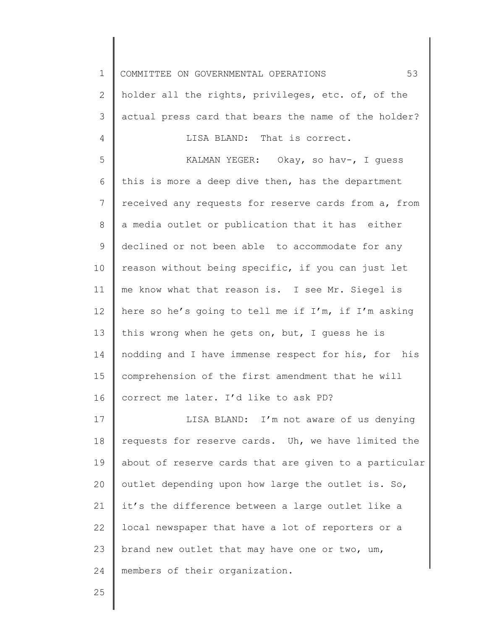1 2 3 4 5 6 7 8 9 10 11 12 13 14 15 16 17 18 19 20 21 22 23 24 COMMITTEE ON GOVERNMENTAL OPERATIONS 53 holder all the rights, privileges, etc. of, of the actual press card that bears the name of the holder? LISA BLAND: That is correct. KALMAN YEGER: Okay, so hav-, I guess this is more a deep dive then, has the department received any requests for reserve cards from a, from a media outlet or publication that it has either declined or not been able to accommodate for any reason without being specific, if you can just let me know what that reason is. I see Mr. Siegel is here so he's going to tell me if I'm, if I'm asking this wrong when he gets on, but, I guess he is nodding and I have immense respect for his, for his comprehension of the first amendment that he will correct me later. I'd like to ask PD? LISA BLAND: I'm not aware of us denying requests for reserve cards. Uh, we have limited the about of reserve cards that are given to a particular outlet depending upon how large the outlet is. So, it's the difference between a large outlet like a local newspaper that have a lot of reporters or a brand new outlet that may have one or two, um, members of their organization.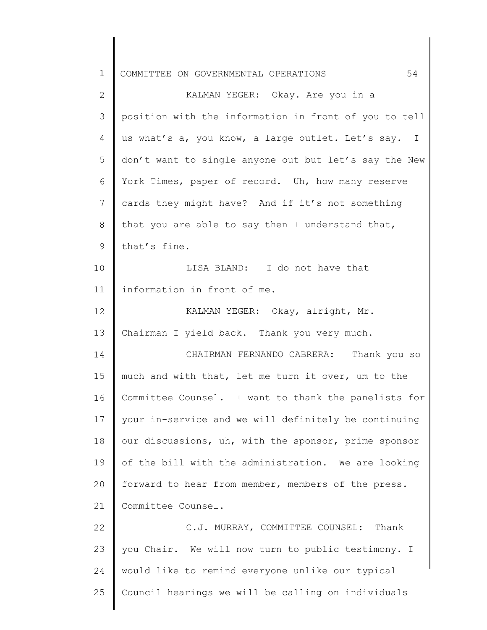| $\mathbf 1$  | 54<br>COMMITTEE ON GOVERNMENTAL OPERATIONS            |
|--------------|-------------------------------------------------------|
| $\mathbf{2}$ | KALMAN YEGER: Okay. Are you in a                      |
| 3            | position with the information in front of you to tell |
| 4            | us what's a, you know, a large outlet. Let's say. I   |
| 5            | don't want to single anyone out but let's say the New |
| 6            | York Times, paper of record. Uh, how many reserve     |
| 7            | cards they might have? And if it's not something      |
| 8            | that you are able to say then I understand that,      |
| 9            | that's fine.                                          |
| 10           | LISA BLAND: I do not have that                        |
| 11           | information in front of me.                           |
| 12           | KALMAN YEGER: Okay, alright, Mr.                      |
| 13           | Chairman I yield back. Thank you very much.           |
| 14           | CHAIRMAN FERNANDO CABRERA: Thank you so               |
| 15           | much and with that, let me turn it over, um to the    |
| 16           | Committee Counsel. I want to thank the panelists for  |
| 17           | your in-service and we will definitely be continuing  |
| 18           | our discussions, uh, with the sponsor, prime sponsor  |
| 19           | of the bill with the administration. We are looking   |
| 20           | forward to hear from member, members of the press.    |
| 21           | Committee Counsel.                                    |
| 22           | C.J. MURRAY, COMMITTEE COUNSEL: Thank                 |
| 23           | you Chair. We will now turn to public testimony. I    |
| 24           | would like to remind everyone unlike our typical      |
| 25           | Council hearings we will be calling on individuals    |
|              |                                                       |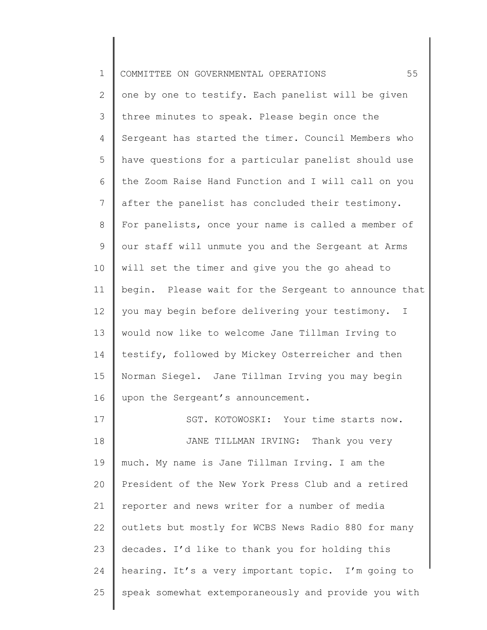| $\mathbf 1$     | 55<br>COMMITTEE ON GOVERNMENTAL OPERATIONS           |
|-----------------|------------------------------------------------------|
| 2               | one by one to testify. Each panelist will be given   |
| 3               | three minutes to speak. Please begin once the        |
| 4               | Sergeant has started the timer. Council Members who  |
| 5               | have questions for a particular panelist should use  |
| 6               | the Zoom Raise Hand Function and I will call on you  |
| $7\phantom{.0}$ | after the panelist has concluded their testimony.    |
| 8               | For panelists, once your name is called a member of  |
| 9               | our staff will unmute you and the Sergeant at Arms   |
| 10              | will set the timer and give you the go ahead to      |
| 11              | begin. Please wait for the Sergeant to announce that |
| 12              | you may begin before delivering your testimony. I    |
| 13              | would now like to welcome Jane Tillman Irving to     |
| 14              | testify, followed by Mickey Osterreicher and then    |
| 15              | Norman Siegel. Jane Tillman Irving you may begin     |
| 16              | upon the Sergeant's announcement.                    |
| 17              | SGT. KOTOWOSKI: Your time starts now.                |
| 18              | JANE TILLMAN IRVING: Thank you very                  |
| 19              | much. My name is Jane Tillman Irving. I am the       |
| 20              | President of the New York Press Club and a retired   |
| 21              | reporter and news writer for a number of media       |
| 22              | outlets but mostly for WCBS News Radio 880 for many  |
| 23              | decades. I'd like to thank you for holding this      |
| 24              | hearing. It's a very important topic. I'm going to   |
| 25              | speak somewhat extemporaneously and provide you with |
|                 |                                                      |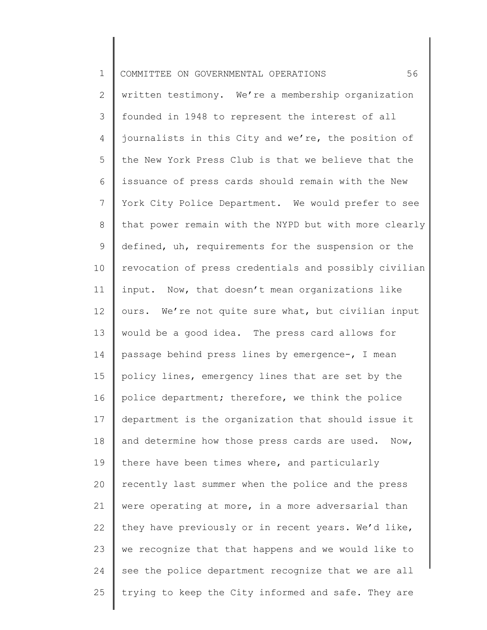| $\mathbf 1$    | 56<br>COMMITTEE ON GOVERNMENTAL OPERATIONS            |
|----------------|-------------------------------------------------------|
| $\overline{2}$ | written testimony. We're a membership organization    |
| 3              | founded in 1948 to represent the interest of all      |
| 4              | journalists in this City and we're, the position of   |
| 5              | the New York Press Club is that we believe that the   |
| 6              | issuance of press cards should remain with the New    |
| $\overline{7}$ | York City Police Department. We would prefer to see   |
| $8\,$          | that power remain with the NYPD but with more clearly |
| 9              | defined, uh, requirements for the suspension or the   |
| 10             | revocation of press credentials and possibly civilian |
| 11             | input. Now, that doesn't mean organizations like      |
| 12             | ours. We're not quite sure what, but civilian input   |
| 13             | would be a good idea. The press card allows for       |
| 14             | passage behind press lines by emergence-, I mean      |
| 15             | policy lines, emergency lines that are set by the     |
| 16             | police department; therefore, we think the police     |
| 17             | department is the organization that should issue it   |
| 18             | and determine how those press cards are used. Now,    |
| 19             | there have been times where, and particularly         |
| 20             | recently last summer when the police and the press    |
| 21             | were operating at more, in a more adversarial than    |
| 22             | they have previously or in recent years. We'd like,   |
| 23             | we recognize that that happens and we would like to   |
| 24             | see the police department recognize that we are all   |
| 25             | trying to keep the City informed and safe. They are   |

║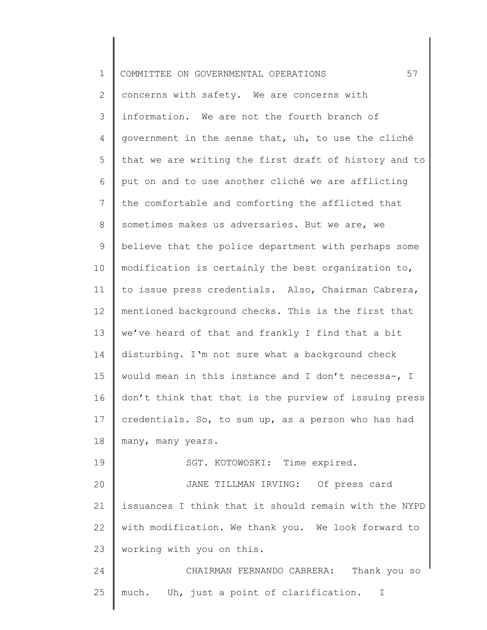| $\mathbf 1$    | 57<br>COMMITTEE ON GOVERNMENTAL OPERATIONS               |
|----------------|----------------------------------------------------------|
| $\overline{2}$ | concerns with safety. We are concerns with               |
| 3              | information. We are not the fourth branch of             |
| 4              | government in the sense that, uh, to use the cliché      |
| 5              | that we are writing the first draft of history and to    |
| 6              | put on and to use another cliché we are afflicting       |
| 7              | the comfortable and comforting the afflicted that        |
| 8              | sometimes makes us adversaries. But we are, we           |
| 9              | believe that the police department with perhaps some     |
| 10             | modification is certainly the best organization to,      |
| 11             | to issue press credentials. Also, Chairman Cabrera,      |
| 12             | mentioned background checks. This is the first that      |
| 13             | we've heard of that and frankly I find that a bit        |
| 14             | disturbing. I'm not sure what a background check         |
| 15             | would mean in this instance and I don't necessa-, I      |
| 16             | don't think that that is the purview of issuing press    |
| 17             | credentials. So, to sum up, as a person who has had      |
| 18             | many, many years.                                        |
| 19             | SGT. KOTOWOSKI: Time expired.                            |
| 20             | JANE TILLMAN IRVING: Of press card                       |
| 21             | issuances I think that it should remain with the NYPD    |
| 22             | with modification. We thank you. We look forward to      |
| 23             | working with you on this.                                |
| 24             | CHAIRMAN FERNANDO CABRERA:<br>Thank you so               |
| 25             | much. Uh, just a point of clarification.<br>$\mathbb{I}$ |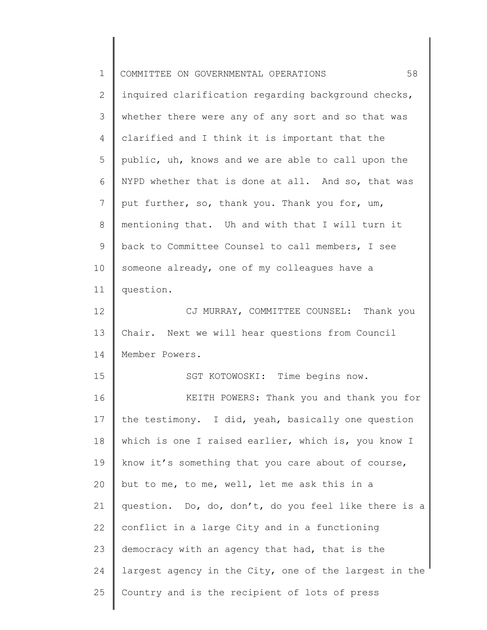| $\mathbf 1$    | 58<br>COMMITTEE ON GOVERNMENTAL OPERATIONS            |
|----------------|-------------------------------------------------------|
| 2              | inquired clarification regarding background checks,   |
| 3              | whether there were any of any sort and so that was    |
| $\overline{4}$ | clarified and I think it is important that the        |
| 5              | public, uh, knows and we are able to call upon the    |
| 6              | NYPD whether that is done at all. And so, that was    |
| 7              | put further, so, thank you. Thank you for, um,        |
| 8              | mentioning that. Uh and with that I will turn it      |
| 9              | back to Committee Counsel to call members, I see      |
| 10             | someone already, one of my colleagues have a          |
| 11             | question.                                             |
| 12             | CJ MURRAY, COMMITTEE COUNSEL: Thank you               |
| 13             | Chair. Next we will hear questions from Council       |
| 14             | Member Powers.                                        |
| 15             | SGT KOTOWOSKI: Time begins now.                       |
| 16             | KEITH POWERS: Thank you and thank you for             |
| 17             | the testimony. I did, yeah, basically one question    |
| 18             | which is one I raised earlier, which is, you know I   |
| 19             | know it's something that you care about of course,    |
| 20             | but to me, to me, well, let me ask this in a          |
| 21             | question. Do, do, don't, do you feel like there is a  |
| 22             | conflict in a large City and in a functioning         |
| 23             | democracy with an agency that had, that is the        |
| 24             | largest agency in the City, one of the largest in the |
| 25             | Country and is the recipient of lots of press         |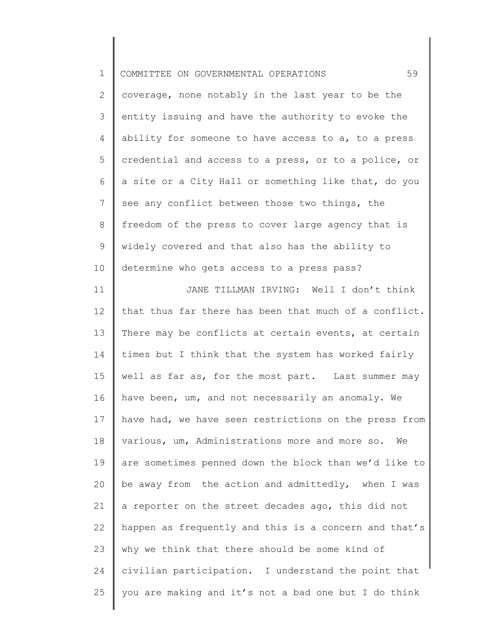| $\mathbf 1$     | 59<br>COMMITTEE ON GOVERNMENTAL OPERATIONS            |
|-----------------|-------------------------------------------------------|
| $\overline{2}$  | coverage, none notably in the last year to be the     |
| 3               | entity issuing and have the authority to evoke the    |
| 4               | ability for someone to have access to a, to a press   |
| 5               | credential and access to a press, or to a police, or  |
| 6               | a site or a City Hall or something like that, do you  |
| $7\phantom{.0}$ | see any conflict between those two things, the        |
| 8               | freedom of the press to cover large agency that is    |
| $\mathsf 9$     | widely covered and that also has the ability to       |
| 10              | determine who gets access to a press pass?            |
| 11              | JANE TILLMAN IRVING: Well I don't think               |
| 12              | that thus far there has been that much of a conflict. |
| 13              | There may be conflicts at certain events, at certain  |
| 14              | times but I think that the system has worked fairly   |
| 15              | well as far as, for the most part. Last summer may    |
| 16              | have been, um, and not necessarily an anomaly. We     |
| 17              | have had, we have seen restrictions on the press from |
| 18              | various, um, Administrations more and more so.<br>We  |
| 19              | are sometimes penned down the block than we'd like to |
| 20              | be away from the action and admittedly, when I was    |
| 21              | a reporter on the street decades ago, this did not    |
| 22              | happen as frequently and this is a concern and that's |
| 23              | why we think that there should be some kind of        |
| 24              | civilian participation. I understand the point that   |
| 25              | you are making and it's not a bad one but I do think  |
|                 |                                                       |

∥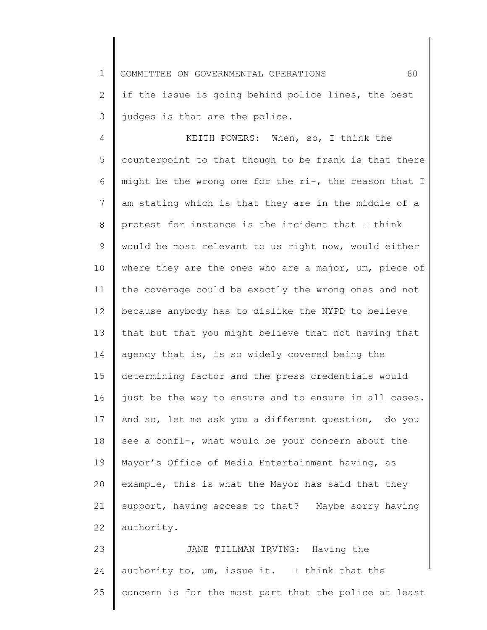1 COMMITTEE ON GOVERNMENTAL OPERATIONS 60

2 3 if the issue is going behind police lines, the best judges is that are the police.

4 5 6 7 8 9 10 11 12 13 14 15 16 17 18 19 20 21 22 KEITH POWERS: When, so, I think the counterpoint to that though to be frank is that there might be the wrong one for the ri-, the reason that I am stating which is that they are in the middle of a protest for instance is the incident that I think would be most relevant to us right now, would either where they are the ones who are a major, um, piece of the coverage could be exactly the wrong ones and not because anybody has to dislike the NYPD to believe that but that you might believe that not having that agency that is, is so widely covered being the determining factor and the press credentials would just be the way to ensure and to ensure in all cases. And so, let me ask you a different question, do you see a confl-, what would be your concern about the Mayor's Office of Media Entertainment having, as example, this is what the Mayor has said that they support, having access to that? Maybe sorry having authority.

23 24 25 JANE TILLMAN IRVING: Having the authority to, um, issue it. I think that the concern is for the most part that the police at least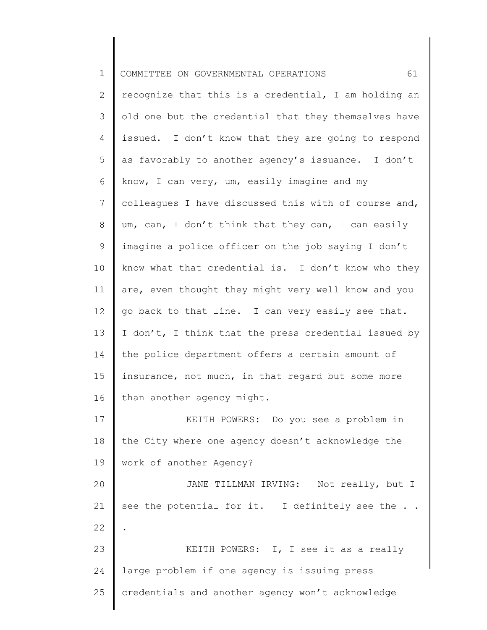| $\mathbf 1$ | 61<br>COMMITTEE ON GOVERNMENTAL OPERATIONS           |
|-------------|------------------------------------------------------|
| 2           | recognize that this is a credential, I am holding an |
| 3           | old one but the credential that they themselves have |
| 4           | issued. I don't know that they are going to respond  |
| 5           | as favorably to another agency's issuance. I don't   |
| 6           | know, I can very, um, easily imagine and my          |
| 7           | colleagues I have discussed this with of course and, |
| 8           | um, can, I don't think that they can, I can easily   |
| 9           | imagine a police officer on the job saying I don't   |
| 10          | know what that credential is. I don't know who they  |
| 11          | are, even thought they might very well know and you  |
| 12          | go back to that line. I can very easily see that.    |
| 13          | I don't, I think that the press credential issued by |
| 14          | the police department offers a certain amount of     |
| 15          | insurance, not much, in that regard but some more    |
| 16          | than another agency might.                           |
| 17          | KEITH POWERS: Do you see a problem in                |
| 18          | the City where one agency doesn't acknowledge the    |
| 19          | work of another Agency?                              |
| 20          | JANE TILLMAN IRVING: Not really, but I               |
| 21          | see the potential for it. I definitely see the       |
| 22          |                                                      |
| 23          | KEITH POWERS: I, I see it as a really                |
| 24          | large problem if one agency is issuing press         |
| 25          | credentials and another agency won't acknowledge     |
|             |                                                      |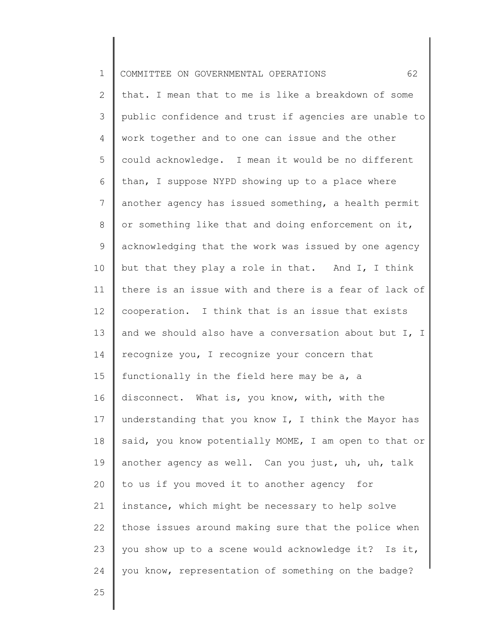| $\mathbf 1$     | 62<br>COMMITTEE ON GOVERNMENTAL OPERATIONS            |
|-----------------|-------------------------------------------------------|
| $\mathbf{2}$    | that. I mean that to me is like a breakdown of some   |
| 3               | public confidence and trust if agencies are unable to |
| $\overline{4}$  | work together and to one can issue and the other      |
| 5               | could acknowledge. I mean it would be no different    |
| 6               | than, I suppose NYPD showing up to a place where      |
| $\overline{7}$  | another agency has issued something, a health permit  |
| $8\,$           | or something like that and doing enforcement on it,   |
| 9               | acknowledging that the work was issued by one agency  |
| 10              | but that they play a role in that. And I, I think     |
| 11              | there is an issue with and there is a fear of lack of |
| 12 <sup>°</sup> | cooperation. I think that is an issue that exists     |
| 13              | and we should also have a conversation about but I, I |
| 14              | recognize you, I recognize your concern that          |
| 15              | functionally in the field here may be a, a            |
| 16              | disconnect. What is, you know, with, with the         |
| 17              | understanding that you know I, I think the Mayor has  |
| 18              | said, you know potentially MOME, I am open to that or |
| 19              | another agency as well. Can you just, uh, uh, talk    |
| 20              | to us if you moved it to another agency for           |
| 21              | instance, which might be necessary to help solve      |
| 22              | those issues around making sure that the police when  |
| 23              | you show up to a scene would acknowledge it? Is it,   |
| 24              | you know, representation of something on the badge?   |
| 25              |                                                       |
|                 |                                                       |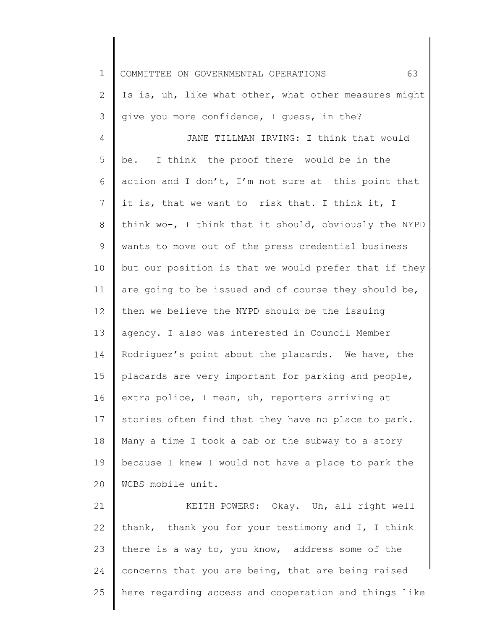| $\mathbf 1$    | 63<br>COMMITTEE ON GOVERNMENTAL OPERATIONS            |
|----------------|-------------------------------------------------------|
| $\overline{2}$ | Is is, uh, like what other, what other measures might |
| 3              | give you more confidence, I quess, in the?            |
| 4              | JANE TILLMAN IRVING: I think that would               |
| 5              | be. I think the proof there would be in the           |
| 6              | action and I don't, I'm not sure at this point that   |
| 7              | it is, that we want to risk that. I think it, I       |
| 8              | think wo-, I think that it should, obviously the NYPD |
| 9              | wants to move out of the press credential business    |
| 10             | but our position is that we would prefer that if they |
| 11             | are going to be issued and of course they should be,  |
| 12             | then we believe the NYPD should be the issuing        |
| 13             | agency. I also was interested in Council Member       |
| 14             | Rodriguez's point about the placards. We have, the    |
| 15             | placards are very important for parking and people,   |
| 16             | extra police, I mean, uh, reporters arriving at       |
| 17             | stories often find that they have no place to park.   |
| 18             | Many a time I took a cab or the subway to a story     |
| 19             | because I knew I would not have a place to park the   |
| 20             | WCBS mobile unit.                                     |
| 21             | KEITH POWERS: Okay. Uh, all right well                |
| 22             | thank, thank you for your testimony and I, I think    |
| 23             | there is a way to, you know, address some of the      |
| 24             | concerns that you are being, that are being raised    |
| 25             | here regarding access and cooperation and things like |

║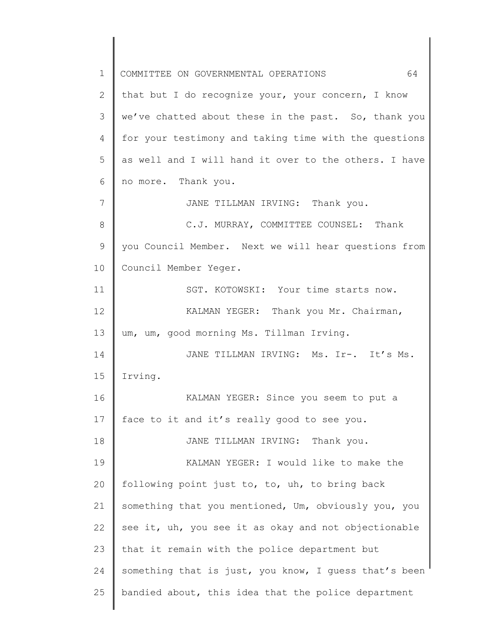1 2 3 4 5 6 7 8 9 10 11 12 13 14 15 16 17 18 19 20 21 22 23 24 25 COMMITTEE ON GOVERNMENTAL OPERATIONS 64 that but I do recognize your, your concern, I know we've chatted about these in the past. So, thank you for your testimony and taking time with the questions as well and I will hand it over to the others. I have no more. Thank you. JANE TILLMAN IRVING: Thank you. C.J. MURRAY, COMMITTEE COUNSEL: Thank you Council Member. Next we will hear questions from Council Member Yeger. SGT. KOTOWSKI: Your time starts now. KALMAN YEGER: Thank you Mr. Chairman, um, um, good morning Ms. Tillman Irving. JANE TILLMAN IRVING: Ms. Ir-. It's Ms. Irving. KALMAN YEGER: Since you seem to put a face to it and it's really good to see you. JANE TILLMAN IRVING: Thank you. KALMAN YEGER: I would like to make the following point just to, to, uh, to bring back something that you mentioned, Um, obviously you, you see it, uh, you see it as okay and not objectionable that it remain with the police department but something that is just, you know, I guess that's been bandied about, this idea that the police department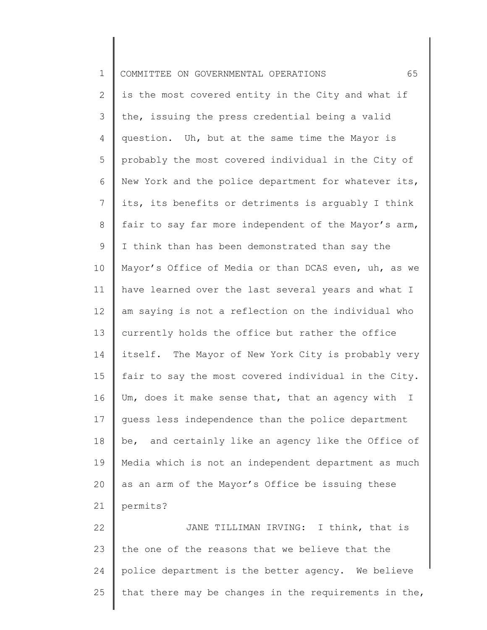| $\mathbf 1$    | 65<br>COMMITTEE ON GOVERNMENTAL OPERATIONS                       |
|----------------|------------------------------------------------------------------|
| 2              | is the most covered entity in the City and what if               |
| 3              | the, issuing the press credential being a valid                  |
| 4              | question. Uh, but at the same time the Mayor is                  |
| 5              | probably the most covered individual in the City of              |
| 6              | New York and the police department for whatever its,             |
| $7\phantom{.}$ | its, its benefits or detriments is arguably I think              |
| 8              | fair to say far more independent of the Mayor's arm,             |
| $\mathsf 9$    | I think than has been demonstrated than say the                  |
| 10             | Mayor's Office of Media or than DCAS even, uh, as we             |
| 11             | have learned over the last several years and what I              |
| 12             | am saying is not a reflection on the individual who              |
| 13             | currently holds the office but rather the office                 |
| 14             | itself. The Mayor of New York City is probably very              |
| 15             | fair to say the most covered individual in the City.             |
| 16             | Um, does it make sense that, that an agency with<br>$\mathbb{I}$ |
| 17             | guess less independence than the police department               |
| 18             | be, and certainly like an agency like the Office of              |
| 19             | Media which is not an independent department as much             |
| 20             | as an arm of the Mayor's Office be issuing these                 |
| 21             | permits?                                                         |
| 22             | JANE TILLIMAN IRVING: I think, that is                           |
| 23             | the one of the reasons that we believe that the                  |
| 24             | police department is the better agency. We believe               |
| 25             | that there may be changes in the requirements in the,            |
|                |                                                                  |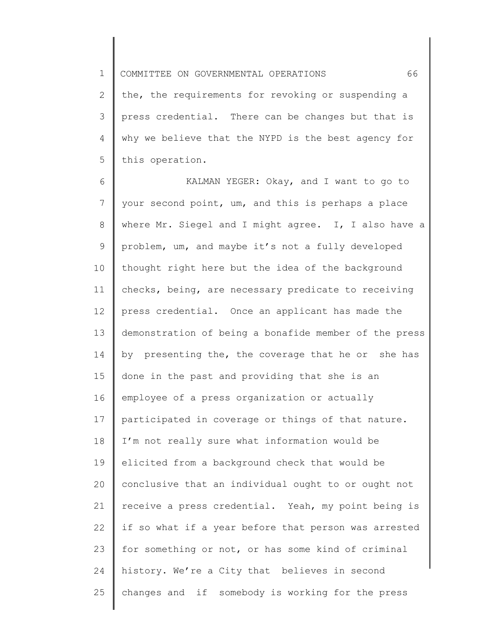1 COMMITTEE ON GOVERNMENTAL OPERATIONS 66

2 3 4 5 the, the requirements for revoking or suspending a press credential. There can be changes but that is why we believe that the NYPD is the best agency for this operation.

6 7 8 9 10 11 12 13 14 15 16 17 18 19 20 21 22 23 24 25 KALMAN YEGER: Okay, and I want to go to your second point, um, and this is perhaps a place where Mr. Siegel and I might agree. I, I also have a problem, um, and maybe it's not a fully developed thought right here but the idea of the background checks, being, are necessary predicate to receiving press credential. Once an applicant has made the demonstration of being a bonafide member of the press by presenting the, the coverage that he or she has done in the past and providing that she is an employee of a press organization or actually participated in coverage or things of that nature. I'm not really sure what information would be elicited from a background check that would be conclusive that an individual ought to or ought not receive a press credential. Yeah, my point being is if so what if a year before that person was arrested for something or not, or has some kind of criminal history. We're a City that believes in second changes and if somebody is working for the press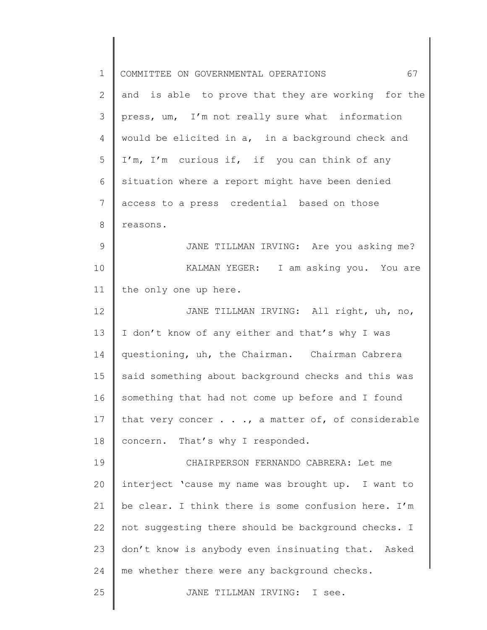| $\mathbf 1$    | 67<br>COMMITTEE ON GOVERNMENTAL OPERATIONS               |
|----------------|----------------------------------------------------------|
| $\mathbf{2}$   | and is able to prove that they are working for the       |
| 3              | press, um, I'm not really sure what information          |
| $\overline{4}$ | would be elicited in a, in a background check and        |
| 5              | I'm, I'm curious if, if you can think of any             |
| 6              | situation where a report might have been denied          |
| 7              | access to a press credential based on those              |
| 8              | reasons.                                                 |
| 9              | JANE TILLMAN IRVING: Are you asking me?                  |
| 10             | KALMAN YEGER: I am asking you. You are                   |
| 11             | the only one up here.                                    |
| 12             | JANE TILLMAN IRVING: All right, uh, no,                  |
| 13             | I don't know of any either and that's why I was          |
| 14             | questioning, uh, the Chairman. Chairman Cabrera          |
| 15             | said something about background checks and this was      |
| 16             | something that had not come up before and I found        |
| 17             | that very concer $\ldots$ , a matter of, of considerable |
| 18             | concern. That's why I responded.                         |
| 19             | CHAIRPERSON FERNANDO CABRERA: Let me                     |
| 20             | interject 'cause my name was brought up. I want to       |
| 21             | be clear. I think there is some confusion here. I'm      |
| 22             | not suggesting there should be background checks. I      |
| 23             | don't know is anybody even insinuating that. Asked       |
| 24             | me whether there were any background checks.             |
| 25             | JANE TILLMAN IRVING: I see.                              |
|                |                                                          |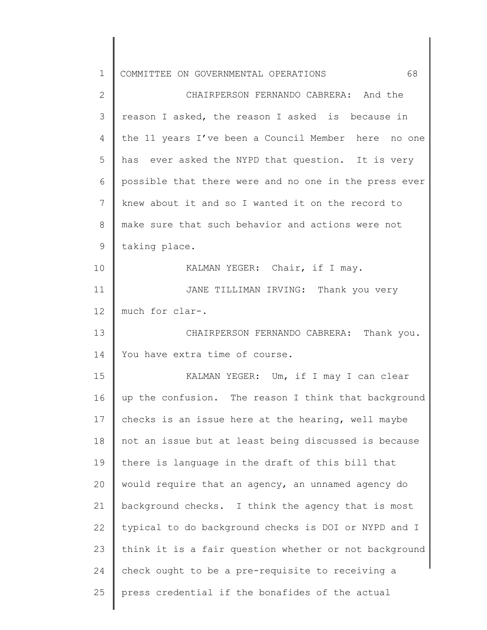| $\mathbf 1$  | 68<br>COMMITTEE ON GOVERNMENTAL OPERATIONS            |
|--------------|-------------------------------------------------------|
| $\mathbf{2}$ | CHAIRPERSON FERNANDO CABRERA: And the                 |
| 3            | reason I asked, the reason I asked is because in      |
| 4            | the 11 years I've been a Council Member here no one   |
| 5            | has ever asked the NYPD that question. It is very     |
| 6            | possible that there were and no one in the press ever |
| 7            | knew about it and so I wanted it on the record to     |
| 8            | make sure that such behavior and actions were not     |
| $\mathsf 9$  | taking place.                                         |
| 10           | KALMAN YEGER: Chair, if I may.                        |
| 11           | JANE TILLIMAN IRVING: Thank you very                  |
| 12           | much for clar-.                                       |
| 13           | CHAIRPERSON FERNANDO CABRERA: Thank you.              |
| 14           | You have extra time of course.                        |
| 15           | KALMAN YEGER: Um, if I may I can clear                |
| 16           | up the confusion. The reason I think that background  |
| 17           | checks is an issue here at the hearing, well maybe    |
| 18           | not an issue but at least being discussed is because  |
| 19           | there is language in the draft of this bill that      |
| 20           | would require that an agency, an unnamed agency do    |
| 21           | background checks. I think the agency that is most    |
| 22           | typical to do background checks is DOI or NYPD and I  |
| 23           | think it is a fair question whether or not background |
| 24           | check ought to be a pre-requisite to receiving a      |
| 25           | press credential if the bonafides of the actual       |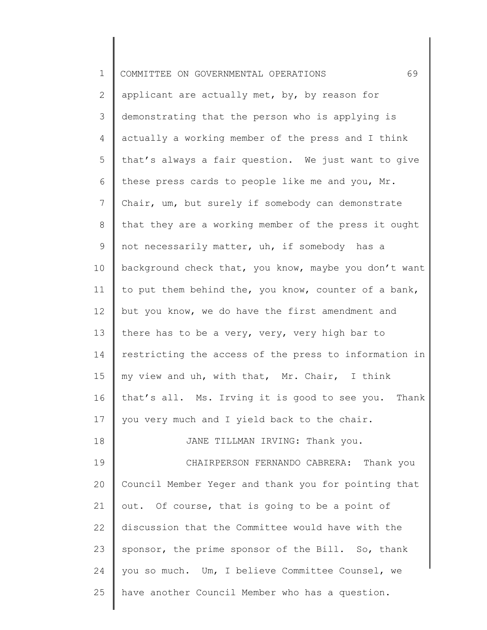| $\mathbf 1$    | 69<br>COMMITTEE ON GOVERNMENTAL OPERATIONS            |
|----------------|-------------------------------------------------------|
| 2              | applicant are actually met, by, by reason for         |
|                |                                                       |
| 3              | demonstrating that the person who is applying is      |
| 4              | actually a working member of the press and I think    |
| 5              | that's always a fair question. We just want to give   |
| 6              | these press cards to people like me and you, Mr.      |
| $7\phantom{.}$ | Chair, um, but surely if somebody can demonstrate     |
| 8              | that they are a working member of the press it ought  |
| 9              | not necessarily matter, uh, if somebody has a         |
| 10             | background check that, you know, maybe you don't want |
| 11             | to put them behind the, you know, counter of a bank,  |
| 12             | but you know, we do have the first amendment and      |
| 13             | there has to be a very, very, very high bar to        |
| 14             | restricting the access of the press to information in |
| 15             | my view and uh, with that, Mr. Chair, I think         |
| 16             | that's all. Ms. Irving it is good to see you. Thank   |
| 17             | you very much and I yield back to the chair.          |
| 18             | JANE TILLMAN IRVING: Thank you.                       |
| 19             | CHAIRPERSON FERNANDO CABRERA: Thank you               |
| 20             | Council Member Yeger and thank you for pointing that  |
| 21             | out. Of course, that is going to be a point of        |
| 22             | discussion that the Committee would have with the     |
| 23             | sponsor, the prime sponsor of the Bill. So, thank     |
| 24             | you so much. Um, I believe Committee Counsel, we      |
| 25             | have another Council Member who has a question.       |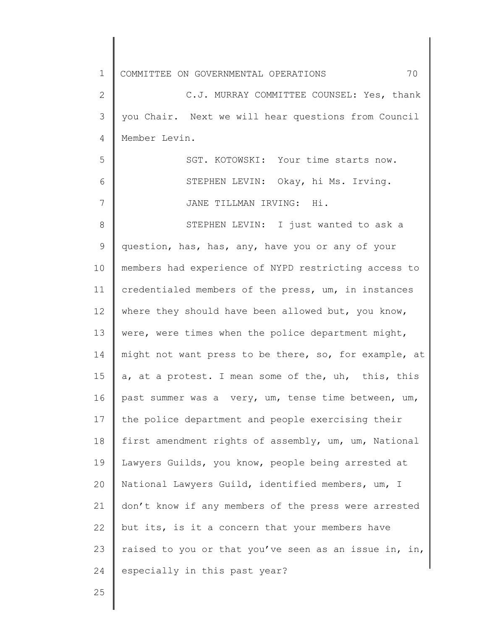1 2 3 4 5 6 7 8 9 10 11 12 13 14 15 16 17 18 19 20 21 22 23 24 COMMITTEE ON GOVERNMENTAL OPERATIONS 70 C.J. MURRAY COMMITTEE COUNSEL: Yes, thank you Chair. Next we will hear questions from Council Member Levin. SGT. KOTOWSKI: Your time starts now. STEPHEN LEVIN: Okay, hi Ms. Irving. JANE TILLMAN IRVING: Hi. STEPHEN LEVIN: I just wanted to ask a question, has, has, any, have you or any of your members had experience of NYPD restricting access to credentialed members of the press, um, in instances where they should have been allowed but, you know, were, were times when the police department might, might not want press to be there, so, for example, at a, at a protest. I mean some of the, uh, this, this past summer was a very, um, tense time between, um, the police department and people exercising their first amendment rights of assembly, um, um, National Lawyers Guilds, you know, people being arrested at National Lawyers Guild, identified members, um, I don't know if any members of the press were arrested but its, is it a concern that your members have raised to you or that you've seen as an issue in, in, especially in this past year?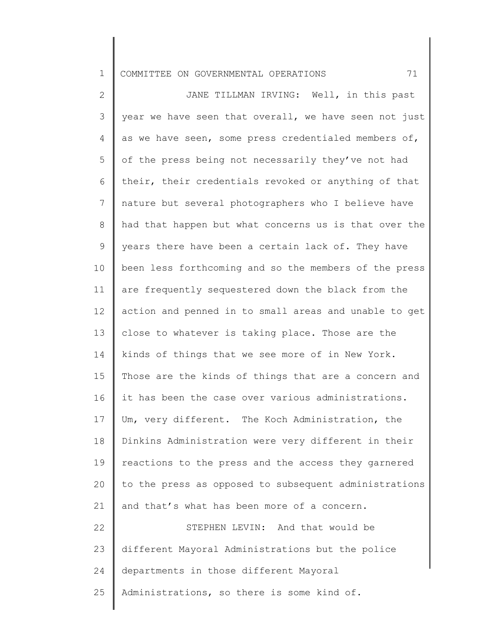## 1 COMMITTEE ON GOVERNMENTAL OPERATIONS 71

2 3 4 5 6 7 8 9 10 11 12 13 14 15 16 17 18 19 20 21 22 23 24 25 JANE TILLMAN IRVING: Well, in this past year we have seen that overall, we have seen not just as we have seen, some press credentialed members of, of the press being not necessarily they've not had their, their credentials revoked or anything of that nature but several photographers who I believe have had that happen but what concerns us is that over the years there have been a certain lack of. They have been less forthcoming and so the members of the press are frequently sequestered down the black from the action and penned in to small areas and unable to get close to whatever is taking place. Those are the kinds of things that we see more of in New York. Those are the kinds of things that are a concern and it has been the case over various administrations. Um, very different. The Koch Administration, the Dinkins Administration were very different in their reactions to the press and the access they garnered to the press as opposed to subsequent administrations and that's what has been more of a concern. STEPHEN LEVIN: And that would be different Mayoral Administrations but the police departments in those different Mayoral Administrations, so there is some kind of.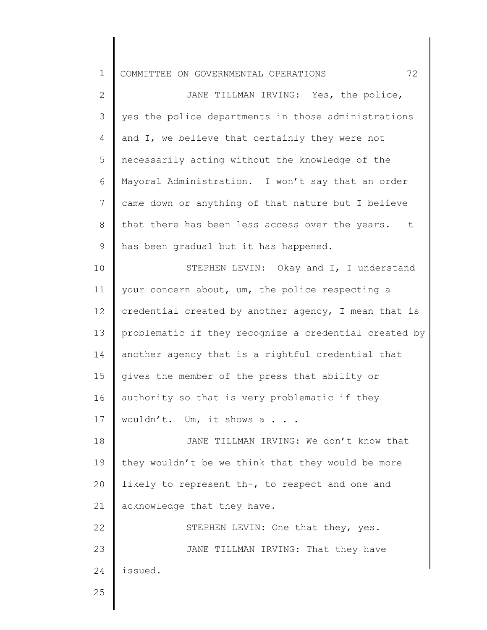1 COMMITTEE ON GOVERNMENTAL OPERATIONS 72

2 3 4 5 6 7 8 9 10 11 JANE TILLMAN IRVING: Yes, the police, yes the police departments in those administrations and I, we believe that certainly they were not necessarily acting without the knowledge of the Mayoral Administration. I won't say that an order came down or anything of that nature but I believe that there has been less access over the years. It has been gradual but it has happened. STEPHEN LEVIN: Okay and I, I understand your concern about, um, the police respecting a credential created by another agency, I mean that is

12 13 14 15 16 17 problematic if they recognize a credential created by another agency that is a rightful credential that gives the member of the press that ability or authority so that is very problematic if they wouldn't. Um, it shows a . . .

18 19 20 21 JANE TILLMAN IRVING: We don't know that they wouldn't be we think that they would be more likely to represent th-, to respect and one and acknowledge that they have.

22 23 24 STEPHEN LEVIN: One that they, yes. JANE TILLMAN IRVING: That they have issued.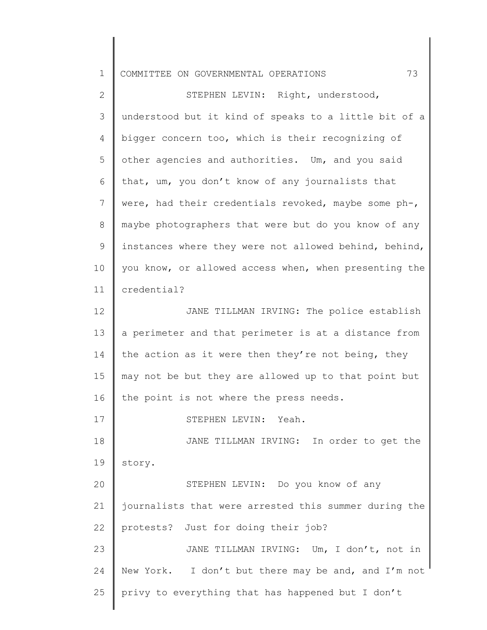| $\mathbf 1$     | 73<br>COMMITTEE ON GOVERNMENTAL OPERATIONS            |
|-----------------|-------------------------------------------------------|
| $\mathbf{2}$    | STEPHEN LEVIN: Right, understood,                     |
| 3               | understood but it kind of speaks to a little bit of a |
| 4               | bigger concern too, which is their recognizing of     |
| 5               | other agencies and authorities. Um, and you said      |
| 6               | that, um, you don't know of any journalists that      |
| $7\phantom{.0}$ | were, had their credentials revoked, maybe some ph-,  |
| 8               | maybe photographers that were but do you know of any  |
| $\mathsf 9$     | instances where they were not allowed behind, behind, |
| 10              | you know, or allowed access when, when presenting the |
| 11              | credential?                                           |
| 12              | JANE TILLMAN IRVING: The police establish             |
| 13              | a perimeter and that perimeter is at a distance from  |
| 14              | the action as it were then they're not being, they    |
| 15              | may not be but they are allowed up to that point but  |
| 16              | the point is not where the press needs.               |
| 17              | Yeah.<br>STEPHEN LEVIN:                               |
| 18              | JANE TILLMAN IRVING: In order to get the              |
| 19              | story.                                                |
| 20              | STEPHEN LEVIN: Do you know of any                     |
| 21              | journalists that were arrested this summer during the |
| 22              | protests? Just for doing their job?                   |
| 23              | JANE TILLMAN IRVING: Um, I don't, not in              |
| 24              | New York. I don't but there may be and, and I'm not   |
| 25              | privy to everything that has happened but I don't     |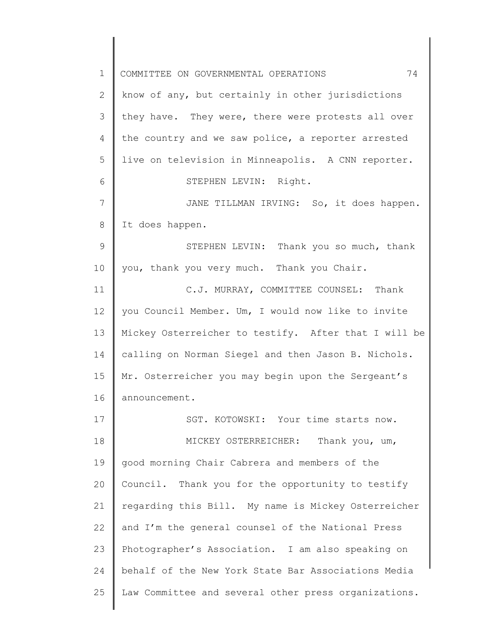1 2 3 4 5 6 7 8 9 10 11 12 13 14 15 16 17 18 19 20 21 22 23 24 25 COMMITTEE ON GOVERNMENTAL OPERATIONS 74 know of any, but certainly in other jurisdictions they have. They were, there were protests all over the country and we saw police, a reporter arrested live on television in Minneapolis. A CNN reporter. STEPHEN LEVIN: Right. JANE TILLMAN IRVING: So, it does happen. It does happen. STEPHEN LEVIN: Thank you so much, thank you, thank you very much. Thank you Chair. C.J. MURRAY, COMMITTEE COUNSEL: Thank you Council Member. Um, I would now like to invite Mickey Osterreicher to testify. After that I will be calling on Norman Siegel and then Jason B. Nichols. Mr. Osterreicher you may begin upon the Sergeant's announcement. SGT. KOTOWSKI: Your time starts now. MICKEY OSTERREICHER: Thank you, um, good morning Chair Cabrera and members of the Council. Thank you for the opportunity to testify regarding this Bill. My name is Mickey Osterreicher and I'm the general counsel of the National Press Photographer's Association. I am also speaking on behalf of the New York State Bar Associations Media Law Committee and several other press organizations.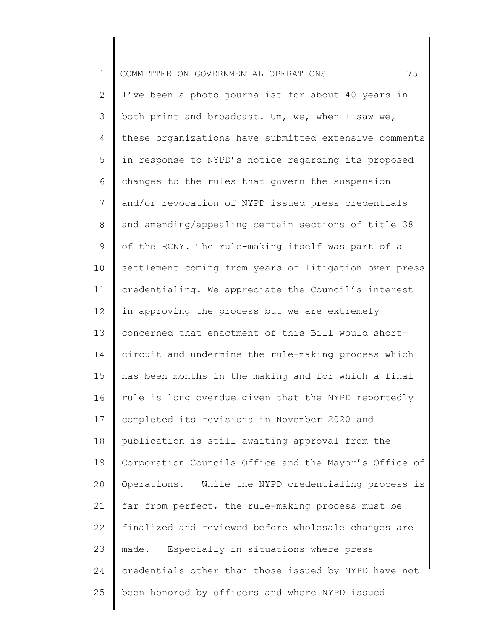| $\mathbf 1$   | 75<br>COMMITTEE ON GOVERNMENTAL OPERATIONS            |
|---------------|-------------------------------------------------------|
| $\mathbf{2}$  | I've been a photo journalist for about 40 years in    |
| $\mathcal{S}$ | both print and broadcast. Um, we, when I saw we,      |
| 4             | these organizations have submitted extensive comments |
| 5             | in response to NYPD's notice regarding its proposed   |
| 6             | changes to the rules that govern the suspension       |
| 7             | and/or revocation of NYPD issued press credentials    |
| 8             | and amending/appealing certain sections of title 38   |
| $\mathsf 9$   | of the RCNY. The rule-making itself was part of a     |
| 10            | settlement coming from years of litigation over press |
| 11            | credentialing. We appreciate the Council's interest   |
| 12            | in approving the process but we are extremely         |
| 13            | concerned that enactment of this Bill would short-    |
| 14            | circuit and undermine the rule-making process which   |
| 15            | has been months in the making and for which a final   |
| 16            | rule is long overdue given that the NYPD reportedly   |
| 17            | completed its revisions in November 2020 and          |
| 18            | publication is still awaiting approval from the       |
| 19            | Corporation Councils Office and the Mayor's Office of |
| 20            | Operations. While the NYPD credentialing process is   |
| 21            | far from perfect, the rule-making process must be     |
| 22            | finalized and reviewed before wholesale changes are   |
| 23            | Especially in situations where press<br>made.         |
| 24            | credentials other than those issued by NYPD have not  |
| 25            | been honored by officers and where NYPD issued        |
|               |                                                       |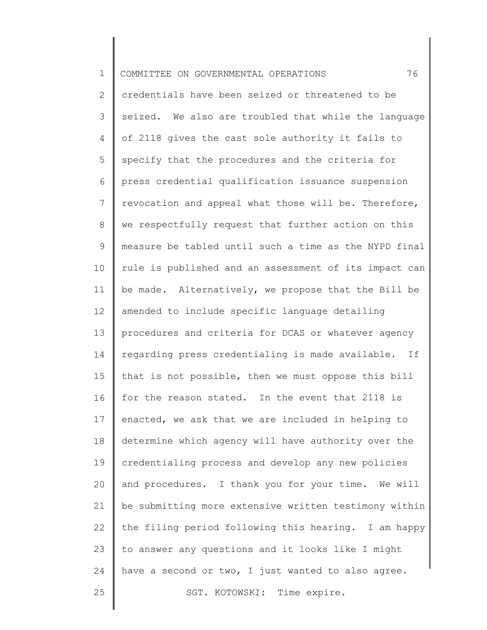| $\mathbf 1$    | 76<br>COMMITTEE ON GOVERNMENTAL OPERATIONS            |
|----------------|-------------------------------------------------------|
| $\overline{2}$ | credentials have been seized or threatened to be      |
| 3              | seized. We also are troubled that while the language  |
| 4              | of 2118 gives the cast sole authority it fails to     |
| 5              | specify that the procedures and the criteria for      |
| 6              | press credential qualification issuance suspension    |
| $7\phantom{.}$ | revocation and appeal what those will be. Therefore,  |
| $\,8\,$        | we respectfully request that further action on this   |
| $\mathsf 9$    | measure be tabled until such a time as the NYPD final |
| 10             | rule is published and an assessment of its impact can |
| 11             | be made. Alternatively, we propose that the Bill be   |
| 12             | amended to include specific language detailing        |
| 13             | procedures and criteria for DCAS or whatever agency   |
| 14             | regarding press credentialing is made available. If   |
| 15             | that is not possible, then we must oppose this bill   |
| 16             | for the reason stated. In the event that 2118 is      |
| 17             | enacted, we ask that we are included in helping to    |
| 18             | determine which agency will have authority over the   |
| 19             | credentialing process and develop any new policies    |
| 20             | and procedures. I thank you for your time. We will    |
| 21             | be submitting more extensive written testimony within |
| 22             | the filing period following this hearing. I am happy  |
| 23             | to answer any questions and it looks like I might     |
| 24             | have a second or two, I just wanted to also agree.    |
| 25             | SGT. KOTOWSKI: Time expire.                           |
|                |                                                       |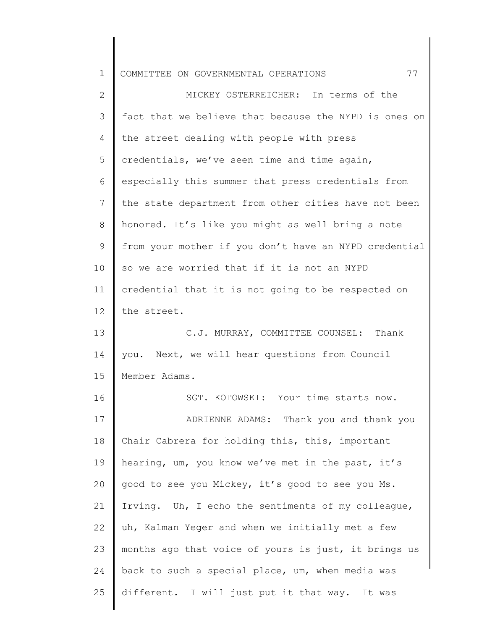| $\mathbf 1$    | 77<br>COMMITTEE ON GOVERNMENTAL OPERATIONS            |
|----------------|-------------------------------------------------------|
| $\overline{2}$ | MICKEY OSTERREICHER: In terms of the                  |
| 3              | fact that we believe that because the NYPD is ones on |
| 4              | the street dealing with people with press             |
| 5              | credentials, we've seen time and time again,          |
| 6              | especially this summer that press credentials from    |
| $7\phantom{.}$ | the state department from other cities have not been  |
| 8              | honored. It's like you might as well bring a note     |
| $\mathsf 9$    | from your mother if you don't have an NYPD credential |
| 10             | so we are worried that if it is not an NYPD           |
| 11             | credential that it is not going to be respected on    |
| 12             | the street.                                           |
| 13             | C.J. MURRAY, COMMITTEE COUNSEL: Thank                 |
| 14             | you. Next, we will hear questions from Council        |
| 15             | Member Adams.                                         |
| 16             | SGT. KOTOWSKI: Your time starts now.                  |
| 17             | ADRIENNE ADAMS: Thank you and thank you               |
| 18             | Chair Cabrera for holding this, this, important       |
| 19             | hearing, um, you know we've met in the past, it's     |
| 20             | good to see you Mickey, it's good to see you Ms.      |
| 21             | Irving. Uh, I echo the sentiments of my colleague,    |
| 22             | uh, Kalman Yeger and when we initially met a few      |
| 23             | months ago that voice of yours is just, it brings us  |
| 24             | back to such a special place, um, when media was      |
| 25             | different. I will just put it that way. It was        |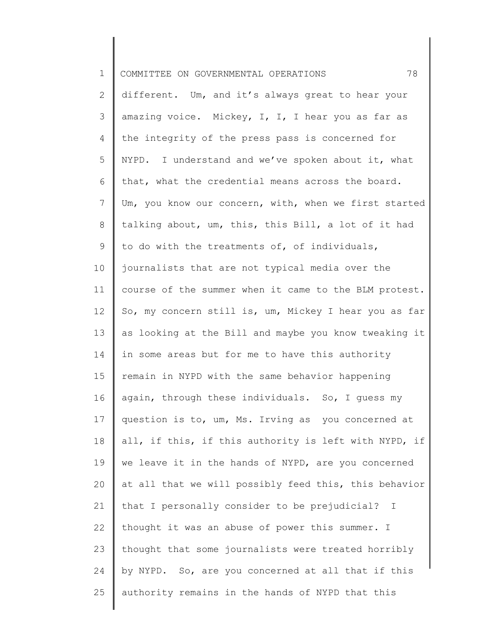| $\mathbf 1$    | 78<br>COMMITTEE ON GOVERNMENTAL OPERATIONS            |
|----------------|-------------------------------------------------------|
| $\mathbf{2}$   | different. Um, and it's always great to hear your     |
| 3              | amazing voice. Mickey, I, I, I hear you as far as     |
| 4              | the integrity of the press pass is concerned for      |
| 5              | NYPD. I understand and we've spoken about it, what    |
| 6              | that, what the credential means across the board.     |
| $7\phantom{.}$ | Um, you know our concern, with, when we first started |
| 8              | talking about, um, this, this Bill, a lot of it had   |
| 9              | to do with the treatments of, of individuals,         |
| 10             | journalists that are not typical media over the       |
| 11             | course of the summer when it came to the BLM protest. |
| 12             | So, my concern still is, um, Mickey I hear you as far |
| 13             | as looking at the Bill and maybe you know tweaking it |
| 14             | in some areas but for me to have this authority       |
| 15             | remain in NYPD with the same behavior happening       |
| 16             | again, through these individuals. So, I guess my      |
| 17             | question is to, um, Ms. Irving as you concerned at    |
| 18             | all, if this, if this authority is left with NYPD, if |
| 19             | we leave it in the hands of NYPD, are you concerned   |
| 20             | at all that we will possibly feed this, this behavior |
| 21             | that I personally consider to be prejudicial? I       |
| 22             | thought it was an abuse of power this summer. I       |
| 23             | thought that some journalists were treated horribly   |
| 24             | by NYPD. So, are you concerned at all that if this    |
| 25             | authority remains in the hands of NYPD that this      |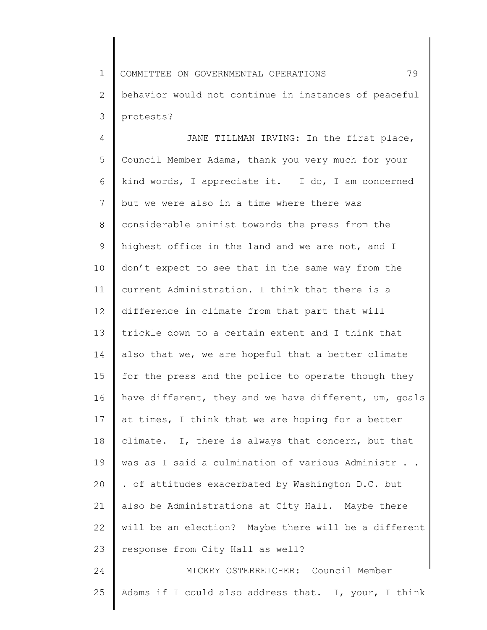1 2 3 COMMITTEE ON GOVERNMENTAL OPERATIONS 79 behavior would not continue in instances of peaceful protests?

4 5 6 7 8 9 10 11 12 13 14 15 16 17 18 19 20 21 22 23 24 JANE TILLMAN IRVING: In the first place, Council Member Adams, thank you very much for your kind words, I appreciate it. I do, I am concerned but we were also in a time where there was considerable animist towards the press from the highest office in the land and we are not, and I don't expect to see that in the same way from the current Administration. I think that there is a difference in climate from that part that will trickle down to a certain extent and I think that also that we, we are hopeful that a better climate for the press and the police to operate though they have different, they and we have different, um, goals at times, I think that we are hoping for a better climate. I, there is always that concern, but that was as I said a culmination of various Administr . . . of attitudes exacerbated by Washington D.C. but also be Administrations at City Hall. Maybe there will be an election? Maybe there will be a different response from City Hall as well? MICKEY OSTERREICHER: Council Member

25 Adams if I could also address that. I, your, I think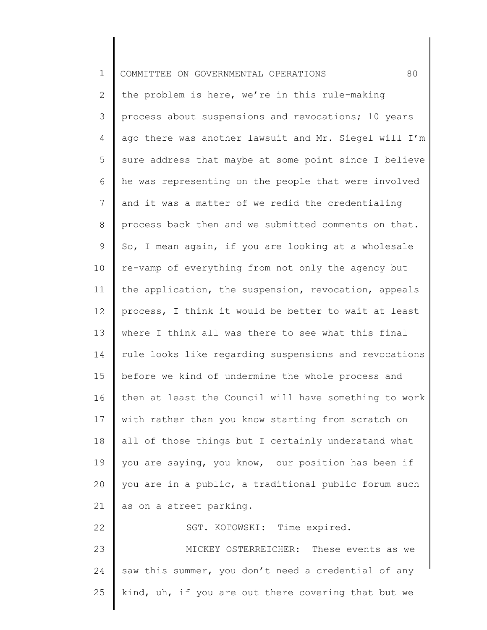| $\mathbf 1$   | 80<br>COMMITTEE ON GOVERNMENTAL OPERATIONS            |
|---------------|-------------------------------------------------------|
| 2             | the problem is here, we're in this rule-making        |
| $\mathcal{S}$ | process about suspensions and revocations; 10 years   |
| 4             | ago there was another lawsuit and Mr. Siegel will I'm |
| 5             | sure address that maybe at some point since I believe |
| 6             | he was representing on the people that were involved  |
| 7             | and it was a matter of we redid the credentialing     |
| 8             | process back then and we submitted comments on that.  |
| 9             | So, I mean again, if you are looking at a wholesale   |
| 10            | re-vamp of everything from not only the agency but    |
| 11            | the application, the suspension, revocation, appeals  |
| 12            | process, I think it would be better to wait at least  |
| 13            | where I think all was there to see what this final    |
| 14            | rule looks like regarding suspensions and revocations |
| 15            | before we kind of undermine the whole process and     |
| 16            | then at least the Council will have something to work |
| 17            | with rather than you know starting from scratch on    |
| 18            | all of those things but I certainly understand what   |
| 19            | you are saying, you know, our position has been if    |
| 20            | you are in a public, a traditional public forum such  |
| 21            | as on a street parking.                               |
| 22            | SGT. KOTOWSKI: Time expired.                          |
| 23            | MICKEY OSTERREICHER: These events as we               |
| 24            | saw this summer, you don't need a credential of any   |
| 25            | kind, uh, if you are out there covering that but we   |
|               |                                                       |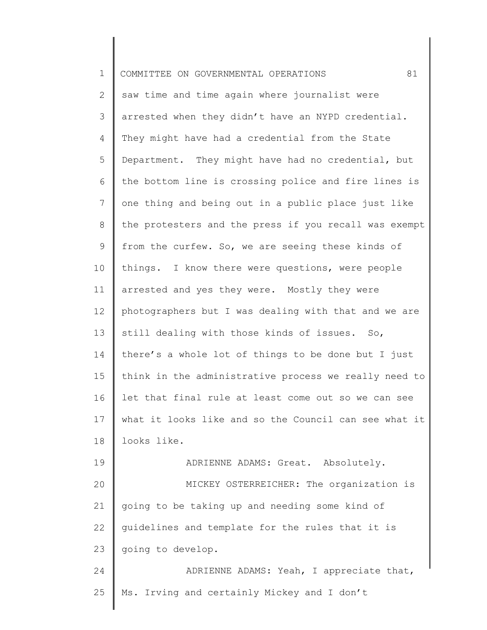| $\mathbf 1$ | 81<br>COMMITTEE ON GOVERNMENTAL OPERATIONS            |
|-------------|-------------------------------------------------------|
| 2           | saw time and time again where journalist were         |
| 3           | arrested when they didn't have an NYPD credential.    |
| 4           | They might have had a credential from the State       |
| 5           | Department. They might have had no credential, but    |
| 6           | the bottom line is crossing police and fire lines is  |
| 7           | one thing and being out in a public place just like   |
| 8           | the protesters and the press if you recall was exempt |
| 9           | from the curfew. So, we are seeing these kinds of     |
| 10          | things. I know there were questions, were people      |
| 11          | arrested and yes they were. Mostly they were          |
| 12          | photographers but I was dealing with that and we are  |
| 13          | still dealing with those kinds of issues. So,         |
| 14          | there's a whole lot of things to be done but I just   |
| 15          | think in the administrative process we really need to |
| 16          | let that final rule at least come out so we can see   |
| 17          | what it looks like and so the Council can see what it |
| 18          | looks like.                                           |
| 19          | ADRIENNE ADAMS: Great. Absolutely.                    |
| 20          | MICKEY OSTERREICHER: The organization is              |
| 21          | going to be taking up and needing some kind of        |
| 22          | guidelines and template for the rules that it is      |
| 23          | going to develop.                                     |
| 24          | ADRIENNE ADAMS: Yeah, I appreciate that,              |
| 25          | Ms. Irving and certainly Mickey and I don't           |
|             |                                                       |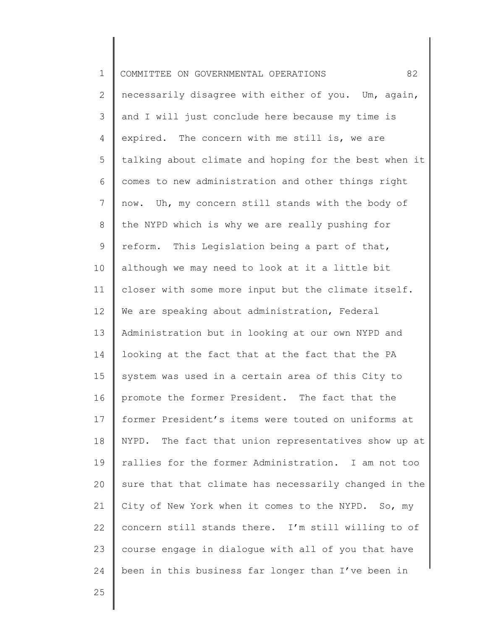| $\mathbf 1$    | 82<br>COMMITTEE ON GOVERNMENTAL OPERATIONS            |
|----------------|-------------------------------------------------------|
| 2              | necessarily disagree with either of you. Um, again,   |
| 3              | and I will just conclude here because my time is      |
| 4              | expired. The concern with me still is, we are         |
| 5              | talking about climate and hoping for the best when it |
| 6              | comes to new administration and other things right    |
| $\overline{7}$ | now. Uh, my concern still stands with the body of     |
| 8              | the NYPD which is why we are really pushing for       |
| 9              | reform. This Legislation being a part of that,        |
| 10             | although we may need to look at it a little bit       |
| 11             | closer with some more input but the climate itself.   |
| 12             | We are speaking about administration, Federal         |
| 13             | Administration but in looking at our own NYPD and     |
| 14             | looking at the fact that at the fact that the PA      |
| 15             | system was used in a certain area of this City to     |
| 16             | promote the former President. The fact that the       |
| 17             | former President's items were touted on uniforms at   |
| 18             | NYPD. The fact that union representatives show up at  |
| 19             | rallies for the former Administration. I am not too   |
| 20             | sure that that climate has necessarily changed in the |
| 21             | City of New York when it comes to the NYPD. So, my    |
| 22             | concern still stands there. I'm still willing to of   |
| 23             | course engage in dialogue with all of you that have   |
| 24             | been in this business far longer than I've been in    |
| 25             |                                                       |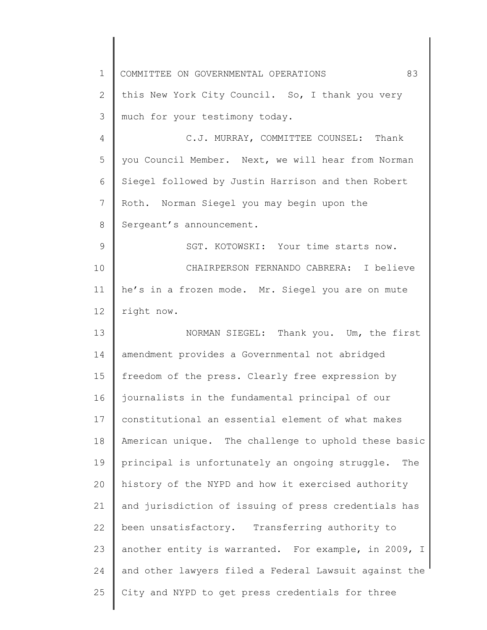| $\mathbf 1$                                  | 83<br>COMMITTEE ON GOVERNMENTAL OPERATIONS            |
|----------------------------------------------|-------------------------------------------------------|
| 2                                            | this New York City Council. So, I thank you very      |
| 3                                            | much for your testimony today.                        |
| 4                                            | C.J. MURRAY, COMMITTEE COUNSEL: Thank                 |
| 5                                            | you Council Member. Next, we will hear from Norman    |
| 6                                            | Siegel followed by Justin Harrison and then Robert    |
| 7                                            | Roth. Norman Siegel you may begin upon the            |
| 8                                            | Sergeant's announcement.                              |
| 9                                            | SGT. KOTOWSKI: Your time starts now.                  |
| 10                                           | CHAIRPERSON FERNANDO CABRERA: I believe               |
| 11                                           | he's in a frozen mode. Mr. Siegel you are on mute     |
| 12                                           | right now.                                            |
| 13                                           | NORMAN SIEGEL: Thank you. Um, the first               |
| 14                                           | amendment provides a Governmental not abridged        |
| 15                                           |                                                       |
|                                              | freedom of the press. Clearly free expression by      |
|                                              | journalists in the fundamental principal of our       |
|                                              | constitutional an essential element of what makes     |
|                                              | American unique. The challenge to uphold these basic  |
|                                              | principal is unfortunately an ongoing struggle. The   |
|                                              | history of the NYPD and how it exercised authority    |
|                                              | and jurisdiction of issuing of press credentials has  |
|                                              | been unsatisfactory. Transferring authority to        |
| 16<br>17<br>18<br>19<br>20<br>21<br>22<br>23 | another entity is warranted. For example, in 2009, I  |
| 24                                           | and other lawyers filed a Federal Lawsuit against the |
| 25                                           | City and NYPD to get press credentials for three      |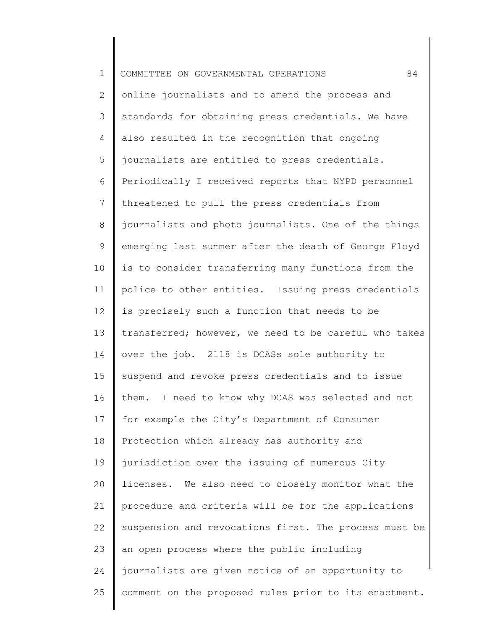| $\mathbf 1$     | 84<br>COMMITTEE ON GOVERNMENTAL OPERATIONS            |
|-----------------|-------------------------------------------------------|
| $\mathbf{2}$    | online journalists and to amend the process and       |
| 3               | standards for obtaining press credentials. We have    |
| 4               | also resulted in the recognition that ongoing         |
| 5               | journalists are entitled to press credentials.        |
| 6               | Periodically I received reports that NYPD personnel   |
| $7\phantom{.0}$ | threatened to pull the press credentials from         |
| 8               | journalists and photo journalists. One of the things  |
| 9               | emerging last summer after the death of George Floyd  |
| 10              | is to consider transferring many functions from the   |
| 11              | police to other entities. Issuing press credentials   |
| 12              | is precisely such a function that needs to be         |
| 13              | transferred; however, we need to be careful who takes |
| 14              | over the job. 2118 is DCASs sole authority to         |
| 15              | suspend and revoke press credentials and to issue     |
| 16              | them.<br>I need to know why DCAS was selected and not |
| 17              | for example the City's Department of Consumer         |
| 18              | Protection which already has authority and            |
| 19              | jurisdiction over the issuing of numerous City        |
| 20              | licenses. We also need to closely monitor what the    |
| 21              | procedure and criteria will be for the applications   |
| 22              | suspension and revocations first. The process must be |
| 23              | an open process where the public including            |
| 24              | journalists are given notice of an opportunity to     |
| 25              | comment on the proposed rules prior to its enactment. |
|                 |                                                       |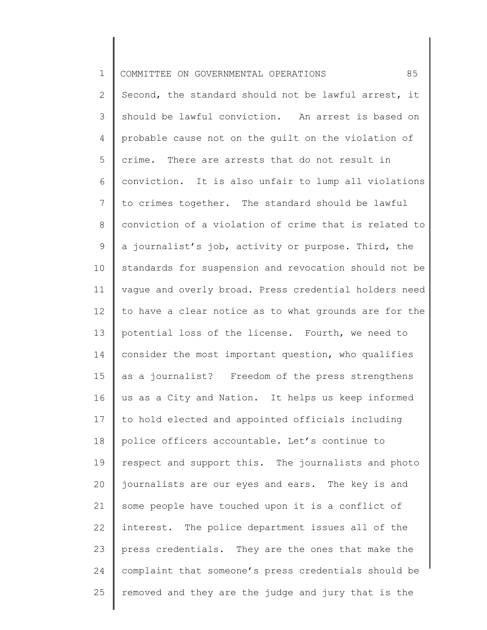| $\mathbf 1$    | 85<br>COMMITTEE ON GOVERNMENTAL OPERATIONS            |
|----------------|-------------------------------------------------------|
| $\overline{2}$ | Second, the standard should not be lawful arrest, it  |
| 3              | should be lawful conviction. An arrest is based on    |
| 4              | probable cause not on the guilt on the violation of   |
| 5              | crime. There are arrests that do not result in        |
| 6              | conviction. It is also unfair to lump all violations  |
| $7\phantom{.}$ | to crimes together. The standard should be lawful     |
| $8\,$          | conviction of a violation of crime that is related to |
| 9              | a journalist's job, activity or purpose. Third, the   |
| 10             | standards for suspension and revocation should not be |
| 11             | vaque and overly broad. Press credential holders need |
| 12             | to have a clear notice as to what grounds are for the |
| 13             | potential loss of the license. Fourth, we need to     |
| 14             | consider the most important question, who qualifies   |
| 15             | as a journalist? Freedom of the press strengthens     |
| 16             | us as a City and Nation. It helps us keep informed    |
| 17             | to hold elected and appointed officials including     |
| 18             | police officers accountable. Let's continue to        |
| 19             | respect and support this. The journalists and photo   |
| 20             | journalists are our eyes and ears. The key is and     |
| 21             | some people have touched upon it is a conflict of     |
| 22             | interest. The police department issues all of the     |
| 23             | press credentials. They are the ones that make the    |
| 24             | complaint that someone's press credentials should be  |
| 25             | removed and they are the judge and jury that is the   |
|                |                                                       |

║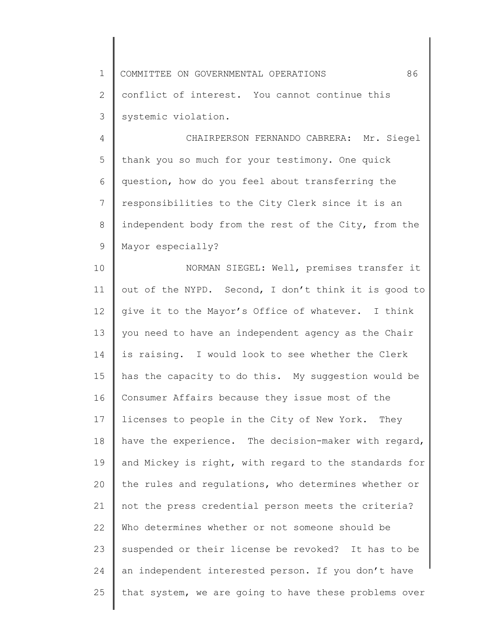1 2 3 COMMITTEE ON GOVERNMENTAL OPERATIONS 86 conflict of interest. You cannot continue this systemic violation.

4 5 6 7 8 9 CHAIRPERSON FERNANDO CABRERA: Mr. Siegel thank you so much for your testimony. One quick question, how do you feel about transferring the responsibilities to the City Clerk since it is an independent body from the rest of the City, from the Mayor especially?

10 11 12 13 14 15 16 17 18 19 20 21 22 23 24 25 NORMAN SIEGEL: Well, premises transfer it out of the NYPD. Second, I don't think it is good to give it to the Mayor's Office of whatever. I think you need to have an independent agency as the Chair is raising. I would look to see whether the Clerk has the capacity to do this. My suggestion would be Consumer Affairs because they issue most of the licenses to people in the City of New York. They have the experience. The decision-maker with regard, and Mickey is right, with regard to the standards for the rules and regulations, who determines whether or not the press credential person meets the criteria? Who determines whether or not someone should be suspended or their license be revoked? It has to be an independent interested person. If you don't have that system, we are going to have these problems over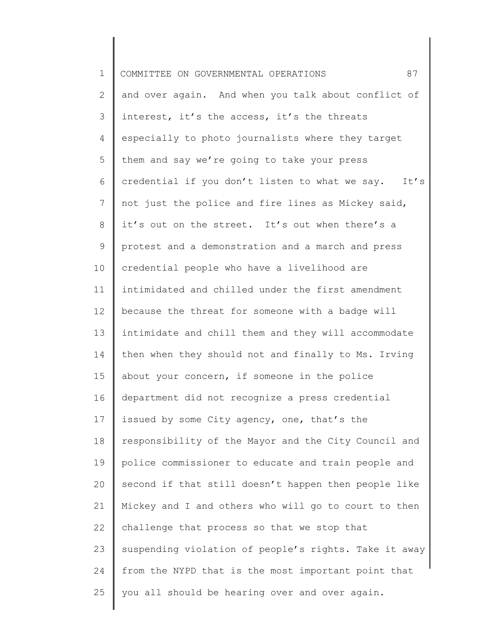| $\mathbf 1$ | 87<br>COMMITTEE ON GOVERNMENTAL OPERATIONS            |
|-------------|-------------------------------------------------------|
| 2           | and over again. And when you talk about conflict of   |
| 3           | interest, it's the access, it's the threats           |
| 4           | especially to photo journalists where they target     |
| 5           | them and say we're going to take your press           |
| 6           | credential if you don't listen to what we say. It's   |
| 7           | not just the police and fire lines as Mickey said,    |
| 8           | it's out on the street. It's out when there's a       |
| 9           | protest and a demonstration and a march and press     |
| 10          | credential people who have a livelihood are           |
| 11          | intimidated and chilled under the first amendment     |
| 12          | because the threat for someone with a badge will      |
| 13          | intimidate and chill them and they will accommodate   |
| 14          | then when they should not and finally to Ms. Irving   |
| 15          | about your concern, if someone in the police          |
| 16          | department did not recognize a press credential       |
| 17          | issued by some City agency, one, that's the           |
| 18          | responsibility of the Mayor and the City Council and  |
| 19          | police commissioner to educate and train people and   |
| 20          | second if that still doesn't happen then people like  |
| 21          | Mickey and I and others who will go to court to then  |
| 22          | challenge that process so that we stop that           |
| 23          | suspending violation of people's rights. Take it away |
| 24          | from the NYPD that is the most important point that   |
| 25          | you all should be hearing over and over again.        |
|             |                                                       |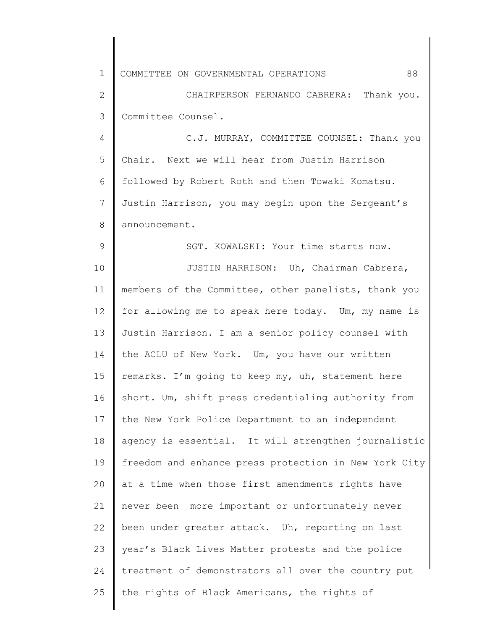1 COMMITTEE ON GOVERNMENTAL OPERATIONS 88

9

2 3 CHAIRPERSON FERNANDO CABRERA: Thank you. Committee Counsel.

4 5 6 7 8 C.J. MURRAY, COMMITTEE COUNSEL: Thank you Chair. Next we will hear from Justin Harrison followed by Robert Roth and then Towaki Komatsu. Justin Harrison, you may begin upon the Sergeant's announcement.

SGT. KOWALSKI: Your time starts now.

10 11 12 13 14 15 16 17 18 19 20 21 22 23 24 25 JUSTIN HARRISON: Uh, Chairman Cabrera, members of the Committee, other panelists, thank you for allowing me to speak here today. Um, my name is Justin Harrison. I am a senior policy counsel with the ACLU of New York. Um, you have our written remarks. I'm going to keep my, uh, statement here short. Um, shift press credentialing authority from the New York Police Department to an independent agency is essential. It will strengthen journalistic freedom and enhance press protection in New York City at a time when those first amendments rights have never been more important or unfortunately never been under greater attack. Uh, reporting on last year's Black Lives Matter protests and the police treatment of demonstrators all over the country put the rights of Black Americans, the rights of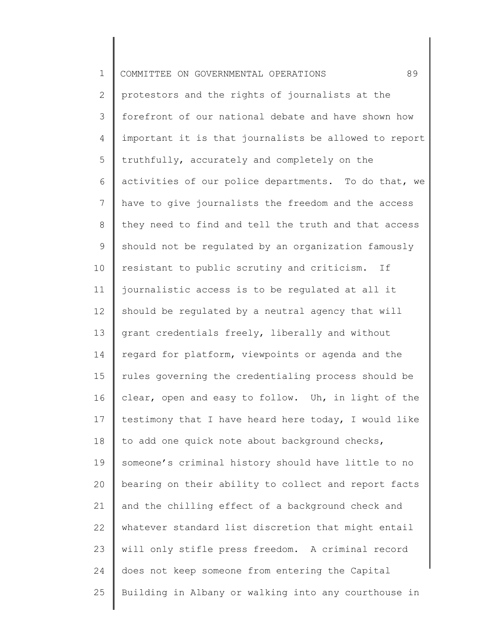| $\mathbf 1$    | 89<br>COMMITTEE ON GOVERNMENTAL OPERATIONS            |
|----------------|-------------------------------------------------------|
| $\overline{2}$ | protestors and the rights of journalists at the       |
| 3              | forefront of our national debate and have shown how   |
| 4              | important it is that journalists be allowed to report |
| 5              | truthfully, accurately and completely on the          |
| 6              | activities of our police departments. To do that, we  |
| 7              | have to give journalists the freedom and the access   |
| 8              | they need to find and tell the truth and that access  |
| 9              | should not be regulated by an organization famously   |
| 10             | resistant to public scrutiny and criticism. If        |
| 11             | journalistic access is to be regulated at all it      |
| 12             | should be regulated by a neutral agency that will     |
| 13             | grant credentials freely, liberally and without       |
| 14             | regard for platform, viewpoints or agenda and the     |
| 15             | rules governing the credentialing process should be   |
| 16             | clear, open and easy to follow. Uh, in light of the   |
| 17             | testimony that I have heard here today, I would like  |
| 18             | to add one quick note about background checks,        |
| 19             | someone's criminal history should have little to no   |
| 20             | bearing on their ability to collect and report facts  |
| 21             | and the chilling effect of a background check and     |
| 22             | whatever standard list discretion that might entail   |
| 23             | will only stifle press freedom. A criminal record     |
| 24             | does not keep someone from entering the Capital       |
| 25             | Building in Albany or walking into any courthouse in  |
|                |                                                       |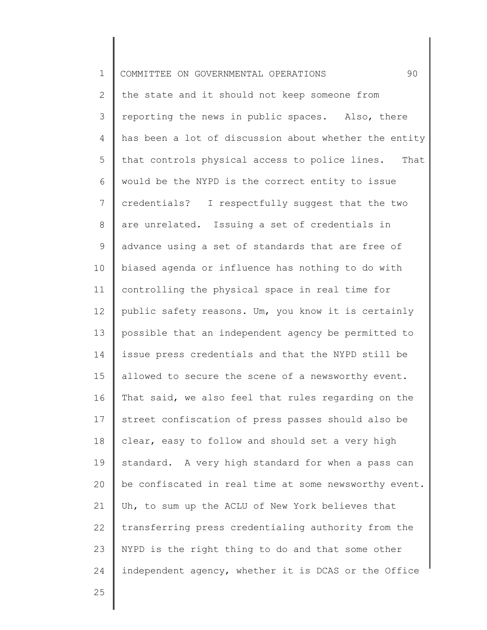| $\mathbf 1$    | 90<br>COMMITTEE ON GOVERNMENTAL OPERATIONS            |
|----------------|-------------------------------------------------------|
| $\mathbf{2}$   | the state and it should not keep someone from         |
| 3              | reporting the news in public spaces. Also, there      |
| 4              | has been a lot of discussion about whether the entity |
| 5              | that controls physical access to police lines. That   |
| 6              | would be the NYPD is the correct entity to issue      |
| $\overline{7}$ | credentials? I respectfully suggest that the two      |
| 8              | are unrelated. Issuing a set of credentials in        |
| 9              | advance using a set of standards that are free of     |
| 10             | biased agenda or influence has nothing to do with     |
| 11             | controlling the physical space in real time for       |
| 12             | public safety reasons. Um, you know it is certainly   |
| 13             | possible that an independent agency be permitted to   |
| 14             | issue press credentials and that the NYPD still be    |
| 15             | allowed to secure the scene of a newsworthy event.    |
| 16             | That said, we also feel that rules regarding on the   |
| 17             | street confiscation of press passes should also be    |
| 18             | clear, easy to follow and should set a very high      |
| 19             | standard. A very high standard for when a pass can    |
| 20             | be confiscated in real time at some newsworthy event. |
| 21             | Uh, to sum up the ACLU of New York believes that      |
| 22             | transferring press credentialing authority from the   |
| 23             | NYPD is the right thing to do and that some other     |
| 24             | independent agency, whether it is DCAS or the Office  |
| 25             |                                                       |
|                |                                                       |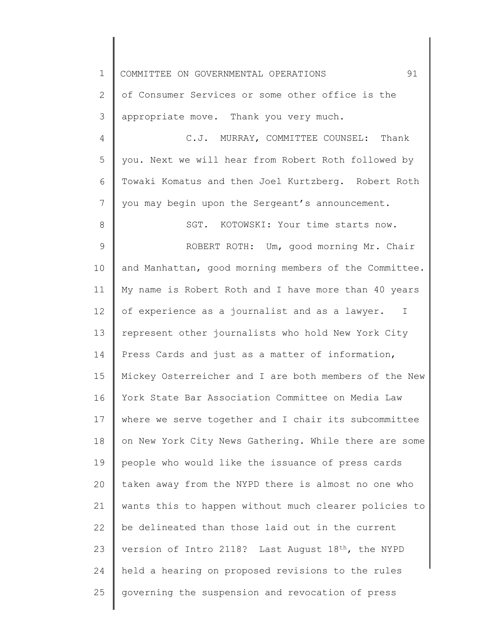1 2 3 4 5 6 7 8 9 10 11 12 13 14 15 16 17 18 19 20 21 22 23 24 25 COMMITTEE ON GOVERNMENTAL OPERATIONS 91 of Consumer Services or some other office is the appropriate move. Thank you very much. C.J. MURRAY, COMMITTEE COUNSEL: Thank you. Next we will hear from Robert Roth followed by Towaki Komatus and then Joel Kurtzberg. Robert Roth you may begin upon the Sergeant's announcement. SGT. KOTOWSKI: Your time starts now. ROBERT ROTH: Um, good morning Mr. Chair and Manhattan, good morning members of the Committee. My name is Robert Roth and I have more than 40 years of experience as a journalist and as a lawyer. I represent other journalists who hold New York City Press Cards and just as a matter of information, Mickey Osterreicher and I are both members of the New York State Bar Association Committee on Media Law where we serve together and I chair its subcommittee on New York City News Gathering. While there are some people who would like the issuance of press cards taken away from the NYPD there is almost no one who wants this to happen without much clearer policies to be delineated than those laid out in the current version of Intro 2118? Last August 18th, the NYPD held a hearing on proposed revisions to the rules governing the suspension and revocation of press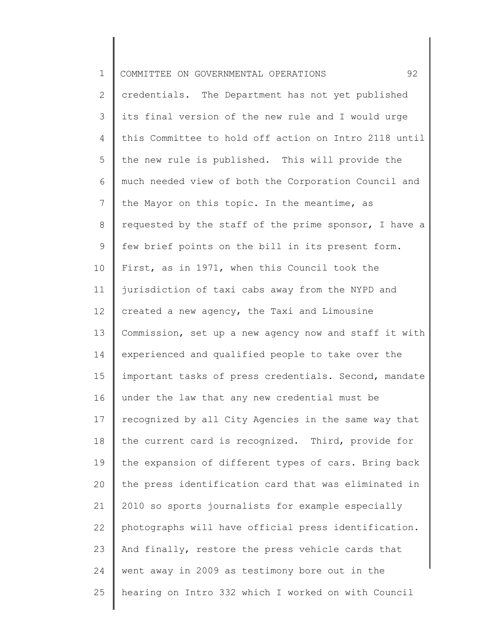| $\mathbf 1$    | 92<br>COMMITTEE ON GOVERNMENTAL OPERATIONS            |
|----------------|-------------------------------------------------------|
| $\overline{2}$ | credentials. The Department has not yet published     |
| 3              | its final version of the new rule and I would urge    |
| 4              | this Committee to hold off action on Intro 2118 until |
| 5              | the new rule is published. This will provide the      |
| 6              | much needed view of both the Corporation Council and  |
| $7\phantom{.}$ | the Mayor on this topic. In the meantime, as          |
| 8              | requested by the staff of the prime sponsor, I have a |
| $\mathsf 9$    | few brief points on the bill in its present form.     |
| 10             | First, as in 1971, when this Council took the         |
| 11             | jurisdiction of taxi cabs away from the NYPD and      |
| 12             | created a new agency, the Taxi and Limousine          |
| 13             | Commission, set up a new agency now and staff it with |
| 14             | experienced and qualified people to take over the     |
| 15             | important tasks of press credentials. Second, mandate |
| 16             | under the law that any new credential must be         |
| 17             | recognized by all City Agencies in the same way that  |
| 18             | the current card is recognized. Third, provide for    |
| 19             | the expansion of different types of cars. Bring back  |
| 20             | the press identification card that was eliminated in  |
| 21             | 2010 so sports journalists for example especially     |
| 22             | photographs will have official press identification.  |
| 23             | And finally, restore the press vehicle cards that     |
| 24             | went away in 2009 as testimony bore out in the        |
| 25             | hearing on Intro 332 which I worked on with Council   |

 $\begin{array}{c} \hline \end{array}$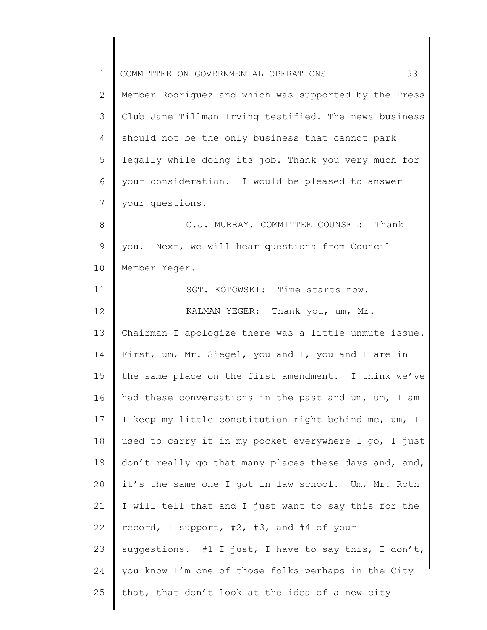1 2 3 4 5 6 7 8 9 10 11 12 13 14 15 16 17 18 19 20 21 22 23 24 25 COMMITTEE ON GOVERNMENTAL OPERATIONS 93 Member Rodriguez and which was supported by the Press Club Jane Tillman Irving testified. The news business should not be the only business that cannot park legally while doing its job. Thank you very much for your consideration. I would be pleased to answer your questions. C.J. MURRAY, COMMITTEE COUNSEL: Thank you. Next, we will hear questions from Council Member Yeger. SGT. KOTOWSKI: Time starts now. KALMAN YEGER: Thank you, um, Mr. Chairman I apologize there was a little unmute issue. First, um, Mr. Siegel, you and I, you and I are in the same place on the first amendment. I think we've had these conversations in the past and um, um, I am I keep my little constitution right behind me, um, I used to carry it in my pocket everywhere I go, I just don't really go that many places these days and, and, it's the same one I got in law school. Um, Mr. Roth I will tell that and I just want to say this for the record, I support, #2, #3, and #4 of your suggestions. #1 I just, I have to say this, I don't, you know I'm one of those folks perhaps in the City that, that don't look at the idea of a new city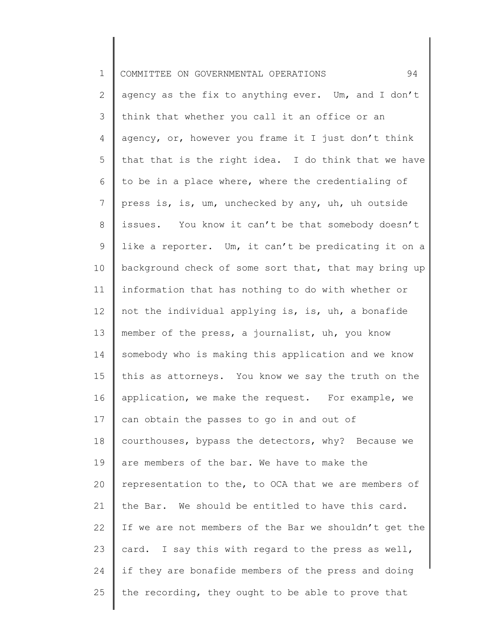| $\mathbf 1$    | 94<br>COMMITTEE ON GOVERNMENTAL OPERATIONS            |
|----------------|-------------------------------------------------------|
| $\overline{2}$ | agency as the fix to anything ever. Um, and I don't   |
| 3              | think that whether you call it an office or an        |
| 4              | agency, or, however you frame it I just don't think   |
| 5              | that that is the right idea. I do think that we have  |
| 6              | to be in a place where, where the credentialing of    |
| $7\phantom{.}$ | press is, is, um, unchecked by any, uh, uh outside    |
| 8              | issues. You know it can't be that somebody doesn't    |
| $\mathsf 9$    | like a reporter. Um, it can't be predicating it on a  |
| 10             | background check of some sort that, that may bring up |
| 11             | information that has nothing to do with whether or    |
| 12             | not the individual applying is, is, uh, a bonafide    |
| 13             | member of the press, a journalist, uh, you know       |
| 14             | somebody who is making this application and we know   |
| 15             | this as attorneys. You know we say the truth on the   |
| 16             | application, we make the request. For example, we     |
| 17             | can obtain the passes to go in and out of             |
| 18             | courthouses, bypass the detectors, why? Because we    |
| 19             | are members of the bar. We have to make the           |
| 20             | representation to the, to OCA that we are members of  |
| 21             | the Bar. We should be entitled to have this card.     |
| 22             | If we are not members of the Bar we shouldn't get the |
| 23             | card. I say this with regard to the press as well,    |
| 24             | if they are bonafide members of the press and doing   |
| 25             | the recording, they ought to be able to prove that    |
|                |                                                       |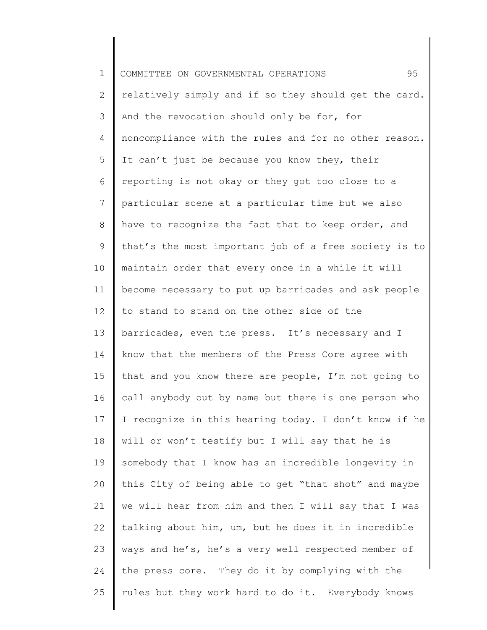| $\mathbf 1$     | 95<br>COMMITTEE ON GOVERNMENTAL OPERATIONS            |
|-----------------|-------------------------------------------------------|
| 2               | relatively simply and if so they should get the card. |
| 3               | And the revocation should only be for, for            |
| 4               | noncompliance with the rules and for no other reason. |
| 5               | It can't just be because you know they, their         |
| 6               | reporting is not okay or they got too close to a      |
| $7\phantom{.0}$ | particular scene at a particular time but we also     |
| $8\,$           | have to recognize the fact that to keep order, and    |
| 9               | that's the most important job of a free society is to |
| 10              | maintain order that every once in a while it will     |
| 11              | become necessary to put up barricades and ask people  |
| 12              | to stand to stand on the other side of the            |
| 13              | barricades, even the press. It's necessary and I      |
| 14              | know that the members of the Press Core agree with    |
| 15              | that and you know there are people, I'm not going to  |
| 16              | call anybody out by name but there is one person who  |
| 17              | I recognize in this hearing today. I don't know if he |
| 18              | will or won't testify but I will say that he is       |
| 19              | somebody that I know has an incredible longevity in   |
| 20              | this City of being able to get "that shot" and maybe  |
| 21              | we will hear from him and then I will say that I was  |
| 22              | talking about him, um, but he does it in incredible   |
| 23              | ways and he's, he's a very well respected member of   |
| 24              | the press core. They do it by complying with the      |
| 25              | rules but they work hard to do it. Everybody knows    |
|                 |                                                       |

║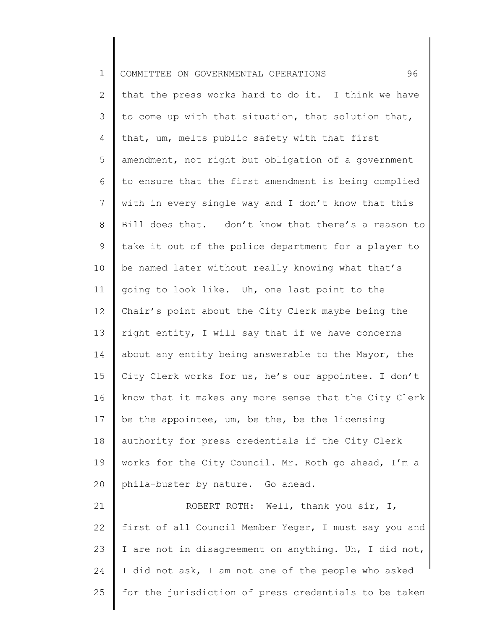| $\mathbf 1$    | 96<br>COMMITTEE ON GOVERNMENTAL OPERATIONS            |
|----------------|-------------------------------------------------------|
| $\overline{2}$ | that the press works hard to do it. I think we have   |
| 3              | to come up with that situation, that solution that,   |
| $\overline{4}$ | that, um, melts public safety with that first         |
| 5              | amendment, not right but obligation of a government   |
| 6              | to ensure that the first amendment is being complied  |
| 7              | with in every single way and I don't know that this   |
| 8              | Bill does that. I don't know that there's a reason to |
| 9              | take it out of the police department for a player to  |
| 10             | be named later without really knowing what that's     |
| 11             | going to look like. Uh, one last point to the         |
| 12             | Chair's point about the City Clerk maybe being the    |
| 13             | right entity, I will say that if we have concerns     |
| 14             | about any entity being answerable to the Mayor, the   |
| 15             | City Clerk works for us, he's our appointee. I don't  |
| 16             | know that it makes any more sense that the City Clerk |
| 17             | be the appointee, um, be the, be the licensing        |
| 18             | authority for press credentials if the City Clerk     |
| 19             | works for the City Council. Mr. Roth go ahead, I'm a  |
| 20             | phila-buster by nature. Go ahead.                     |
| 21             | ROBERT ROTH: Well, thank you sir, I,                  |
| 22             | first of all Council Member Yeger, I must say you and |
| 23             | I are not in disagreement on anything. Uh, I did not, |
| 24             | I did not ask, I am not one of the people who asked   |
| 25             | for the jurisdiction of press credentials to be taken |
|                |                                                       |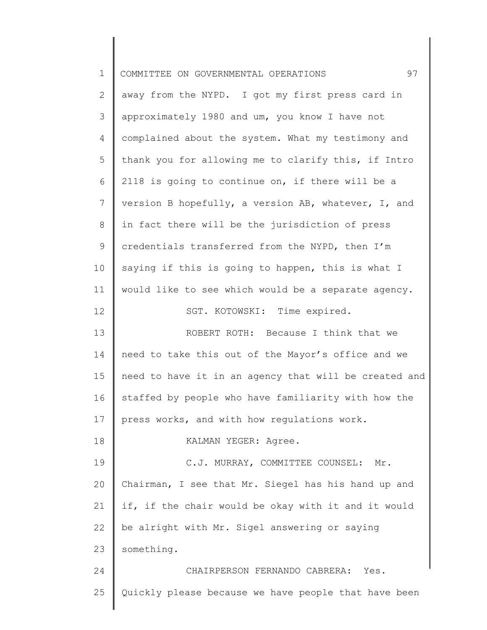| $\mathbf 1$  | 97<br>COMMITTEE ON GOVERNMENTAL OPERATIONS            |
|--------------|-------------------------------------------------------|
| $\mathbf{2}$ | away from the NYPD. I got my first press card in      |
| 3            | approximately 1980 and um, you know I have not        |
| 4            | complained about the system. What my testimony and    |
| 5            | thank you for allowing me to clarify this, if Intro   |
| 6            | 2118 is going to continue on, if there will be a      |
| 7            | version B hopefully, a version AB, whatever, I, and   |
| 8            | in fact there will be the jurisdiction of press       |
| $\mathsf 9$  | credentials transferred from the NYPD, then I'm       |
| 10           | saying if this is going to happen, this is what I     |
| 11           | would like to see which would be a separate agency.   |
| 12           | SGT. KOTOWSKI: Time expired.                          |
| 13           | ROBERT ROTH: Because I think that we                  |
| 14           | need to take this out of the Mayor's office and we    |
| 15           | need to have it in an agency that will be created and |
| 16           | staffed by people who have familiarity with how the   |
| 17           | press works, and with how regulations work.           |
| 18           | KALMAN YEGER: Agree.                                  |
| 19           | C.J. MURRAY, COMMITTEE COUNSEL:<br>Mr.                |
| 20           | Chairman, I see that Mr. Siegel has his hand up and   |
| 21           | if, if the chair would be okay with it and it would   |
| 22           | be alright with Mr. Sigel answering or saying         |
| 23           | something.                                            |
| 24           | CHAIRPERSON FERNANDO CABRERA:<br>Yes.                 |
| 25           | Quickly please because we have people that have been  |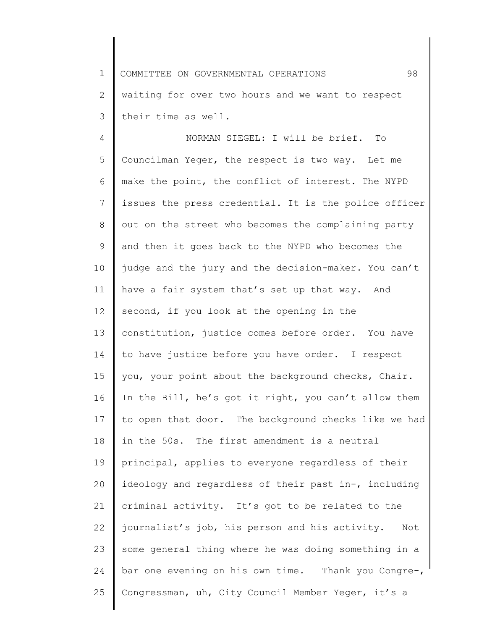1 2 3 COMMITTEE ON GOVERNMENTAL OPERATIONS 98 waiting for over two hours and we want to respect their time as well.

4 5 6 7 8 9 10 11 12 13 14 15 16 17 18 19 20 21 22 23 24 25 NORMAN SIEGEL: I will be brief. To Councilman Yeger, the respect is two way. Let me make the point, the conflict of interest. The NYPD issues the press credential. It is the police officer out on the street who becomes the complaining party and then it goes back to the NYPD who becomes the judge and the jury and the decision-maker. You can't have a fair system that's set up that way. And second, if you look at the opening in the constitution, justice comes before order. You have to have justice before you have order. I respect you, your point about the background checks, Chair. In the Bill, he's got it right, you can't allow them to open that door. The background checks like we had in the 50s. The first amendment is a neutral principal, applies to everyone regardless of their ideology and regardless of their past in-, including criminal activity. It's got to be related to the journalist's job, his person and his activity. Not some general thing where he was doing something in a bar one evening on his own time. Thank you Congre-, Congressman, uh, City Council Member Yeger, it's a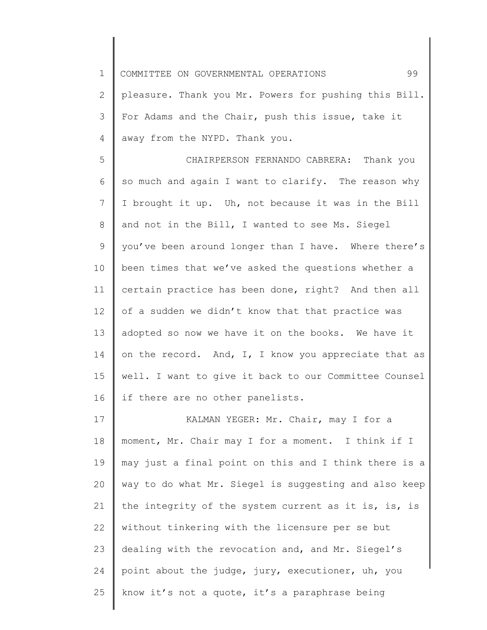1 COMMITTEE ON GOVERNMENTAL OPERATIONS 99

2 3 4 pleasure. Thank you Mr. Powers for pushing this Bill. For Adams and the Chair, push this issue, take it away from the NYPD. Thank you.

5 6 7 8 9 10 11 12 13 14 15 16 CHAIRPERSON FERNANDO CABRERA: Thank you so much and again I want to clarify. The reason why I brought it up. Uh, not because it was in the Bill and not in the Bill, I wanted to see Ms. Siegel you've been around longer than I have. Where there's been times that we've asked the questions whether a certain practice has been done, right? And then all of a sudden we didn't know that that practice was adopted so now we have it on the books. We have it on the record. And, I, I know you appreciate that as well. I want to give it back to our Committee Counsel if there are no other panelists.

17 18 19 20 21 22 23 24 25 KALMAN YEGER: Mr. Chair, may I for a moment, Mr. Chair may I for a moment. I think if I may just a final point on this and I think there is a way to do what Mr. Siegel is suggesting and also keep the integrity of the system current as it is, is, is without tinkering with the licensure per se but dealing with the revocation and, and Mr. Siegel's point about the judge, jury, executioner, uh, you know it's not a quote, it's a paraphrase being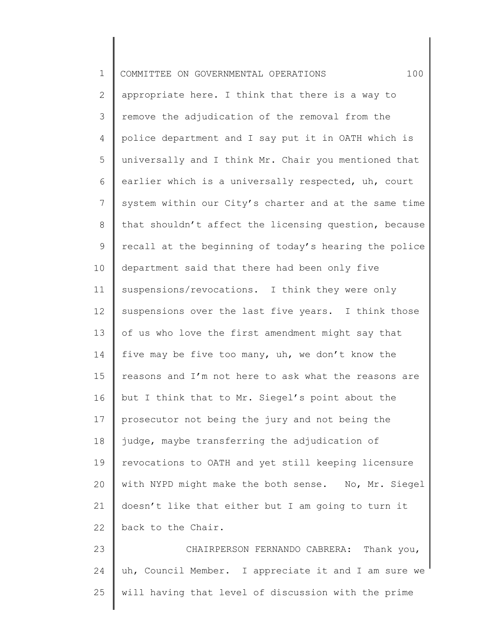| $\mathbf 1$     | 100<br>COMMITTEE ON GOVERNMENTAL OPERATIONS           |
|-----------------|-------------------------------------------------------|
| 2               | appropriate here. I think that there is a way to      |
| 3               | remove the adjudication of the removal from the       |
| 4               | police department and I say put it in OATH which is   |
| 5               | universally and I think Mr. Chair you mentioned that  |
| 6               | earlier which is a universally respected, uh, court   |
| $7\overline{ }$ | system within our City's charter and at the same time |
| 8               | that shouldn't affect the licensing question, because |
| 9               | recall at the beginning of today's hearing the police |
| 10              | department said that there had been only five         |
| 11              | suspensions/revocations. I think they were only       |
| 12              | suspensions over the last five years. I think those   |
| 13              | of us who love the first amendment might say that     |
| 14              | five may be five too many, uh, we don't know the      |
| 15              | reasons and I'm not here to ask what the reasons are  |
| 16              | but I think that to Mr. Siegel's point about the      |
|                 | 17   prosecutor not being the jury and not being the  |
| 18              | judge, maybe transferring the adjudication of         |
| 19              | revocations to OATH and yet still keeping licensure   |
| 20              | with NYPD might make the both sense. No, Mr. Siegel   |
| 21              | doesn't like that either but I am going to turn it    |
| 22              | back to the Chair.                                    |
| 23              | CHAIRPERSON FERNANDO CABRERA: Thank you,              |
| 24              | uh, Council Member. I appreciate it and I am sure we  |
| 25              | will having that level of discussion with the prime   |
|                 |                                                       |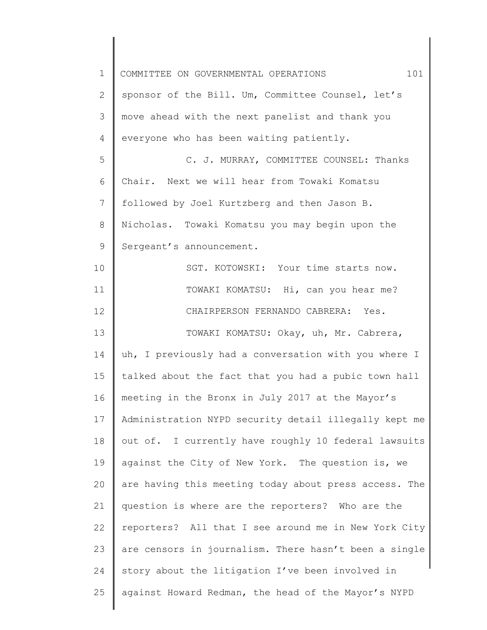| 1  | 101<br>COMMITTEE ON GOVERNMENTAL OPERATIONS           |
|----|-------------------------------------------------------|
| 2  | sponsor of the Bill. Um, Committee Counsel, let's     |
| 3  | move ahead with the next panelist and thank you       |
| 4  | everyone who has been waiting patiently.              |
| 5  | C. J. MURRAY, COMMITTEE COUNSEL: Thanks               |
| 6  | Chair. Next we will hear from Towaki Komatsu          |
| 7  | followed by Joel Kurtzberg and then Jason B.          |
| 8  | Nicholas. Towaki Komatsu you may begin upon the       |
| 9  | Sergeant's announcement.                              |
| 10 | SGT. KOTOWSKI: Your time starts now.                  |
| 11 | TOWAKI KOMATSU: Hi, can you hear me?                  |
| 12 | CHAIRPERSON FERNANDO CABRERA: Yes.                    |
| 13 | TOWAKI KOMATSU: Okay, uh, Mr. Cabrera,                |
| 14 | uh, I previously had a conversation with you where I  |
| 15 | talked about the fact that you had a pubic town hall  |
| 16 | meeting in the Bronx in July 2017 at the Mayor's      |
| 17 | Administration NYPD security detail illegally kept me |
| 18 | out of. I currently have roughly 10 federal lawsuits  |
| 19 | against the City of New York. The question is, we     |
| 20 | are having this meeting today about press access. The |
| 21 | question is where are the reporters? Who are the      |
| 22 | reporters? All that I see around me in New York City  |
| 23 | are censors in journalism. There hasn't been a single |
| 24 | story about the litigation I've been involved in      |
| 25 | against Howard Redman, the head of the Mayor's NYPD   |
|    |                                                       |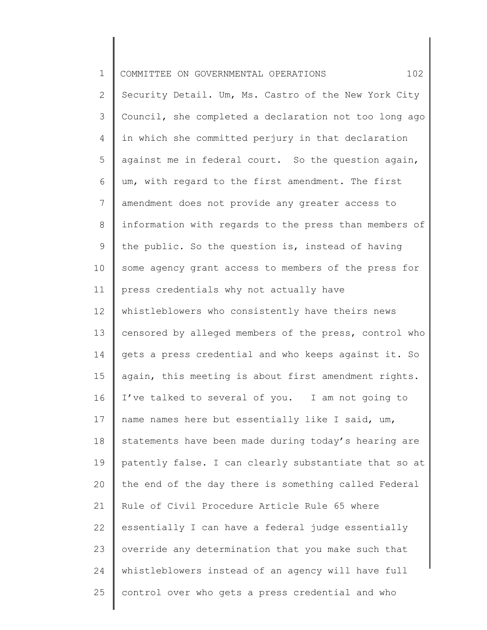| $\mathbf 1$     | 102<br>COMMITTEE ON GOVERNMENTAL OPERATIONS           |
|-----------------|-------------------------------------------------------|
| $\mathbf{2}$    | Security Detail. Um, Ms. Castro of the New York City  |
| 3               | Council, she completed a declaration not too long ago |
| 4               | in which she committed perjury in that declaration    |
| 5               | against me in federal court. So the question again,   |
| 6               | um, with regard to the first amendment. The first     |
| 7               | amendment does not provide any greater access to      |
| 8               | information with regards to the press than members of |
| 9               | the public. So the question is, instead of having     |
| 10 <sub>o</sub> | some agency grant access to members of the press for  |
| 11              | press credentials why not actually have               |
| 12              | whistleblowers who consistently have theirs news      |
| 13              | censored by alleged members of the press, control who |
| 14              | gets a press credential and who keeps against it. So  |
| 15              | again, this meeting is about first amendment rights.  |
| 16              | I've talked to several of you. I am not going to      |
| 17              | name names here but essentially like I said, um,      |
| 18              | statements have been made during today's hearing are  |
| 19              | patently false. I can clearly substantiate that so at |
| 20              | the end of the day there is something called Federal  |
| 21              | Rule of Civil Procedure Article Rule 65 where         |
| 22              | essentially I can have a federal judge essentially    |
| 23              | override any determination that you make such that    |
| 24              | whistleblowers instead of an agency will have full    |
| 25              | control over who gets a press credential and who      |
|                 |                                                       |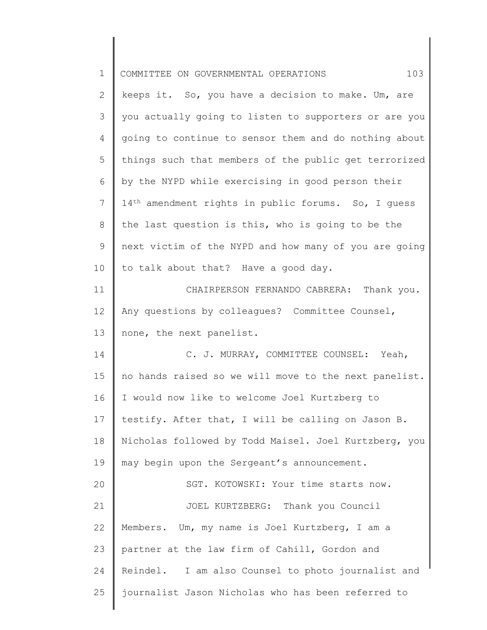| $\mathbf 1$ | 103<br>COMMITTEE ON GOVERNMENTAL OPERATIONS                     |
|-------------|-----------------------------------------------------------------|
| 2           | keeps it. So, you have a decision to make. Um, are              |
| 3           | you actually going to listen to supporters or are you           |
| 4           | going to continue to sensor them and do nothing about           |
| 5           | things such that members of the public get terrorized           |
| 6           | by the NYPD while exercising in good person their               |
| 7           | 14 <sup>th</sup> amendment rights in public forums. So, I quess |
| 8           | the last question is this, who is going to be the               |
| $\mathsf 9$ | next victim of the NYPD and how many of you are going           |
| 10          | to talk about that? Have a good day.                            |
| 11          | CHAIRPERSON FERNANDO CABRERA: Thank you.                        |
| 12          | Any questions by colleagues? Committee Counsel,                 |
| 13          | none, the next panelist.                                        |
| 14          | C. J. MURRAY, COMMITTEE COUNSEL: Yeah,                          |
| 15          | no hands raised so we will move to the next panelist.           |
| 16          | I would now like to welcome Joel Kurtzberg to                   |
| 17          | testify. After that, I will be calling on Jason B.              |
| 18          | Nicholas followed by Todd Maisel. Joel Kurtzberg, you           |
| 19          | may begin upon the Sergeant's announcement.                     |
| 20          | SGT. KOTOWSKI: Your time starts now.                            |
| 21          | JOEL KURTZBERG: Thank you Council                               |
| 22          | Members. Um, my name is Joel Kurtzberg, I am a                  |
| 23          | partner at the law firm of Cahill, Gordon and                   |
| 24          | Reindel. I am also Counsel to photo journalist and              |
| 25          | journalist Jason Nicholas who has been referred to              |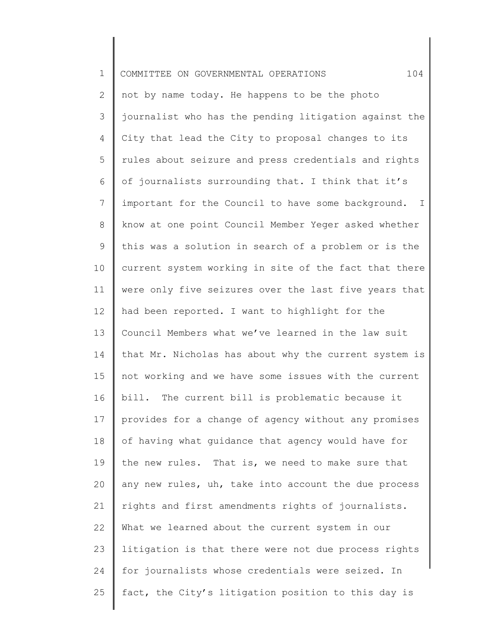| $\mathbf 1$    | 104<br>COMMITTEE ON GOVERNMENTAL OPERATIONS           |
|----------------|-------------------------------------------------------|
| $\mathbf{2}$   | not by name today. He happens to be the photo         |
| 3              | journalist who has the pending litigation against the |
| $\overline{4}$ | City that lead the City to proposal changes to its    |
| 5              | rules about seizure and press credentials and rights  |
| 6              | of journalists surrounding that. I think that it's    |
| 7              | important for the Council to have some background. I  |
| 8              | know at one point Council Member Yeger asked whether  |
| 9              | this was a solution in search of a problem or is the  |
| 10             | current system working in site of the fact that there |
| 11             | were only five seizures over the last five years that |
| 12             | had been reported. I want to highlight for the        |
| 13             | Council Members what we've learned in the law suit    |
| 14             | that Mr. Nicholas has about why the current system is |
| 15             | not working and we have some issues with the current  |
| 16             | bill. The current bill is problematic because it      |
| 17             | provides for a change of agency without any promises  |
| 18             | of having what guidance that agency would have for    |
| 19             | the new rules. That is, we need to make sure that     |
| 20             | any new rules, uh, take into account the due process  |
| 21             | rights and first amendments rights of journalists.    |
| 22             | What we learned about the current system in our       |
| 23             | litigation is that there were not due process rights  |
| 24             | for journalists whose credentials were seized. In     |
| 25             | fact, the City's litigation position to this day is   |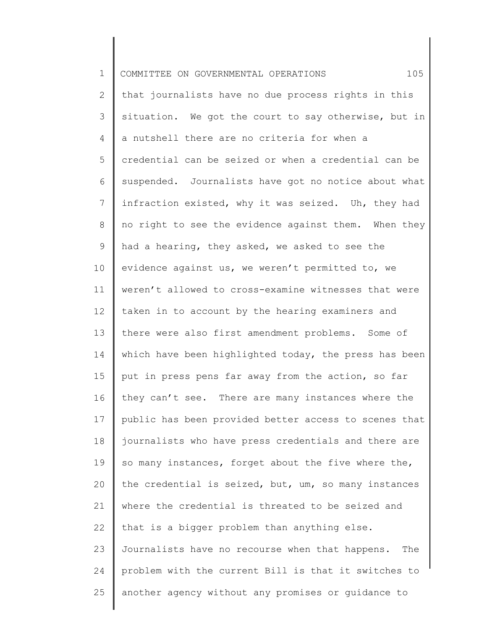| $\mathbf 1$     | 105<br>COMMITTEE ON GOVERNMENTAL OPERATIONS           |
|-----------------|-------------------------------------------------------|
| $\mathbf{2}$    | that journalists have no due process rights in this   |
| 3               | situation. We got the court to say otherwise, but in  |
| 4               | a nutshell there are no criteria for when a           |
| 5               | credential can be seized or when a credential can be  |
| 6               | suspended. Journalists have got no notice about what  |
| 7               | infraction existed, why it was seized. Uh, they had   |
| 8               | no right to see the evidence against them. When they  |
| 9               | had a hearing, they asked, we asked to see the        |
| 10              | evidence against us, we weren't permitted to, we      |
| 11              | weren't allowed to cross-examine witnesses that were  |
| 12 <sup>°</sup> | taken in to account by the hearing examiners and      |
| 13              | there were also first amendment problems. Some of     |
| 14              | which have been highlighted today, the press has been |
| 15              | put in press pens far away from the action, so far    |
| 16              | they can't see. There are many instances where the    |
| 17              | public has been provided better access to scenes that |
| 18              | journalists who have press credentials and there are  |
| 19              | so many instances, forget about the five where the,   |
| 20              | the credential is seized, but, um, so many instances  |
| 21              | where the credential is threated to be seized and     |
| 22              | that is a bigger problem than anything else.          |
| 23              | Journalists have no recourse when that happens. The   |
| 24              | problem with the current Bill is that it switches to  |
| 25              | another agency without any promises or guidance to    |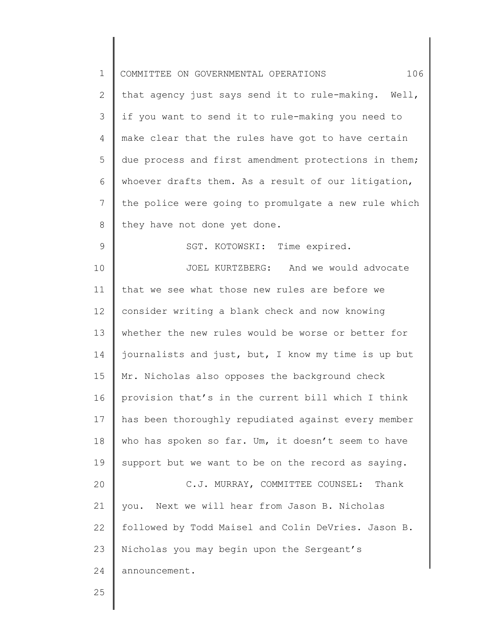| $\mathbf 1$   | 106<br>COMMITTEE ON GOVERNMENTAL OPERATIONS          |
|---------------|------------------------------------------------------|
| $\mathbf{2}$  | that agency just says send it to rule-making. Well,  |
| 3             | if you want to send it to rule-making you need to    |
| 4             | make clear that the rules have got to have certain   |
| 5             | due process and first amendment protections in them; |
| 6             | whoever drafts them. As a result of our litigation,  |
| 7             | the police were going to promulgate a new rule which |
| $\,8\,$       | they have not done yet done.                         |
| $\mathcal{G}$ | SGT. KOTOWSKI: Time expired.                         |
| 10            | JOEL KURTZBERG: And we would advocate                |
| 11            | that we see what those new rules are before we       |
| 12            | consider writing a blank check and now knowing       |
| 13            | whether the new rules would be worse or better for   |
| 14            | journalists and just, but, I know my time is up but  |
| 15            | Mr. Nicholas also opposes the background check       |
| 16            | provision that's in the current bill which I think   |
| 17            | has been thoroughly repudiated against every member  |
| 18            | who has spoken so far. Um, it doesn't seem to have   |
| 19            | support but we want to be on the record as saying.   |
| 20            | C.J. MURRAY, COMMITTEE COUNSEL: Thank                |
| 21            | Next we will hear from Jason B. Nicholas<br>you.     |
| 22            | followed by Todd Maisel and Colin DeVries. Jason B.  |
| 23            | Nicholas you may begin upon the Sergeant's           |
| 24            | announcement.                                        |
| 25            |                                                      |

║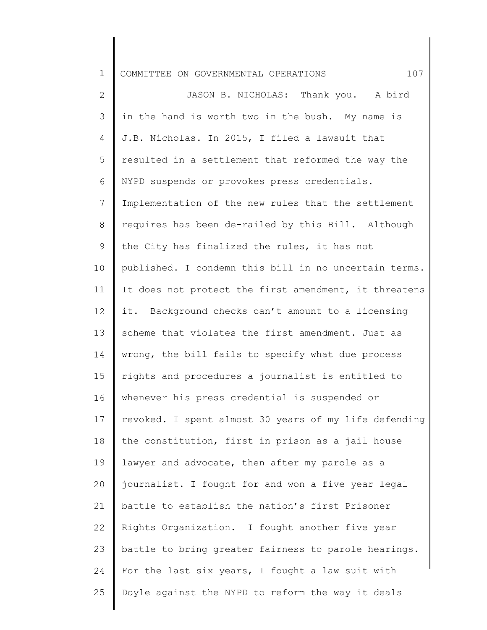1 2 3 4 5 6 7 8 9 10 11 12 13 14 15 16 17 18 19 20 21 22 23 24 25 COMMITTEE ON GOVERNMENTAL OPERATIONS  $107$ JASON B. NICHOLAS: Thank you. A bird in the hand is worth two in the bush. My name is J.B. Nicholas. In 2015, I filed a lawsuit that resulted in a settlement that reformed the way the NYPD suspends or provokes press credentials. Implementation of the new rules that the settlement requires has been de-railed by this Bill. Although the City has finalized the rules, it has not published. I condemn this bill in no uncertain terms. It does not protect the first amendment, it threatens it. Background checks can't amount to a licensing scheme that violates the first amendment. Just as wrong, the bill fails to specify what due process rights and procedures a journalist is entitled to whenever his press credential is suspended or revoked. I spent almost 30 years of my life defending the constitution, first in prison as a jail house lawyer and advocate, then after my parole as a journalist. I fought for and won a five year legal battle to establish the nation's first Prisoner Rights Organization. I fought another five year battle to bring greater fairness to parole hearings. For the last six years, I fought a law suit with Doyle against the NYPD to reform the way it deals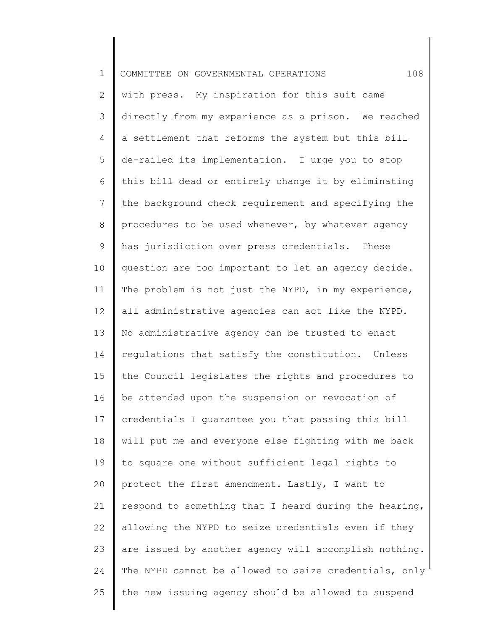| $\mathbf 1$   | 108<br>COMMITTEE ON GOVERNMENTAL OPERATIONS           |
|---------------|-------------------------------------------------------|
| $\mathbf{2}$  | with press. My inspiration for this suit came         |
| $\mathcal{S}$ | directly from my experience as a prison. We reached   |
| 4             | a settlement that reforms the system but this bill    |
| 5             | de-railed its implementation. I urge you to stop      |
| 6             | this bill dead or entirely change it by eliminating   |
| 7             | the background check requirement and specifying the   |
| $8\,$         | procedures to be used whenever, by whatever agency    |
| $\mathsf 9$   | has jurisdiction over press credentials. These        |
| 10            | question are too important to let an agency decide.   |
| 11            | The problem is not just the NYPD, in my experience,   |
| 12            | all administrative agencies can act like the NYPD.    |
| 13            | No administrative agency can be trusted to enact      |
| 14            | regulations that satisfy the constitution. Unless     |
| 15            | the Council legislates the rights and procedures to   |
| 16            | be attended upon the suspension or revocation of      |
| 17            | credentials I guarantee you that passing this bill    |
| 18            | will put me and everyone else fighting with me back   |
| 19            | to square one without sufficient legal rights to      |
| 20            | protect the first amendment. Lastly, I want to        |
| 21            | respond to something that I heard during the hearing, |
| 22            | allowing the NYPD to seize credentials even if they   |
| 23            | are issued by another agency will accomplish nothing. |
| 24            | The NYPD cannot be allowed to seize credentials, only |
| 25            | the new issuing agency should be allowed to suspend   |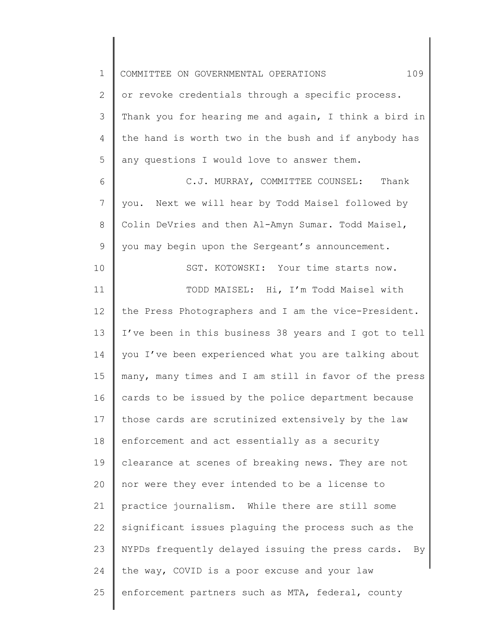| $\mathbf 1$     | 109<br>COMMITTEE ON GOVERNMENTAL OPERATIONS             |
|-----------------|---------------------------------------------------------|
| 2               | or revoke credentials through a specific process.       |
| 3               | Thank you for hearing me and again, I think a bird in   |
| 4               | the hand is worth two in the bush and if anybody has    |
| 5               | any questions I would love to answer them.              |
| 6               | C.J. MURRAY, COMMITTEE COUNSEL: Thank                   |
| $7\phantom{.0}$ | you. Next we will hear by Todd Maisel followed by       |
| 8               | Colin DeVries and then Al-Amyn Sumar. Todd Maisel,      |
| $\mathsf 9$     | you may begin upon the Sergeant's announcement.         |
| 10              | SGT. KOTOWSKI: Your time starts now.                    |
| 11              | TODD MAISEL: Hi, I'm Todd Maisel with                   |
| 12              | the Press Photographers and I am the vice-President.    |
| 13              | I've been in this business 38 years and I got to tell   |
| 14              | you I've been experienced what you are talking about    |
| 15              | many, many times and I am still in favor of the press   |
| 16              | cards to be issued by the police department because     |
| 17              | those cards are scrutinized extensively by the law      |
| 18              | enforcement and act essentially as a security           |
| 19              | clearance at scenes of breaking news. They are not      |
| 20              | nor were they ever intended to be a license to          |
| 21              | practice journalism. While there are still some         |
| 22              | significant issues plaguing the process such as the     |
| 23              | NYPDs frequently delayed issuing the press cards.<br>By |
| 24              | the way, COVID is a poor excuse and your law            |
| 25              | enforcement partners such as MTA, federal, county       |
|                 |                                                         |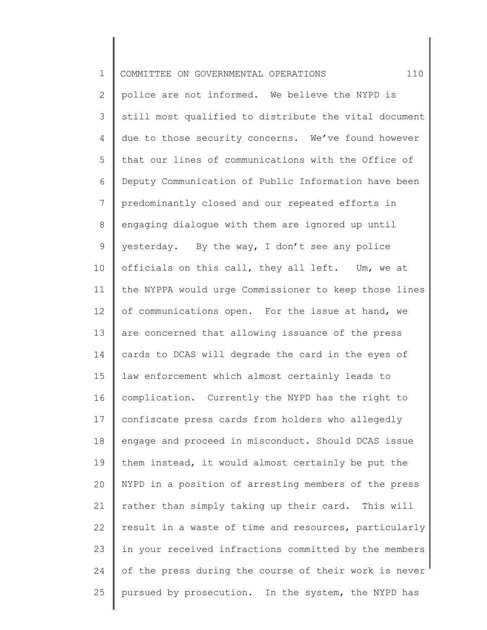| $\mathbf 1$    | 110<br>COMMITTEE ON GOVERNMENTAL OPERATIONS           |
|----------------|-------------------------------------------------------|
| $\mathbf{2}$   | police are not informed. We believe the NYPD is       |
| 3              | still most qualified to distribute the vital document |
| 4              | due to those security concerns. We've found however   |
| 5              | that our lines of communications with the Office of   |
| 6              | Deputy Communication of Public Information have been  |
| $7\phantom{.}$ | predominantly closed and our repeated efforts in      |
| 8              | engaging dialogue with them are ignored up until      |
| $\mathsf 9$    | yesterday. By the way, I don't see any police         |
| 10             | officials on this call, they all left. Um, we at      |
| 11             | the NYPPA would urge Commissioner to keep those lines |
| 12             | of communications open. For the issue at hand, we     |
| 13             | are concerned that allowing issuance of the press     |
| 14             | cards to DCAS will degrade the card in the eyes of    |
| 15             | law enforcement which almost certainly leads to       |
| 16             | complication. Currently the NYPD has the right to     |
| 17             | confiscate press cards from holders who allegedly     |
| 18             | engage and proceed in misconduct. Should DCAS issue   |
| 19             | them instead, it would almost certainly be put the    |
| 20             | NYPD in a position of arresting members of the press  |
| 21             | rather than simply taking up their card. This will    |
| 22             | result in a waste of time and resources, particularly |
| 23             | in your received infractions committed by the members |
| 24             | of the press during the course of their work is never |
| 25             | pursued by prosecution. In the system, the NYPD has   |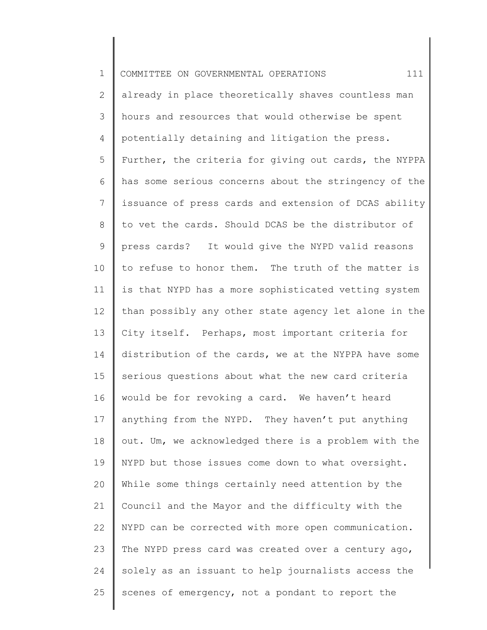| $\mathbf 1$    | 111<br>COMMITTEE ON GOVERNMENTAL OPERATIONS           |
|----------------|-------------------------------------------------------|
| $\overline{2}$ | already in place theoretically shaves countless man   |
| 3              | hours and resources that would otherwise be spent     |
| 4              | potentially detaining and litigation the press.       |
| 5              | Further, the criteria for giving out cards, the NYPPA |
| 6              | has some serious concerns about the stringency of the |
| $\overline{7}$ | issuance of press cards and extension of DCAS ability |
| 8              | to vet the cards. Should DCAS be the distributor of   |
| 9              | press cards? It would give the NYPD valid reasons     |
| 10             | to refuse to honor them. The truth of the matter is   |
| 11             | is that NYPD has a more sophisticated vetting system  |
| 12             | than possibly any other state agency let alone in the |
| 13             | City itself. Perhaps, most important criteria for     |
| 14             | distribution of the cards, we at the NYPPA have some  |
| 15             | serious questions about what the new card criteria    |
| 16             | would be for revoking a card. We haven't heard        |
| 17             | anything from the NYPD. They haven't put anything     |
| 18             | out. Um, we acknowledged there is a problem with the  |
| 19             | NYPD but those issues come down to what oversight.    |
| 20             | While some things certainly need attention by the     |
| 21             | Council and the Mayor and the difficulty with the     |
| 22             | NYPD can be corrected with more open communication.   |
| 23             | The NYPD press card was created over a century ago,   |
| 24             | solely as an issuant to help journalists access the   |
| 25             | scenes of emergency, not a pondant to report the      |
|                |                                                       |

║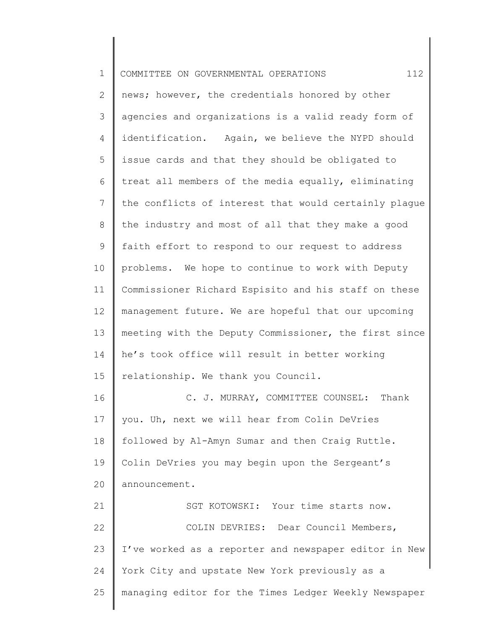| $\mathbf 1$ | 112<br>COMMITTEE ON GOVERNMENTAL OPERATIONS           |
|-------------|-------------------------------------------------------|
| 2           | news; however, the credentials honored by other       |
| 3           | agencies and organizations is a valid ready form of   |
| 4           | identification. Again, we believe the NYPD should     |
| 5           | issue cards and that they should be obligated to      |
| 6           | treat all members of the media equally, eliminating   |
| 7           | the conflicts of interest that would certainly plague |
| 8           | the industry and most of all that they make a good    |
| 9           | faith effort to respond to our request to address     |
| 10          | problems. We hope to continue to work with Deputy     |
| 11          | Commissioner Richard Espisito and his staff on these  |
| 12          | management future. We are hopeful that our upcoming   |
| 13          | meeting with the Deputy Commissioner, the first since |
| 14          | he's took office will result in better working        |
| 15          | relationship. We thank you Council.                   |
| 16          | C. J. MURRAY, COMMITTEE COUNSEL: Thank                |
| 17          | you. Uh, next we will hear from Colin DeVries         |
| 18          | followed by Al-Amyn Sumar and then Craig Ruttle.      |
| 19          | Colin DeVries you may begin upon the Sergeant's       |
| 20          | announcement.                                         |
| 21          | SGT KOTOWSKI: Your time starts now.                   |
| 22          | COLIN DEVRIES: Dear Council Members,                  |
| 23          | I've worked as a reporter and newspaper editor in New |
| 24          | York City and upstate New York previously as a        |
| 25          | managing editor for the Times Ledger Weekly Newspaper |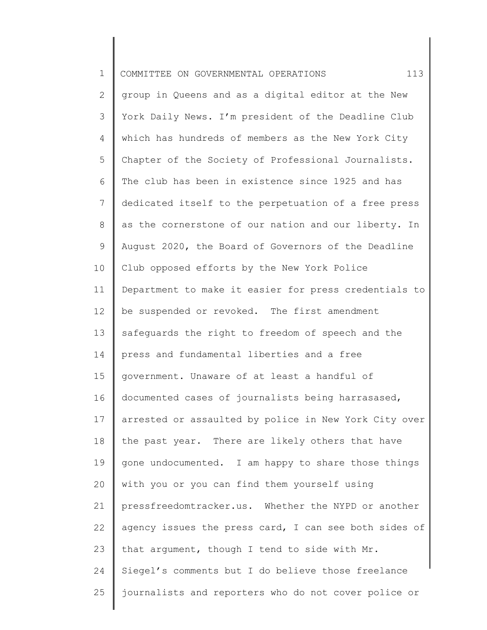| $\mathbf 1$  | 113<br>COMMITTEE ON GOVERNMENTAL OPERATIONS           |
|--------------|-------------------------------------------------------|
| $\mathbf{2}$ | group in Queens and as a digital editor at the New    |
| 3            | York Daily News. I'm president of the Deadline Club   |
| 4            | which has hundreds of members as the New York City    |
| 5            | Chapter of the Society of Professional Journalists.   |
| 6            | The club has been in existence since 1925 and has     |
| 7            | dedicated itself to the perpetuation of a free press  |
| 8            | as the cornerstone of our nation and our liberty. In  |
| $\mathsf 9$  | August 2020, the Board of Governors of the Deadline   |
| 10           | Club opposed efforts by the New York Police           |
| 11           | Department to make it easier for press credentials to |
| 12           | be suspended or revoked. The first amendment          |
| 13           | safeguards the right to freedom of speech and the     |
| 14           | press and fundamental liberties and a free            |
| 15           | government. Unaware of at least a handful of          |
| 16           | documented cases of journalists being harrasased,     |
| 17           | arrested or assaulted by police in New York City over |
| 18           | the past year. There are likely others that have      |
| 19           | gone undocumented. I am happy to share those things   |
| 20           | with you or you can find them yourself using          |
| 21           | pressfreedomtracker.us. Whether the NYPD or another   |
| 22           | agency issues the press card, I can see both sides of |
| 23           | that argument, though I tend to side with Mr.         |
| 24           | Siegel's comments but I do believe those freelance    |
| 25           | journalists and reporters who do not cover police or  |
|              |                                                       |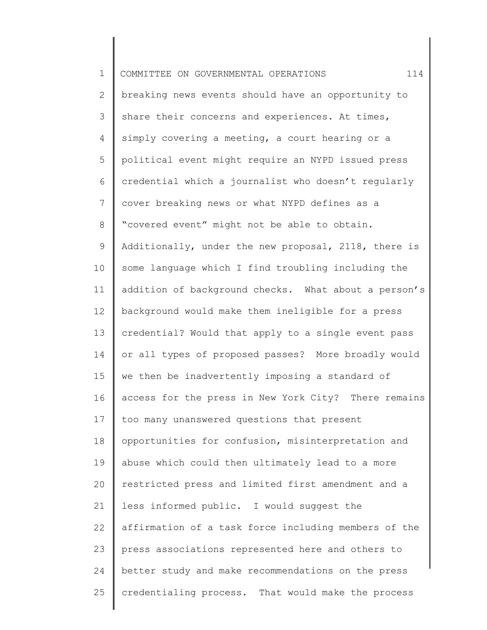| $\mathbf 1$    | 114<br>COMMITTEE ON GOVERNMENTAL OPERATIONS          |
|----------------|------------------------------------------------------|
| $\overline{2}$ | breaking news events should have an opportunity to   |
| 3              | share their concerns and experiences. At times,      |
| 4              | simply covering a meeting, a court hearing or a      |
| 5              | political event might require an NYPD issued press   |
| 6              | credential which a journalist who doesn't regularly  |
| $7\phantom{.}$ | cover breaking news or what NYPD defines as a        |
| 8              | "covered event" might not be able to obtain.         |
| 9              | Additionally, under the new proposal, 2118, there is |
| 10             | some language which I find troubling including the   |
| 11             | addition of background checks. What about a person's |
| 12             | background would make them ineligible for a press    |
| 13             | credential? Would that apply to a single event pass  |
| 14             | or all types of proposed passes? More broadly would  |
| 15             | we then be inadvertently imposing a standard of      |
| 16             | access for the press in New York City? There remains |
| 17             | too many unanswered questions that present           |
| 18             | opportunities for confusion, misinterpretation and   |
| 19             | abuse which could then ultimately lead to a more     |
| 20             | restricted press and limited first amendment and a   |
| 21             | less informed public. I would suggest the            |
| 22             | affirmation of a task force including members of the |
| 23             | press associations represented here and others to    |
| 24             | better study and make recommendations on the press   |
| 25             | credentialing process. That would make the process   |
|                |                                                      |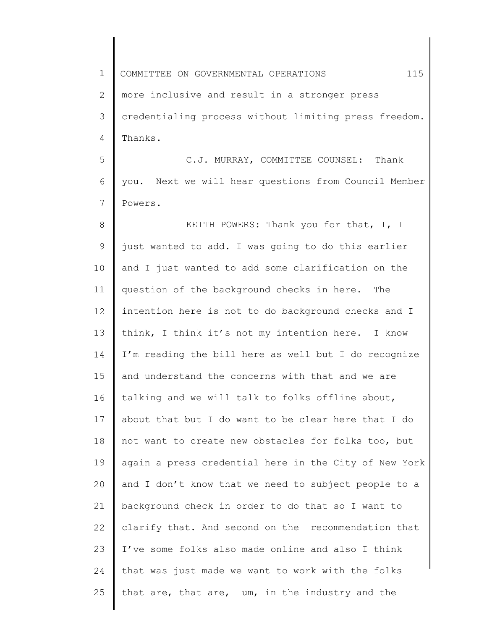1 2 3 4 5 6 7 8 9 10 11 12 13 14 15 16 17 18 19 20 21 22 23 24 25 COMMITTEE ON GOVERNMENTAL OPERATIONS 115 more inclusive and result in a stronger press credentialing process without limiting press freedom. Thanks. C.J. MURRAY, COMMITTEE COUNSEL: Thank you. Next we will hear questions from Council Member Powers. KEITH POWERS: Thank you for that, I, I just wanted to add. I was going to do this earlier and I just wanted to add some clarification on the question of the background checks in here. The intention here is not to do background checks and I think, I think it's not my intention here. I know I'm reading the bill here as well but I do recognize and understand the concerns with that and we are talking and we will talk to folks offline about, about that but I do want to be clear here that I do not want to create new obstacles for folks too, but again a press credential here in the City of New York and I don't know that we need to subject people to a background check in order to do that so I want to clarify that. And second on the recommendation that I've some folks also made online and also I think that was just made we want to work with the folks that are, that are, um, in the industry and the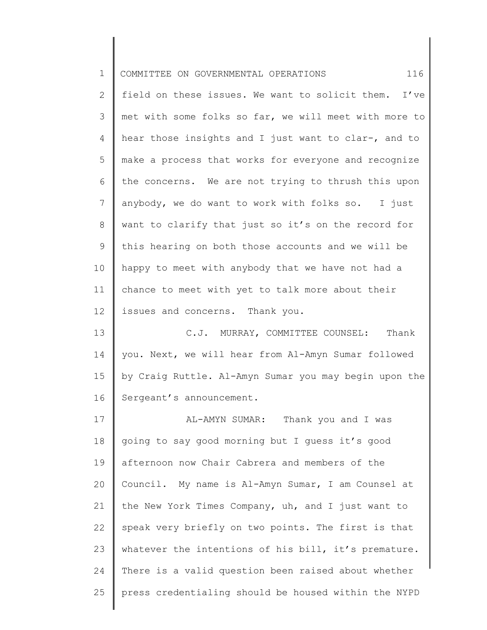| $\mathbf 1$     | 116<br>COMMITTEE ON GOVERNMENTAL OPERATIONS           |
|-----------------|-------------------------------------------------------|
| 2               | field on these issues. We want to solicit them. I've  |
| 3               | met with some folks so far, we will meet with more to |
| 4               | hear those insights and I just want to clar-, and to  |
| 5               | make a process that works for everyone and recognize  |
| 6               | the concerns. We are not trying to thrush this upon   |
| $7\phantom{.0}$ | anybody, we do want to work with folks so. I just     |
| 8               | want to clarify that just so it's on the record for   |
| 9               | this hearing on both those accounts and we will be    |
| 10              | happy to meet with anybody that we have not had a     |
| 11              | chance to meet with yet to talk more about their      |
| 12              | issues and concerns. Thank you.                       |
| 13              | C.J. MURRAY, COMMITTEE COUNSEL: Thank                 |
| 14              | you. Next, we will hear from Al-Amyn Sumar followed   |
| 15              | by Craig Ruttle. Al-Amyn Sumar you may begin upon the |
| 16              | Sergeant's announcement.                              |
| 17              | Thank you and I was<br>AL-AMYN SUMAR:                 |
| 18              | going to say good morning but I guess it's good       |
| 19              | afternoon now Chair Cabrera and members of the        |
| 20              | Council. My name is Al-Amyn Sumar, I am Counsel at    |
| 21              | the New York Times Company, uh, and I just want to    |
| 22              | speak very briefly on two points. The first is that   |
| 23              | whatever the intentions of his bill, it's premature.  |
| 24              | There is a valid question been raised about whether   |
| 25              | press credentialing should be housed within the NYPD  |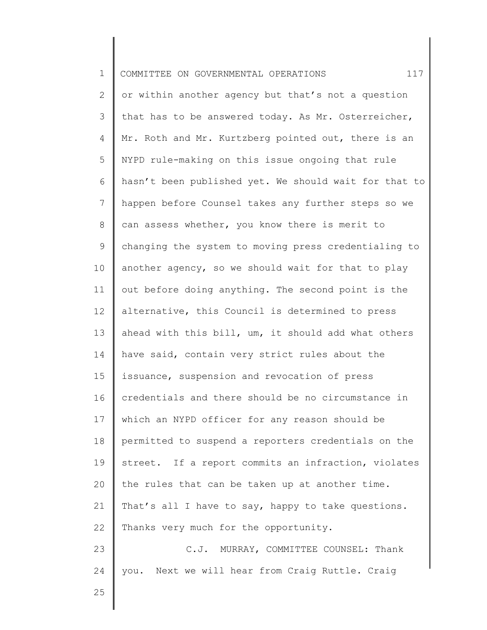| $\mathbf 1$ | 117<br>COMMITTEE ON GOVERNMENTAL OPERATIONS           |
|-------------|-------------------------------------------------------|
| 2           | or within another agency but that's not a question    |
| 3           | that has to be answered today. As Mr. Osterreicher,   |
| 4           | Mr. Roth and Mr. Kurtzberg pointed out, there is an   |
| 5           | NYPD rule-making on this issue ongoing that rule      |
| 6           | hasn't been published yet. We should wait for that to |
| 7           | happen before Counsel takes any further steps so we   |
| $8\,$       | can assess whether, you know there is merit to        |
| 9           | changing the system to moving press credentialing to  |
| 10          | another agency, so we should wait for that to play    |
| 11          | out before doing anything. The second point is the    |
| 12          | alternative, this Council is determined to press      |
| 13          | ahead with this bill, um, it should add what others   |
| 14          | have said, contain very strict rules about the        |
| 15          | issuance, suspension and revocation of press          |
| 16          | credentials and there should be no circumstance in    |
| 17          | which an NYPD officer for any reason should be        |
| 18          | permitted to suspend a reporters credentials on the   |
| 19          | street. If a report commits an infraction, violates   |
| 20          | the rules that can be taken up at another time.       |
| 21          | That's all I have to say, happy to take questions.    |
| 22          | Thanks very much for the opportunity.                 |
| 23          | C.J. MURRAY, COMMITTEE COUNSEL: Thank                 |
| 24          | you. Next we will hear from Craig Ruttle. Craig       |
| 25          |                                                       |
|             |                                                       |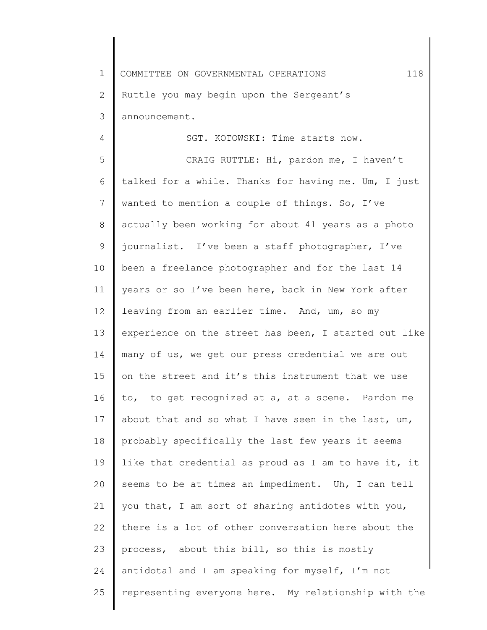1 2 3 COMMITTEE ON GOVERNMENTAL OPERATIONS 118 Ruttle you may begin upon the Sergeant's announcement.

4

SGT. KOTOWSKI: Time starts now.

5 6 7 8 9 10 11 12 13 14 15 16 17 18 19 20 21 22 23 24 25 CRAIG RUTTLE: Hi, pardon me, I haven't talked for a while. Thanks for having me. Um, I just wanted to mention a couple of things. So, I've actually been working for about 41 years as a photo journalist. I've been a staff photographer, I've been a freelance photographer and for the last 14 years or so I've been here, back in New York after leaving from an earlier time. And, um, so my experience on the street has been, I started out like many of us, we get our press credential we are out on the street and it's this instrument that we use to, to get recognized at a, at a scene. Pardon me about that and so what I have seen in the last, um, probably specifically the last few years it seems like that credential as proud as I am to have it, it seems to be at times an impediment. Uh, I can tell you that, I am sort of sharing antidotes with you, there is a lot of other conversation here about the process, about this bill, so this is mostly antidotal and I am speaking for myself, I'm not representing everyone here. My relationship with the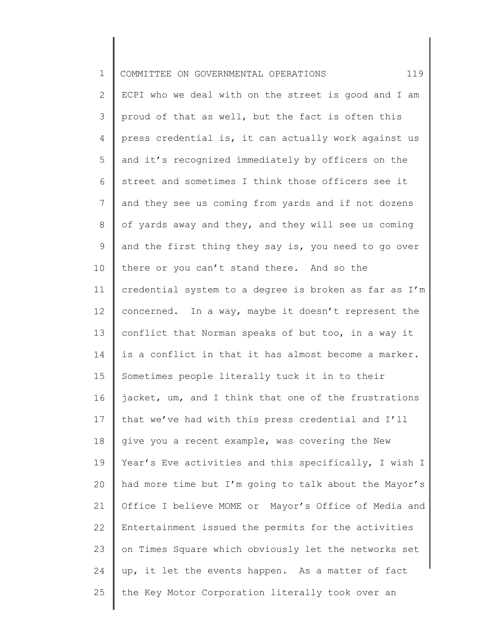| $\mathbf{1}$ | 119<br>COMMITTEE ON GOVERNMENTAL OPERATIONS           |
|--------------|-------------------------------------------------------|
| 2            | ECPI who we deal with on the street is good and I am  |
| 3            | proud of that as well, but the fact is often this     |
| 4            | press credential is, it can actually work against us  |
| 5            | and it's recognized immediately by officers on the    |
| 6            | street and sometimes I think those officers see it    |
| 7            | and they see us coming from yards and if not dozens   |
| 8            | of yards away and they, and they will see us coming   |
| 9            | and the first thing they say is, you need to go over  |
| 10           | there or you can't stand there. And so the            |
| 11           | credential system to a degree is broken as far as I'm |
| 12           | concerned. In a way, maybe it doesn't represent the   |
| 13           | conflict that Norman speaks of but too, in a way it   |
| 14           | is a conflict in that it has almost become a marker.  |
| 15           | Sometimes people literally tuck it in to their        |
| 16           | jacket, um, and I think that one of the frustrations  |
| 17           | that we've had with this press credential and I'll    |
| 18           | give you a recent example, was covering the New       |
| 19           | Year's Eve activities and this specifically, I wish I |
| 20           | had more time but I'm going to talk about the Mayor's |
| 21           | Office I believe MOME or Mayor's Office of Media and  |
| 22           | Entertainment issued the permits for the activities   |
| 23           | on Times Square which obviously let the networks set  |
| 24           | up, it let the events happen. As a matter of fact     |
| 25           | the Key Motor Corporation literally took over an      |
|              |                                                       |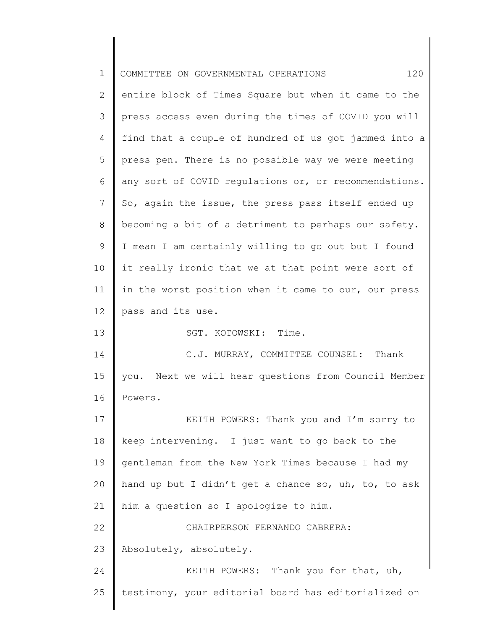| $\mathbf 1$ | 120<br>COMMITTEE ON GOVERNMENTAL OPERATIONS           |
|-------------|-------------------------------------------------------|
| 2           | entire block of Times Square but when it came to the  |
| 3           | press access even during the times of COVID you will  |
| 4           | find that a couple of hundred of us got jammed into a |
| 5           | press pen. There is no possible way we were meeting   |
| 6           | any sort of COVID regulations or, or recommendations. |
| 7           | So, again the issue, the press pass itself ended up   |
| 8           | becoming a bit of a detriment to perhaps our safety.  |
| 9           | I mean I am certainly willing to go out but I found   |
| 10          | it really ironic that we at that point were sort of   |
| 11          | in the worst position when it came to our, our press  |
| 12          | pass and its use.                                     |
| 13          | SGT. KOTOWSKI: Time.                                  |
| 14          | C.J. MURRAY, COMMITTEE COUNSEL: Thank                 |
| 15          | you. Next we will hear questions from Council Member  |
| 16          | Powers.                                               |
| 17          | KEITH POWERS: Thank you and I'm sorry to              |
| 18          | keep intervening. I just want to go back to the       |
| 19          | gentleman from the New York Times because I had my    |
| 20          | hand up but I didn't get a chance so, uh, to, to ask  |
| 21          | him a question so I apologize to him.                 |
| 22          | CHAIRPERSON FERNANDO CABRERA:                         |
| 23          | Absolutely, absolutely.                               |
| 24          | KEITH POWERS: Thank you for that, uh,                 |
| 25          | testimony, your editorial board has editorialized on  |
|             |                                                       |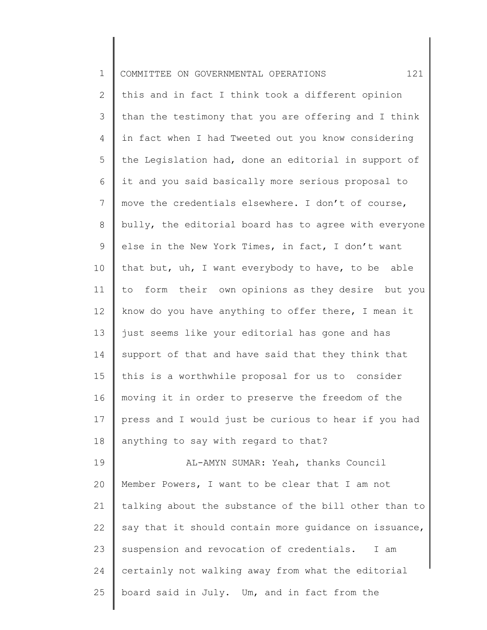| $\mathbf 1$  | 121<br>COMMITTEE ON GOVERNMENTAL OPERATIONS           |
|--------------|-------------------------------------------------------|
| $\mathbf{2}$ | this and in fact I think took a different opinion     |
| 3            | than the testimony that you are offering and I think  |
| 4            | in fact when I had Tweeted out you know considering   |
| 5            | the Legislation had, done an editorial in support of  |
| 6            | it and you said basically more serious proposal to    |
| 7            | move the credentials elsewhere. I don't of course,    |
| 8            | bully, the editorial board has to agree with everyone |
| 9            | else in the New York Times, in fact, I don't want     |
| 10           | that but, uh, I want everybody to have, to be able    |
| 11           | to form their own opinions as they desire but you     |
| 12           | know do you have anything to offer there, I mean it   |
| 13           | just seems like your editorial has gone and has       |
| 14           | support of that and have said that they think that    |
| 15           | this is a worthwhile proposal for us to consider      |
| 16           | moving it in order to preserve the freedom of the     |
| 17           | press and I would just be curious to hear if you had  |
| 18           | anything to say with regard to that?                  |
| 19           | AL-AMYN SUMAR: Yeah, thanks Council                   |
| 20           | Member Powers, I want to be clear that I am not       |
| 21           | talking about the substance of the bill other than to |
| 22           | say that it should contain more guidance on issuance, |
| 23           | suspension and revocation of credentials.<br>I am     |
| 24           | certainly not walking away from what the editorial    |
| 25           | board said in July. Um, and in fact from the          |
|              |                                                       |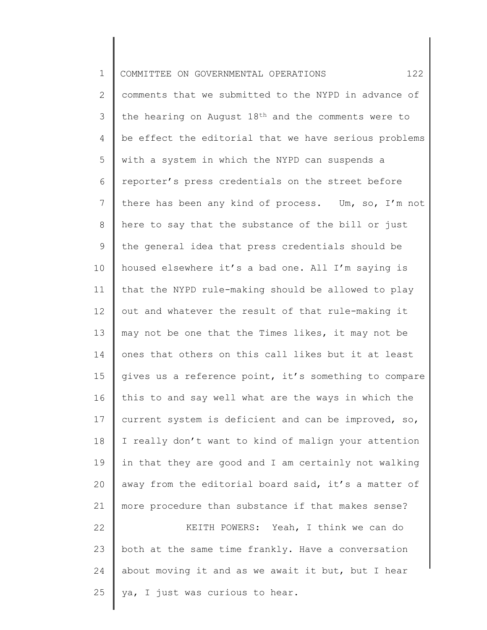1 2 3 4 5 6 7 8 9 10 11 12 13 14 15 16 17 18 19 20 21 22 23 24 25 COMMITTEE ON GOVERNMENTAL OPERATIONS 122 comments that we submitted to the NYPD in advance of the hearing on August 18th and the comments were to be effect the editorial that we have serious problems with a system in which the NYPD can suspends a reporter's press credentials on the street before there has been any kind of process. Um, so, I'm not here to say that the substance of the bill or just the general idea that press credentials should be housed elsewhere it's a bad one. All I'm saying is that the NYPD rule-making should be allowed to play out and whatever the result of that rule-making it may not be one that the Times likes, it may not be ones that others on this call likes but it at least gives us a reference point, it's something to compare this to and say well what are the ways in which the current system is deficient and can be improved, so, I really don't want to kind of malign your attention in that they are good and I am certainly not walking away from the editorial board said, it's a matter of more procedure than substance if that makes sense? KEITH POWERS: Yeah, I think we can do both at the same time frankly. Have a conversation about moving it and as we await it but, but I hear ya, I just was curious to hear.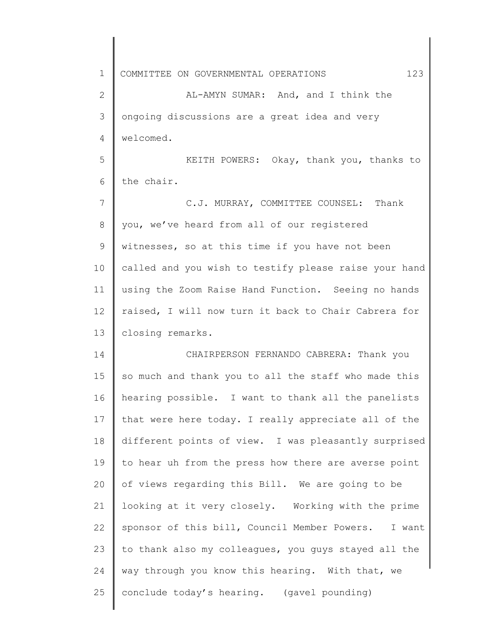1 2 3 4 5 6 7 8 9 10 11 12 13 14 15 16 17 18 19 20 21 22 23 24 25 COMMITTEE ON GOVERNMENTAL OPERATIONS 123 AL-AMYN SUMAR: And, and I think the ongoing discussions are a great idea and very welcomed. KEITH POWERS: Okay, thank you, thanks to the chair. C.J. MURRAY, COMMITTEE COUNSEL: Thank you, we've heard from all of our registered witnesses, so at this time if you have not been called and you wish to testify please raise your hand using the Zoom Raise Hand Function. Seeing no hands raised, I will now turn it back to Chair Cabrera for closing remarks. CHAIRPERSON FERNANDO CABRERA: Thank you so much and thank you to all the staff who made this hearing possible. I want to thank all the panelists that were here today. I really appreciate all of the different points of view. I was pleasantly surprised to hear uh from the press how there are averse point of views regarding this Bill. We are going to be looking at it very closely. Working with the prime sponsor of this bill, Council Member Powers. I want to thank also my colleagues, you guys stayed all the way through you know this hearing. With that, we conclude today's hearing. (gavel pounding)